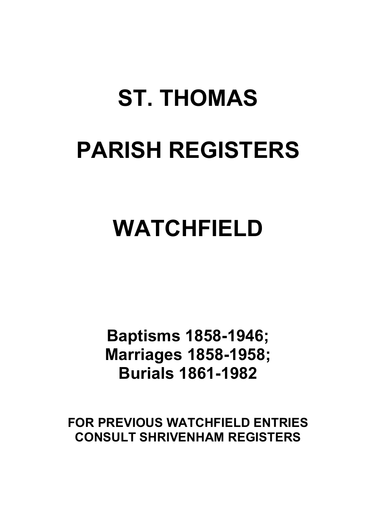# **ST. THOMAS PARISH REGISTERS**

# **WATCHFIELD**

**Baptisms 1858-1946; Marriages 1858-1958; Burials 1861-1982**

**FOR PREVIOUS WATCHFIELD ENTRIES CONSULT SHRIVENHAM REGISTERS**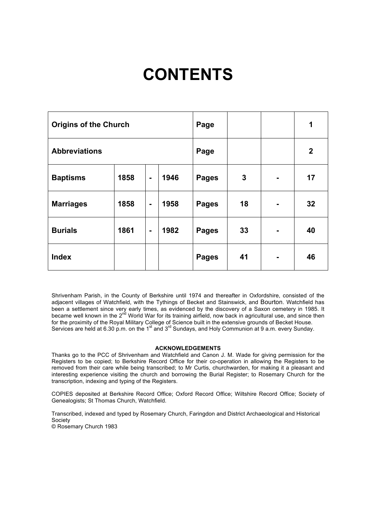# **CONTENTS**

| <b>Origins of the Church</b> |      |                |      | Page         |    |                | 1                |
|------------------------------|------|----------------|------|--------------|----|----------------|------------------|
| <b>Abbreviations</b>         |      |                |      | Page         |    |                | $\boldsymbol{2}$ |
| <b>Baptisms</b>              | 1858 | $\blacksquare$ | 1946 | <b>Pages</b> | 3  | ۰              | 17               |
| <b>Marriages</b>             | 1858 | $\blacksquare$ | 1958 | <b>Pages</b> | 18 | ۰              | 32               |
| <b>Burials</b>               | 1861 | $\blacksquare$ | 1982 | <b>Pages</b> | 33 |                | 40               |
| <b>Index</b>                 |      |                |      | <b>Pages</b> | 41 | $\blacksquare$ | 46               |

Shrivenham Parish, in the County of Berkshire until 1974 and thereafter in Oxfordshire, consisted of the adjacent villages of Watchfield, with the Tythings of Becket and Stainswick, and Bourton. Watchfield has been a settlement since very early times, as evidenced by the discovery of a Saxon cemetery in 1985. It became well known in the 2<sup>nd</sup> World War for its training airfield, now back in agricultural use, and since then for the proximity of the Royal Military College of Science built in the extensive grounds of Becket House. Services are held at 6.30 p.m. on the 1<sup>st</sup> and 3<sup>rd</sup> Sundays, and Holy Communion at 9 a.m. every Sunday.

## **ACKNOWLEDGEMENTS**

Thanks go to the PCC of Shrivenham and Watchfield and Canon J. M. Wade for giving permission for the Registers to be copied; to Berkshire Record Office for their co-operation in allowing the Registers to be removed from their care while being transcribed; to Mr Curtis, churchwarden, for making it a pleasant and interesting experience visiting the church and borrowing the Burial Register; to Rosemary Church for the transcription, indexing and typing of the Registers.

COPIES deposited at Berkshire Record Office; Oxford Record Office; Wiltshire Record Office; Society of Genealogists; St Thomas Church, Watchfield.

Transcribed, indexed and typed by Rosemary Church, Faringdon and District Archaeological and Historical Society © Rosemary Church 1983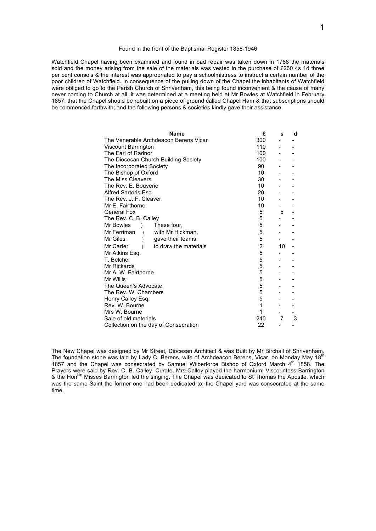### Found in the front of the Baptismal Register 1858-1946

Watchfield Chapel having been examined and found in bad repair was taken down in 1788 the materials sold and the money arising from the sale of the materials was vested in the purchase of £260 4s 1d three per cent consols & the interest was appropriated to pay a schoolmistress to instruct a certain number of the poor children of Watchfield. In consequence of the pulling down of the Chapel the inhabitants of Watchfield were obliged to go to the Parish Church of Shrivenham, this being found inconvenient & the cause of many never coming to Church at all, it was determined at a meeting held at Mr Bowles at Watchfield in February 1857, that the Chapel should be rebuilt on a piece of ground called Chapel Ham & that subscriptions should be commenced forthwith; and the following persons & societies kindly gave their assistance.

| <b>Name</b>                                             | £              | s  | d |
|---------------------------------------------------------|----------------|----|---|
| The Venerable Archdeacon Berens Vicar                   | 300            |    |   |
| Viscount Barrington                                     | 110            |    |   |
| The Earl of Radnor                                      | 100            |    |   |
| The Diocesan Church Building Society                    | 100            |    |   |
| The Incorporated Society                                | 90             |    |   |
| The Bishop of Oxford                                    | 10             |    |   |
| The Miss Cleavers                                       | 30             |    |   |
| The Rev. E. Bouverie                                    | 10             |    |   |
| Alfred Sartoris Esq.                                    | 20             |    |   |
| The Rev. J. F. Cleaver                                  | 10             |    |   |
| Mr E. Fairthorne                                        | 10             |    |   |
| General Fox                                             | 5              | 5  |   |
| The Rev. C. B. Calley                                   | 5              |    |   |
| Mr Bowles<br>$\rightarrow$ $\rightarrow$<br>These four, | 5              |    |   |
| Mr Ferriman<br>with Mr Hickman,<br>$\rightarrow$        | 5              |    |   |
| Mr Giles<br>gave their teams<br>ł                       | 5              |    |   |
| Mr Carter<br>to draw the materials<br>$\mathcal{E}$     | $\overline{2}$ | 10 |   |
| Mr Atkins Esg.                                          | 5              |    |   |
| T. Belcher                                              | 5              |    |   |
| Mr Rickards                                             | 5              |    |   |
| Mr A. W. Fairthorne                                     | 5              |    |   |
| Mr Willis                                               | 5              |    |   |
| The Queen's Advocate                                    | 5              |    |   |
| The Rev. W. Chambers                                    | 5              |    |   |
| Henry Calley Esg.                                       | 5              |    |   |
| Rev. W. Bourne                                          | 1              |    |   |
| Mrs W. Bourne                                           | 1              |    |   |
| Sale of old materials                                   | 240            | 7  | 3 |
| Collection on the day of Consecration                   | 22             |    |   |

The New Chapel was designed by Mr Street, Diocesan Architect & was Built by Mr Birchall of Shrivenham. The foundation stone was laid by Lady C. Berens, wife of Archdeacon Berens, Vicar, on Monday May 18<sup>th</sup> 1857 and the Chapel was consecrated by Samuel Wilberforce Bishop of Oxford March 4th 1858. The Prayers were said by Rev. C. B. Calley, Curate. Mrs Calley played the harmonium; Viscountess Barrington & the Hon<sup>ble</sup> Misses Barrington led the singing. The Chapel was dedicated to St Thomas the Apostle, which was the same Saint the former one had been dedicated to; the Chapel yard was consecrated at the same time.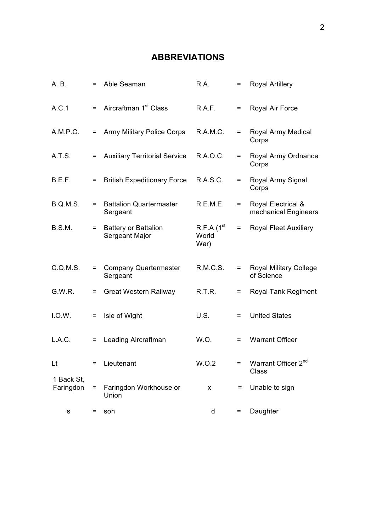# **ABBREVIATIONS**

| A. B.                   | $=$ | Able Seaman                                   | R.A.                                      | $=$ | <b>Royal Artillery</b>                      |
|-------------------------|-----|-----------------------------------------------|-------------------------------------------|-----|---------------------------------------------|
| A.C.1                   | $=$ | Aircraftman 1 <sup>st</sup> Class             | R.A.F.                                    | $=$ | Royal Air Force                             |
| A.M.P.C.                | $=$ | Army Military Police Corps                    | R.A.M.C.                                  | $=$ | Royal Army Medical<br>Corps                 |
| A.T.S.                  | $=$ | <b>Auxiliary Territorial Service</b>          | R.A.O.C.                                  | $=$ | Royal Army Ordnance<br>Corps                |
| B.E.F.                  | $=$ | <b>British Expeditionary Force</b>            | R.A.S.C.                                  | $=$ | Royal Army Signal<br>Corps                  |
| <b>B.Q.M.S.</b>         | $=$ | <b>Battalion Quartermaster</b><br>Sergeant    | R.E.M.E.                                  | $=$ | Royal Electrical &<br>mechanical Engineers  |
| B.S.M.                  | $=$ | <b>Battery or Battalion</b><br>Sergeant Major | $R.F.A$ (1 <sup>st</sup><br>World<br>War) | $=$ | <b>Royal Fleet Auxiliary</b>                |
| C.Q.M.S.                | $=$ | <b>Company Quartermaster</b><br>Sergeant      | R.M.C.S.                                  | $=$ | <b>Royal Military College</b><br>of Science |
| G.W.R.                  | $=$ | <b>Great Western Railway</b>                  | R.T.R.                                    | $=$ | <b>Royal Tank Regiment</b>                  |
| I.O.W.                  | $=$ | Isle of Wight                                 | U.S.                                      | $=$ | <b>United States</b>                        |
| L.A.C.                  | $=$ | Leading Aircraftman                           | W.O.                                      | $=$ | <b>Warrant Officer</b>                      |
| Lt                      |     | Lieutenant                                    | W.O.2                                     |     | Warrant Officer 2 <sup>nd</sup><br>Class    |
| 1 Back St,<br>Faringdon | $=$ | Faringdon Workhouse or<br>Union               | X                                         | $=$ | Unable to sign                              |
| s                       | =   | son                                           | d                                         | $=$ | Daughter                                    |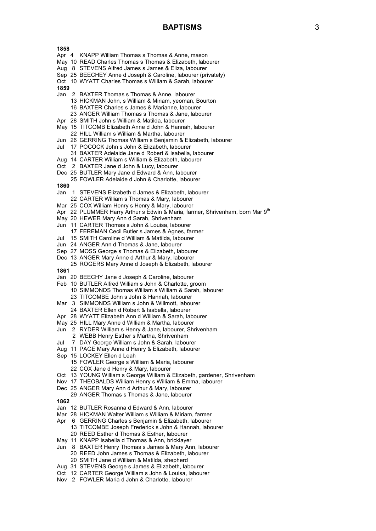# **BAPTISMS** 3

- Apr 4 KNAPP William Thomas s Thomas & Anne, mason
- May 10 READ Charles Thomas s Thomas & Elizabeth, labourer
- Aug 8 STEVENS Alfred James s James & Eliza, labourer
- Sep 25 BEECHEY Anne d Joseph & Caroline, labourer (privately)
- Oct 10 WYATT Charles Thomas s William & Sarah, labourer
- **1859**
- Jan 2 BAXTER Thomas s Thomas & Anne, labourer
	- 13 HICKMAN John, s William & Miriam, yeoman, Bourton 16 BAXTER Charles s James & Marianne, labourer
	- 23 ANGER William Thomas s Thomas & Jane, labourer
- Apr 28 SMITH John s William & Matilda, labourer
- May 15 TITCOMB Elizabeth Anne d John & Hannah, labourer
- 22 HILL William s William & Martha, labourer
- Jun 26 GERRING Thomas William s Benjamin & Elizabeth, labourer
- Jul 17 POCOCK John s John & Elizabeth, labourer
- 31 BAXTER Adelaide Jane d Robert & Isabella, labourer
- Aug 14 CARTER William s William & Elizabeth, labourer
- Oct 2 BAXTER Jane d John & Lucy, labourer
- Dec 25 BUTLER Mary Jane d Edward & Ann, labourer
- 25 FOWLER Adelaide d John & Charlotte, labourer
- **1860**
- Jan 1 STEVENS Elizabeth d James & Elizabeth, labourer
- 22 CARTER William s Thomas & Mary, labourer
- Mar 25 COX William Henry s Henry & Mary, labourer
- Apr 22 PLUMMER Harry Arthur s Edwin & Maria, farmer, Shrivenham, born Mar 9<sup>th</sup>
- May 20 HEWER Mary Ann d Sarah, Shrivenham
- Jun 11 CARTER Thomas s John & Louisa, labourer
- 17 FEREMAN Cecil Butler s James & Agnes, farmer
- Jul 15 SMITH Caroline d William & Matilda, labourer
- Jun 24 ANGER Ann d Thomas & Jane, labourer
- Sep 27 MOSS George s Thomas & Elizabeth, labourer
- Dec 13 ANGER Mary Anne d Arthur & Mary, labourer
- 25 ROGERS Mary Anne d Joseph & Elizabeth, labourer
- **1861**
- Jan 20 BEECHY Jane d Joseph & Caroline, labourer
- Feb 10 BUTLER Alfred William s John & Charlotte, groom
	- 10 SIMMONDS Thomas William s William & Sarah, labourer 23 TITCOMBE John s John & Hannah, labourer
- Mar 3 SIMMONDS William s John & Willmott, labourer
- 24 BAXTER Ellen d Robert & Isabella, labourer
- Apr 28 WYATT Elizabeth Ann d William & Sarah, labourer
- May 25 HILL Mary Anne d William & Martha, labourer
- Jun 2 RYDER William s Henry & Jane, labourer, Shrivenham
- 2 WEBB Henry Esther s Martha, Shrivenham
- Jul 7 DAY George William s John & Sarah, labourer
- Aug 11 PAGE Mary Anne d Henry & Elizabeth, labourer
- Sep 15 LOCKEY Ellen d Leah
	- 15 FOWLER George s William & Maria, labourer
	- 22 COX Jane d Henry & Mary, labourer
- Oct 13 YOUNG William s George William & Elizabeth, gardener, Shrivenham
- Nov 17 THEOBALDS William Henry s William & Emma, labourer
- Dec 25 ANGER Mary Ann d Arthur & Mary, labourer
- 29 ANGER Thomas s Thomas & Jane, labourer
- **1862**
- Jan 12 BUTLER Rosanna d Edward & Ann, labourer
- Mar 28 HICKMAN Walter William s William & Miriam, farmer
- Apr 6 GERRING Charles s Benjamin & Elizabeth, labourer
- 13 TITCOMBE Joseph Frederick s John & Hannah, labourer 20 REED Esther d Thomas & Esther, labourer
- May 11 KNAPP Isabella d Thomas & Ann, bricklayer
- Jun 8 BAXTER Henry Thomas s James & Mary Ann, labourer
	- 20 REED John James s Thomas & Elizabeth, labourer
	- 20 SMITH Jane d William & Matilda, shepherd
- Aug 31 STEVENS George s James & Elizabeth, labourer
- Oct 12 CARTER George William s John & Louisa, labourer
- Nov 2 FOWLER Maria d John & Charlotte, labourer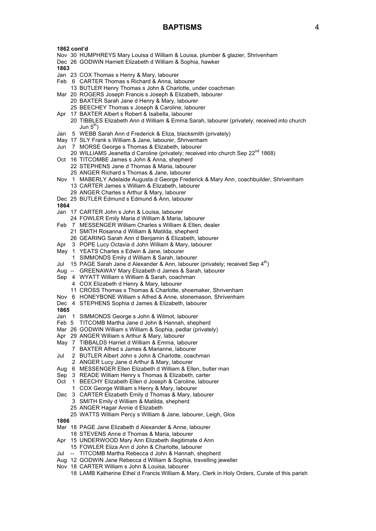- Nov 30 HUMPHREYS Mary Louisa d William & Louisa, plumber & glazier, Shrivenham
- Dec 26 GODWIN Harriett Elizabeth d William & Sophia, hawker

- Jan 23 COX Thomas s Henry & Mary, labourer
- Feb 6 CARTER Thomas s Richard & Anna, labourer
	- 13 BUTLER Henry Thomas s John & Charlotte, under coachman
- Mar 20 ROGERS Joseph Francis s Joseph & Elizabeth, labourer 20 BAXTER Sarah Jane d Henry & Mary, labourer
	- 25 BEECHEY Thomas s Joseph & Caroline, labourer
- Apr 17 BAXTER Albert s Robert & Isabella, labourer
- 20 TIBBLES Elizabeth Ann d William & Emma Sarah, labourer (privately; received into church Jun  $5<sup>th</sup>$ )
- Jan 5 WEBB Sarah Ann d Frederick & Eliza, blacksmith (privately)
- May 17 SLY Frank s William & Jane, labourer, Shrivenham
- Jun 7 MORSE George s Thomas & Elizabeth, labourer
- 20 WILLIAMS Jeanetta d Caroline (privately; received into church Sep 22<sup>nd</sup> 1868)
- Oct 16 TITCOMBE James s John & Anna, shepherd
	- 22 STEPHENS Jane d Thomas & Maria, labourer
		- 25 ANGER Richard s Thomas & Jane, labourer
- Nov 1 MABERLY Adelaide Augusta d George Frederick & Mary Ann, coachbuilder, Shrivenham 13 CARTER James s William & Elizabeth, labourer
	- 29 ANGER Charles s Arthur & Mary, labourer
- Dec 25 BUTLER Edmund s Edmund & Ann, labourer
- **1864**
- Jan 17 CARTER John s John & Louisa, labourer
- 24 FOWLER Emily Maria d William & Maria, labourer
- Feb 7 MESSENGER William Charles s William & Ellen, dealer
	- 21 SMITH Rosanna d William & Matilda, shepherd
	- 26 GEARING Sarah Ann d Benjamin & Elizabeth, labourer
- Apr 3 POPE Lucy Octavia d John William & Mary, labourer
- May 1 YEATS Charles s Edwin & Jane, labourer
- 1 SIMMONDS Emily d William & Sarah, labourer
- Jul 15 PAGE Sarah Jane d Alexander & Ann, labourer (privately; received Sep  $4<sup>th</sup>$ )
- Aug -- GREENAWAY Mary Elizabeth d James & Sarah, labourer
- Sep 4 WYATT William s William & Sarah, coachman
	- 4 COX Elizabeth d Henry & Mary, labourer
	- 11 CROSS Thomas s Thomas & Charlotte, shoemaker, Shrivenham
- Nov 6 HONEYBONE William s Alfred & Anne, stonemason, Shrivenham
- Dec 4 STEPHENS Sophia d James & Elizabeth, labourer
- **1865**
- 
- Jan 1 SIMMONDS George s John & Wilmot, labourer
- Feb 5 TITCOMB Martha Jane d John & Hannah, shepherd
- Mar 26 GODWIN William s William & Sophia, pedlar (privately)
- Apr 29 ANGER William s Arthur & Mary, labourer
- May 7 TIBBALDS Harriet d William & Emma, labourer
- 7 BAXTER Alfred s James & Marianne, labourer
- Jul 2 BUTLER Albert John s John & Charlotte, coachman 2 ANGER Lucy Jane d Arthur & Mary, labourer
- Aug 6 MESSENGER Ellen Elizabeth d William & Ellen, butler man
- Sep 3 READE William Henry s Thomas & Elizabeth, carter
- Oct 1 BEECHY Elizabeth Ellen d Joseph & Caroline, labourer
- 1 COX George William s Henry & Mary, labourer
- Dec 3 CARTER Elizabeth Emily d Thomas & Mary, labourer
	- 3 SMITH Emily d William & Matilda, shepherd
	- 25 ANGER Hagar Annie d Elizabeth
	- 25 WATTS William Percy s William & Jane, labourer, Leigh, Glos
- **1866**
- Mar 18 PAGE Jane Elizabeth d Alexander & Anne, labourer
- 18 STEVENS Anne d Thomas & Maria, labourer
- Apr 15 UNDERWOOD Mary Ann Elizabeth illegitimate d Ann
- 15 FOWLER Eliza Ann d John & Charlotte, labourer
- Jul -- TITCOMB Martha Rebecca d John & Hannah, shepherd
- Aug 12 GODWIN Jane Rebecca d William & Sophia, travelling jeweller
- Nov 18 CARTER William s John & Louisa, labourer
	- 18 LAMB Katherine Ethel d Francis William & Mary, Clerk in Holy Orders, Curate of this parish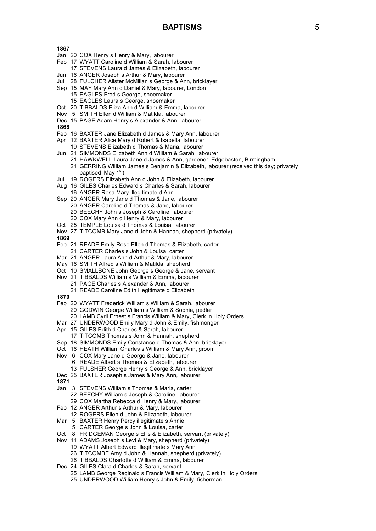- Jan 20 COX Henry s Henry & Mary, labourer
- Feb 17 WYATT Caroline d William & Sarah, labourer
	- 17 STEVENS Laura d James & Elizabeth, labourer
- Jun 16 ANGER Joseph s Arthur & Mary, labourer
- Jul 28 FULCHER Alister McMillan s George & Ann, bricklayer
- Sep 15 MAY Mary Ann d Daniel & Mary, labourer, London
	- 15 EAGLES Fred s George, shoemaker
		- 15 EAGLES Laura s George, shoemaker
- Oct 20 TIBBALDS Eliza Ann d William & Emma, labourer
- Nov 5 SMITH Ellen d William & Matilda, labourer
- Dec 15 PAGE Adam Henry s Alexander & Ann, labourer
- **1868**
- Feb 16 BAXTER Jane Elizabeth d James & Mary Ann, labourer
- Apr 12 BAXTER Alice Mary d Robert & Isabella, labourer
- 19 STEVENS Elizabeth d Thomas & Maria, labourer
- Jun 21 SIMMONDS Elizabeth Ann d William & Sarah, labourer
	- 21 HAWKWELL Laura Jane d James & Ann, gardener, Edgebaston, Birmingham
	- 21 GERRING William James s Benjamin & Elizabeth, labourer (received this day; privately baptised May  $1<sup>st</sup>$ )
- Jul 19 ROGERS Elizabeth Ann d John & Elizabeth, labourer
- Aug 16 GILES Charles Edward s Charles & Sarah, labourer
	- 16 ANGER Rosa Mary illegitimate d Ann
- Sep 20 ANGER Mary Jane d Thomas & Jane, labourer
	- 20 ANGER Caroline d Thomas & Jane, labourer
	- 20 BEECHY John s Joseph & Caroline, labourer
	- 20 COX Mary Ann d Henry & Mary, labourer
- Oct 25 TEMPLE Louisa d Thomas & Louisa, labourer
- Nov 27 TITCOMB Mary Jane d John & Hannah, shepherd (privately)
- **1869**
- Feb 21 READE Emily Rose Ellen d Thomas & Elizabeth, carter
- 21 CARTER Charles s John & Louisa, carter
- Mar 21 ANGER Laura Ann d Arthur & Mary, labourer
- May 16 SMITH Alfred s William & Matilda, shepherd
- Oct 10 SMALLBONE John George s George & Jane, servant
- Nov 21 TIBBALDS William s William & Emma, labourer 21 PAGE Charles s Alexander & Ann, labourer
	- 21 READE Caroline Edith illegitimate d Elizabeth
- **1870**
- Feb 20 WYATT Frederick William s William & Sarah, labourer
	- 20 GODWIN George William s William & Sophia, pedlar
	- 20 LAMB Cyril Ernest s Francis William & Mary, Clerk in Holy Orders
- Mar 27 UNDERWOOD Emily Mary d John & Emily, fishmonger
- Apr 15 GILES Edith d Charles & Sarah, labourer
- 17 TITCOMB Thomas s John & Hannah, shepherd
- Sep 18 SIMMONDS Emily Constance d Thomas & Ann, bricklayer
- Oct 16 HEATH William Charles s William & Mary Ann, groom
- Nov 6 COX Mary Jane d George & Jane, labourer
	- - 6 READE Albert s Thomas & Elizabeth, labourer
		- 13 FULSHER George Henry s George & Ann, bricklayer
- Dec 25 BAXTER Joseph s James & Mary Ann, labourer
- **1871**
- Jan 3 STEVENS William s Thomas & Maria, carter 22 BEECHY William s Joseph & Caroline, labourer
	- 29 COX Martha Rebecca d Henry & Mary, labourer
- Feb 12 ANGER Arthur s Arthur & Mary, labourer
- 12 ROGERS Ellen d John & Elizabeth, labourer
- Mar 5 BAXTER Henry Percy illegitimate s Annie
	- 5 CARTER George s John & Louisa, carter
- Oct 8 FRIDGEMAN George s Ellis & Elizabeth, servant (privately)
- Nov 11 ADAMS Joseph s Levi & Mary, shepherd (privately)
	- 19 WYATT Albert Edward illegitimate s Mary Ann
		- 26 TITCOMBE Amy d John & Hannah, shepherd (privately)
	- 26 TIBBALDS Charlotte d William & Emma, labourer
- Dec 24 GILES Clara d Charles & Sarah, servant
	- 25 LAMB George Reginald s Francis William & Mary, Clerk in Holy Orders
	- 25 UNDERWOOD William Henry s John & Emily, fisherman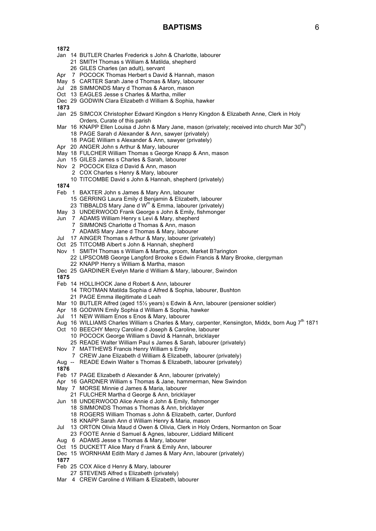# **BAPTISMS** 6

**1872**

- Jan 14 BUTLER Charles Frederick s John & Charlotte, labourer 21 SMITH Thomas s William & Matilda, shepherd
	- 26 GILES Charles (an adult), servant
- Apr 7 POCOCK Thomas Herbert s David & Hannah, mason
- May 5 CARTER Sarah Jane d Thomas & Mary, labourer
- Jul 28 SIMMONDS Mary d Thomas & Aaron, mason
- Oct 13 EAGLES Jesse s Charles & Martha, miller
- Dec 29 GODWIN Clara Elizabeth d William & Sophia, hawker
- **1873**
- Jan 25 SIMCOX Christopher Edward Kingdon s Henry Kingdon & Elizabeth Anne, Clerk in Holy Orders, Curate of this parish
- Mar 16 KNAPP Ellen Louisa d John & Mary Jane, mason (privately; received into church Mar 30<sup>th</sup>)
	- 18 PAGE Sarah d Alexander & Ann, sawyer (privately)
	- 18 PAGE William s Alexander & Ann, sawyer (privately)
- Apr 20 ANGER John s Arthur & Mary, labourer
- May 18 FULCHER William Thomas s George Knapp & Ann, mason
- Jun 15 GILES James s Charles & Sarah, labourer
- Nov 2 POCOCK Eliza d David & Ann, mason
	- 2 COX Charles s Henry & Mary, labourer
		- 10 TITCOMBE David s John & Hannah, shepherd (privately)
- **1874**
- Feb 1 BAXTER John s James & Mary Ann, labourer
	- 15 GERRING Laura Emily d Benjamin & Elizabeth, labourer
	- 23 TIBBALDS Mary Jane d  $W^m$  & Emma, labourer (privately)
- May 3 UNDERWOOD Frank George s John & Emily, fishmonger
- Jun 7 ADAMS William Henry s Levi & Mary, shepherd
	- 7 SIMMONS Charlotte d Thomas & Ann, mason
	- 7 ADAMS Mary Jane d Thomas & Mary, labourer
- Jul 17 AINGER Thomas s Arthur & Mary, labourer (privately)
- Oct 25 TITCOMB Albert s John & Hannah, shepherd
- Nov 1 SMITH Thomas s William & Martha, groom, Market B?arington
	- 22 LIPSCOMB George Langford Brooke s Edwin Francis & Mary Brooke, clergyman 22 KNAPP Henry s William & Martha, mason
- Dec 25 GARDINER Evelyn Marie d William & Mary, labourer, Swindon

- Feb 14 HOLLIHOCK Jane d Robert & Ann, labourer
	- 14 TROTMAN Matilda Sophia d Alfred & Sophia, labourer, Bushton 21 PAGE Emma illegitimate d Leah
- Mar 10 BUTLER Alfred (aged 15½ years) s Edwin & Ann, labourer (pensioner soldier)
- Apr 18 GODWIN Emily Sophia d William & Sophia, hawker
- Jul 11 NEW William Enos s Enos & Mary, labourer
- Aug 16 WILLIAMS Charles William s Charles & Mary, carpenter, Kensington, Middx, born Aug 7<sup>th</sup> 1871
- Oct 10 BEECHY Mercy Caroline d Joseph & Caroline, labourer
	- 10 POCOCK George William s David & Hannah, bricklayer
	- 25 READE Walter William Paul s James & Sarah, labourer (privately)
- Nov 7 MATTHEWS Francis Henry William s Emily
	- 7 CREW Jane Elizabeth d William & Elizabeth, labourer (privately)
- Aug -- READE Edwin Walter s Thomas & Elizabeth, labourer (privately)
- **1876**
- Feb 17 PAGE Elizabeth d Alexander & Ann, labourer (privately)
- Apr 16 GARDNER William s Thomas & Jane, hammerman, New Swindon
- May 7 MORSE Minnie d James & Maria, labourer
- 21 FULCHER Martha d George & Ann, bricklayer
- Jun 18 UNDERWOOD Alice Annie d John & Emily, fishmonger
	- 18 SIMMONDS Thomas s Thomas & Ann, bricklayer
	- 18 ROGERS William Thomas s John & Elizabeth, carter, Dunford
	- 18 KNAPP Sarah Ann d William Henry & Maria, mason
- Jul 13 ORTON Olivia Maud d Owen & Olivia, Clerk in Holy Orders, Normanton on Soar
	- 23 FOOTE Annie d Samuel & Agnes, labourer, Liddiard Millicent
- Aug 6 ADAMS Jesse s Thomas & Mary, labourer
- Oct 15 DUCKETT Alice Mary d Frank & Emily Ann, labourer
- Dec 15 WORNHAM Edith Mary d James & Mary Ann, labourer (privately)
- **1877**
- Feb 25 COX Alice d Henry & Mary, labourer
- 27 STEVENS Alfred s Elizabeth (privately)
- Mar 4 CREW Caroline d William & Elizabeth, labourer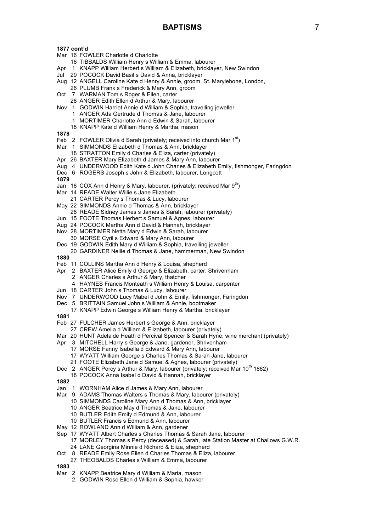- Mar 16 FOWLER Charlotte d Charlotte
	- 16 TIBBALDS William Henry s William & Emma, labourer
- Apr 1 KNAPP William Herbert s William & Elizabeth, bricklayer, New Swindon
- Jul 29 POCOCK David Basil s David & Anna, bricklayer
- Aug 12 ANGELL Caroline Kate d Henry & Annie, groom, St. Marylebone, London,
- 26 PLUMB Frank s Frederick & Mary Ann, groom
- Oct 7 WARMAN Tom s Roger & Ellen, carter
- 28 ANGER Edith Ellen d Arthur & Mary, labourer
- Nov 1 GODWIN Harriet Annie d William & Sophia, travelling jeweller
	- 1 ANGER Ada Gertrude d Thomas & Jane, labourer 1 MORTIMER Charlotte Ann d Edwin & Sarah, labourer
	- 18 KNAPP Kate d William Henry & Martha, mason
	-

# **1878**

- Feb 2 FOWLER Olivia d Sarah (privately; received into church Mar  $1<sup>st</sup>$ )
- Mar 1 SIMMONDS Elizabeth d Thomas & Ann, bricklayer
- 18 STRATTON Emily d Charles & Eliza, carter (privately)
- Apr 26 BAXTER Mary Elizabeth d James & Mary Ann, labourer
- Aug 4 UNDERWOOD Edith Kate d John Charles & Elizabeth Emily, fishmonger, Faringdon
- Dec 6 ROGERS Joseph s John & Elizabeth, labourer, Longcott

### **1879**

- Jan 18 COX Ann d Henry & Mary, labourer, (privately: received Mar 9<sup>th</sup>)
- Mar 14 READE Walter Willie s Jane Elizabeth
	- 21 CARTER Percy s Thomas & Lucy, labourer
- May 22 SIMMONDS Annie d Thomas & Ann, bricklayer
- 28 READE Sidney James s James & Sarah, labourer (privately)
- Jun 15 FOOTE Thomas Herbert s Samuel & Agnes, labourer
- Aug 24 POCOCK Martha Ann d David & Hannah, bricklayer
- Nov 28 MORTIMER Netta Mary d Edwin & Sarah, labourer
- 30 MORSE Cyril s Edward & Mary Ann, labourer
- Dec 19 GODWIN Edith Mary d William & Sophia, travelling jeweller 20 GARDINER Nellie d Thomas & Jane, hammerman, New Swindon

- Feb 11 COLLINS Martha Ann d Henry & Louisa, shepherd
- Apr 2 BAXTER Alice Emily d George & Elizabeth, carter, Shrivenham
	- 2 ANGER Charles s Arthur & Mary, thatcher
	- 4 HAYNES Francis Monteath s William Henry & Louisa, carpenter
- Jun 18 CARTER John s Thomas & Lucy, labourer
- Nov 7 UNDERWOOD Lucy Mabel d John & Emily, fishmonger, Faringdon
- Dec 5 BRITTAIN Samuel John s William & Annie, bootmaker
- 17 KNAPP Edwin George s William Henry & Martha, bricklayer
- **1881**
- Feb 27 FULCHER James Herbert s George & Ann, bricklayer
- 27 CREW Amelia d William & Elizabeth, labourer (privately)
- Mar 20 HUNT Adelaide Heath d Percival Spencer & Sarah Hyne, wine merchant (privately)
- Apr 3 MITCHELL Harry s George & Jane, gardener, Shrivenham
	- 17 MORSE Fanny Isabella d Edward & Mary Ann, labourer
		- 17 WYATT William George s Charles Thomas & Sarah Jane, labourer
		- 21 FOOTE Elizabeth Jane d Samuel & Agnes, labourer (privately)
- Dec 2 ANGER Percy s Arthur & Mary, labourer (privately; received Mar 10<sup>th</sup> 1882)
- 18 POCOCK Anna Isabel d David & Hannah, bricklayer
- **1882**
- Jan 1 WORNHAM Alice d James & Mary Ann, labourer
- Mar 9 ADAMS Thomas Walters s Thomas & Mary, labourer (privately)
	- 10 SIMMONDS Caroline Mary Ann d Thomas & Ann, bricklayer
	- 10 ANGER Beatrice May d Thomas & Jane, labourer
	- 10 BUTLER Edith Emily d Edmund & Ann, labourer
	- 10 BUTLER Francis s Edmund & Ann, labourer
- May 12 ROWLAND Ann d William & Ann, gardener
- Sep 17 WYATT Albert Charles s Charles Thomas & Sarah Jane, labourer
- 17 MORLEY Thomas s Percy (deceased) & Sarah, late Station Master at Challows G.W.R.
	- 24 LANE Georgina Minnie d Richard & Eliza, shepherd
- Oct 8 READE Emily Rose Ellen d Charles Thomas & Eliza, labourer
- 27 THEOBALDS Charles s William & Emma, labourer
- **1883**
- Mar 2 KNAPP Beatrice Mary d William & Maria, mason
	- 2 GODWIN Rose Ellen d William & Sophia, hawker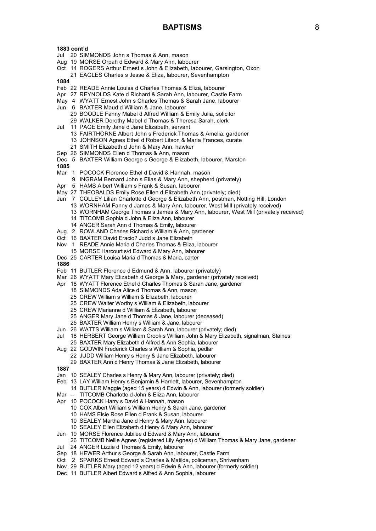- Jul 20 SIMMONDS John s Thomas & Ann, mason
- Aug 19 MORSE Orpah d Edward & Mary Ann, labourer
- Oct 14 ROGERS Arthur Ernest s John & Elizabeth, labourer, Garsington, Oxon 21 EAGLES Charles s Jesse & Eliza, labourer, Sevenhampton

**1884**

- Feb 22 READE Annie Louisa d Charles Thomas & Eliza, labourer
- Apr 27 REYNOLDS Kate d Richard & Sarah Ann, labourer, Castle Farm
- May 4 WYATT Ernest John s Charles Thomas & Sarah Jane, labourer
- Jun 6 BAXTER Maud d William & Jane, labourer 29 BOODLE Fanny Mabel d Alfred William & Emily Julia, solicitor 29 WALKER Dorothy Mabel d Thomas & Theresa Sarah, clerk
- Jul 11 PAGE Emily Jane d Jane Elizabeth, servant
	- 13 FAIRTHORNE Albert John s Frederick Thomas & Amelia, gardener
	- 13 JOHNSON Agnes Ethel d Robert Litson & Maria Frances, curate
	- 21 SMITH Elizabeth d John & Mary Ann, hawker
- Sep 26 SIMMONDS Ellen d Thomas & Ann, mason
- Dec 5 BAXTER William George s George & Elizabeth, labourer, Marston

- Mar 1 POCOCK Florence Ethel d David & Hannah, mason
	- 9 INGRAM Bernard John s Elias & Mary Ann, shepherd (privately)
- Apr 5 HAMS Albert William s Frank & Susan, labourer
- May 27 THEOBALDS Emily Rose Ellen d Elizabeth Ann (privately; died)
- Jun 7 COLLEY Lilian Charlotte d George & Elizabeth Ann, postman, Notting Hill, London
	- 13 WORNHAM Fanny d James & Mary Ann, labourer, West Mill (privately received)
	- 13 WORNHAM George Thomas s James & Mary Ann, labourer, West Mill (privately received)
	- 14 TITCOMB Sophia d John & Eliza Ann, labourer
	- 14 ANGER Sarah Ann d Thomas & Emily, labourer
- Aug 2 ROWLAND Charles Richard s William & Ann, gardener
- Oct 16 BAXTER David Eracio? Judd s Jane Elizabeth
- Nov 1 READE Annie Maria d Charles Thomas & Eliza, labourer
	- 15 MORSE Harcourt s/d Edward & Mary Ann, labourer
- Dec 25 CARTER Louisa Maria d Thomas & Maria, carter
- **1886**
- Feb 11 BUTLER Florence d Edmund & Ann, labourer (privately)
- Mar 26 WYATT Mary Elizabeth d George & Mary, gardener (privately received)
- Apr 18 WYATT Florence Ethel d Charles Thomas & Sarah Jane, gardener
	- 18 SIMMONDS Ada Alice d Thomas & Ann, mason
	- 25 CREW William s William & Elizabeth, labourer
	- 25 CREW Walter Worthy s William & Elizabeth, labourer
	- 25 CREW Marianne d William & Elizabeth, labourer
	- 25 ANGER Mary Jane d Thomas & Jane, labourer (deceased)
	- 25 BAXTER William Henry s William & Jane, labourer
- Jun 26 WATTS William s William & Sarah Ann, labourer (privately; died)
- Jul 18 HERBERT George William Crook s William John & Mary Elizabeth, signalman, Staines 25 BAXTER Mary Elizabeth d Alfred & Ann Sophia, labourer
- Aug 22 GODWIN Frederick Charles s William & Sophia, pedlar
	- - 22 JUDD William Henry s Henry & Jane Elizabeth, labourer
		- 29 BAXTER Ann d Henry Thomas & Jane Elizabeth, labourer
- **1887**
- Jan 10 SEALEY Charles s Henry & Mary Ann, labourer (privately; died)
- Feb 13 LAY William Henry s Benjamin & Harriett, labourer, Sevenhampton
	- 14 BUTLER Maggie (aged 15 years) d Edwin & Ann, labourer (formerly soldier)
- Mar -- TITCOMB Charlotte d John & Eliza Ann, labourer
- Apr 10 POCOCK Harry s David & Hannah, mason
	- 10 COX Albert William s William Henry & Sarah Jane, gardener
	- 10 HAMS Elsie Rose Ellen d Frank & Susan, labourer
	- 10 SEALEY Martha Jane d Henry & Mary Ann, labourer
	- 10 SEALEY Ellen Elizabeth d Henry & Mary Ann, labourer
- Jun 19 MORSE Florence Jubilee d Edward & Mary Ann, labourer
- 26 TITCOMB Nellie Agnes (registered Lily Agnes) d William Thomas & Mary Jane, gardener
- Jul 24 ANGER Lizzie d Thomas & Emily, labourer
- Sep 18 HEWER Arthur s George & Sarah Ann, labourer, Castle Farm
- Oct 2 SPARKS Ernest Edward s Charles & Matilda, policeman, Shrivenham
- Nov 29 BUTLER Mary (aged 12 years) d Edwin & Ann, labourer (formerly soldier)
- Dec 11 BUTLER Albert Edward s Alfred & Ann Sophia, labourer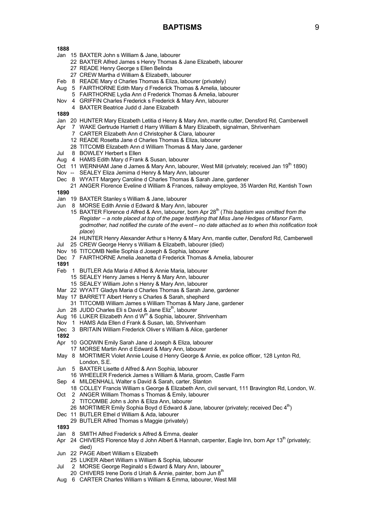- Jan 15 BAXTER John s William & Jane, labourer
	- 22 BAXTER Alfred James s Henry Thomas & Jane Elizabeth, labourer
	- 27 READE Henry George s Ellen Belinda
	- 27 CREW Martha d William & Elizabeth, labourer
- Feb 8 READE Mary d Charles Thomas & Eliza, labourer (privately)
- Aug 5 FAIRTHORNE Edith Mary d Frederick Thomas & Amelia, labourer
	- 5 FAIRTHORNE Lydia Ann d Frederick Thomas & Amelia, labourer
- Nov 4 GRIFFIN Charles Frederick s Frederick & Mary Ann, labourer
- 4 BAXTER Beatrice Judd d Jane Elizabeth
- **1889**
- Jan 20 HUNTER Mary Elizabeth Letitia d Henry & Mary Ann, mantle cutter, Densford Rd, Camberwell
- Apr 7 WAKE Gertrude Harriett d Harry William & Mary Elizabeth, signalman, Shrivenham
	- 7 CARTER Elizabeth Ann d Christopher & Clara, labourer
	- 12 READE Rosetta Jane d Charles Thomas & Eliza, labourer
	- 28 TITCOMB Elizabeth Ann d William Thomas & Mary Jane, gardener
- Jul 8 BOWLEY Herbert s Ellen
- Aug 4 HAMS Edith Mary d Frank & Susan, labourer
- Oct 11 WERNHAM Jane d James & Mary Ann, labourer, West Mill (privately; received Jan 19<sup>th</sup> 1890)
- Nov -- SEALEY Eliza Jemima d Henry & Mary Ann, labourer
- Dec 8 WYATT Margery Caroline d Charles Thomas & Sarah Jane, gardener
- 21 ANGER Florence Eveline d William & Frances, railway employee, 35 Warden Rd, Kentish Town **1890**
- 
- Jan 19 BAXTER Stanley s William & Jane, labourer
- Jun 8 MORSE Edith Annie d Edward & Mary Ann, labourer
	- 15 BAXTER Florence d Alfred & Ann, labourer, born Apr 28<sup>th</sup> (*This baptism was omitted from the Register – a note placed at top of the page testifying that Miss Jane Hedges of Manor Farm, godmother, had notified the curate of the event – no date attached as to when this notification took place*)
	- 24 HUNTER Henry Alexander Arthur s Henry & Mary Ann, mantle cutter, Densford Rd, Camberwell
- Jul 25 CREW George Henry s William & Elizabeth, labourer (died)
- Nov 16 TITCOMB Nellie Sophia d Joseph & Sophia, labourer
- Dec 7 FAIRTHORNE Amelia Jeanetta d Frederick Thomas & Amelia, labourer
- **1891**
- Feb 1 BUTLER Ada Maria d Alfred & Annie Maria, labourer
	- 15 SEALEY Henry James s Henry & Mary Ann, labourer
	- 15 SEALEY William John s Henry & Mary Ann, labourer
- Mar 22 WYATT Gladys Maria d Charles Thomas & Sarah Jane, gardener
- May 17 BARRETT Albert Henry s Charles & Sarah, shepherd
	- 31 TITCOMB William James s William Thomas & Mary Jane, gardener
- Jun 28 JUDD Charles Eli s David & Jane Eliz<sup>th</sup>, labourer
- Aug 16 LUKER Elizabeth Ann d W<sup>m</sup> & Sophia, labourer, Shrivenham
- Nov 1 HAMS Ada Ellen d Frank & Susan, lab, Shrivenham
- Dec 3 BRITAIN William Frederick Oliver s William & Alice, gardener
- **1892**
- Apr 10 GODWIN Emily Sarah Jane d Joseph & Eliza, labourer
- 17 MORSE Martin Ann d Edward & Mary Ann, labourer
- May 8 MORTIMER Violet Annie Louise d Henry George & Annie, ex police officer, 128 Lynton Rd, London, S.E.
- Jun 5 BAXTER Lisette d Alfred & Ann Sophia, labourer
- 16 WHEELER Frederick James s William & Maria, groom, Castle Farm
- Sep 4 MILDENHALL Walter s David & Sarah, carter, Stanton
- 18 COLLEY Francis William s George & Elizabeth Ann, civil servant, 111 Bravington Rd, London, W.
- Oct 2 ANGER William Thomas s Thomas & Emily, labourer 2 TITCOMBE John s John & Eliza Ann, labourer
	- 26 MORTIMER Emily Sophia Boyd d Edward & Jane, labourer (privately; received Dec  $4<sup>th</sup>$ )
- Dec 11 BUTLER Ethel d William & Ada, labourer
- 29 BUTLER Alfred Thomas s Maggie (privately)
- **1893**
- Jan 8 SMITH Alfred Frederick s Alfred & Emma, dealer
- Apr 24 CHIVERS Florence May d John Albert & Hannah, carpenter, Eagle Inn, born Apr 13<sup>th</sup> (privately; died)
- Jun 22 PAGE Albert William s Elizabeth
- 25 LUKER Albert William s William & Sophia, labourer
- Jul 2 MORSE George Reginald s Edward & Mary Ann, labourer
- 20 CHIVERS Irene Doris d Uriah & Annie, painter, born Jun 8<sup>th</sup>
- Aug 6 CARTER Charles William s William & Emma, labourer, West Mill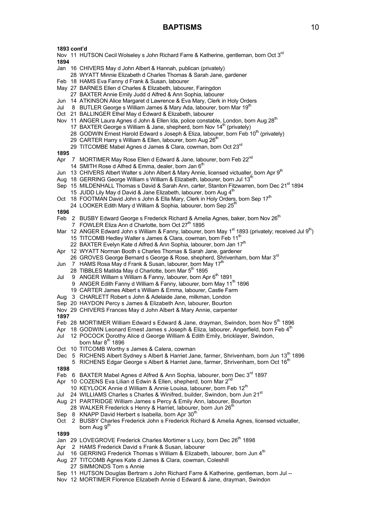- Nov 11 HUTSON Cecil Wolseley s John Richard Farre & Katherine, gentleman, born Oct 3<sup>rd</sup> **1894**
- Jan 16 CHIVERS May d John Albert & Hannah, publican (privately)
- 28 WYATT Minnie Elizabeth d Charles Thomas & Sarah Jane, gardener
- Feb 18 HAMS Eva Fanny d Frank & Susan, labourer
- May 27 BARNES Ellen d Charles & Elizabeth, labourer, Faringdon
- 27 BAXTER Annie Emily Judd d Alfred & Ann Sophia, labourer
- Jun 14 ATKINSON Alice Margaret d Lawrence & Eva Mary, Clerk in Holy Orders
- Jul 8 BUTLER George s William James & Mary Ada, labourer, born Mar 19<sup>th</sup>
- Oct 21 BALLINGER Ethel May d Edward & Elizabeth, labourer
- Nov 11 ANGER Laura Agnes d John & Ellen Ida, police constable, London, born Aug 28<sup>th</sup>
	- 17 BAXTER George s William & Jane, shepherd, born Nov 14<sup>th</sup> (privately)
		- 28 GODWIN Ernest Harold Edward s Joseph & Eliza, labourer, born Feb 10<sup>th</sup> (privately)
	- 29 CARTER Harry s William & Ellen, labourer, born Aug  $26<sup>m</sup>$
	- 29 TITCOMBE Mabel Agnes d James & Clara, cowman, born Oct 23<sup>rd</sup>

**1895**

- Apr 7 MORTIMER May Rose Ellen d Edward & Jane, labourer, born Feb 22<sup>nd</sup>
- 14 SMITH Rose d Alfred & Emma, dealer, born Jan  $6<sup>t</sup>$
- Jun 13 CHIVERS Albert Walter s John Albert & Mary Annie, licensed victualler, born Apr 9<sup>th</sup>
- Aug 18 GERRING George William s William & Elizabeth, labourer, born Jul 13<sup>t</sup>
- Sep 15 MILDENHALL Thomas s David & Sarah Ann, carter, Stanton Fitzwarren, born Dec 21<sup>st</sup> 1894
- 15 JUDD Lily May d David & Jane Elizabeth, labourer, born Aug  $4<sup>m</sup>$
- Oct 18 FOOTMAN David John s John & Ella Mary, Clerk in Holy Orders, born Sep 17<sup>th</sup>
- 24 LOOKER Edith Mary d William & Sophia, labourer, born Sep 25

**1896**

- Feb 2 BUSBY Edward George s Frederick Richard & Amelia Agnes, baker, born Nov 26<sup>th</sup>
	- 7 FOWLER Eliza Ann d Charlotte, born Oct  $27<sup>th</sup>$  1895
- Mar 12 ANGER Edward John s William & Fanny, labourer, born May 1<sup>st</sup> 1893 (privately; received Jul 9<sup>th</sup>) 15 TITCOMB Hedley Walter s James & Clara, cowman, born Feb 11<sup>th</sup>
	- 22 BAXTER Evelyn Kate d Alfred & Ann Sophia, labourer, born Jan 17<sup>th</sup>
- Apr 12 WYATT Norman Booth s Charles Thomas & Sarah Jane, gardener
- 26 GROVES George Bernard s George & Rose, shepherd, Shrivenham, born Mar 3<sup>rd</sup>
- Jun 7 HAMS Rosa May d Frank & Susan, labourer, born May 17<sup>th</sup>
- 28 TIBBLES Matilda May d Charlotte, born Mar 5<sup>th</sup> 1895
- Jul 9 ANGER William s William & Fanny, labourer, born Apr 6<sup>th</sup> 1891 9 ANGER Edith Fanny d William & Fanny, labourer, born May 11<sup>th</sup> 1896
	- 19 CARTER James Albert s William & Emma, labourer, Castle Farm
	-
- Aug 3 CHARLETT Robert s John & Adelaide Jane, milkman, London
- Sep 20 HAYDON Percy s James & Elizabeth Ann, labourer, Bourton Nov 29 CHIVERS Frances May d John Albert & Mary Annie, carpenter
- **1897**
- Feb 28 MORTIMER William Edward s Edward & Jane, drayman, Swindon, born Nov 5<sup>th</sup> 1896
- Apr 18 GODWIN Leonard Ernest James s Joseph & Eliza, labourer, Angerfield, born Feb  $4^{\text{th}}$
- Jul 12 POCOCK Dorothy Alice d George William & Edith Emily, bricklayer, Swindon, born Mar  $8^{th}$  1896
- Oct 10 TITCOMB Worthy s James & Calera, cowman
- Dec 5 RICHENS Albert Sydney s Albert & Harriet Jane, farmer, Shrivenham, born Jun 13<sup>th</sup> 1896 5 RICHENS Edgar George s Albert & Harriet Jane, farmer, Shrivenham, born Oct 16<sup>th</sup>

**1898**

- Feb 6 BAXTER Mabel Agnes d Alfred & Ann Sophia, labourer, born Dec 3<sup>rd</sup> 1897
- Apr 10 COZENS Eva Lilian d Edwin & Ellen, shepherd, born Mar  $2^{nc}$ 
	- 10 KEYLOCK Annie d William & Annie Louisa, labourer, born Feb 12<sup>th</sup>
- Jul 24 WILLIAMS Charles s Charles & Winifred, builder, Swindon, born Jun 21<sup>st</sup>
- Aug 21 PARTRIDGE William James s Percy & Emily Ann, labourer, Bourton
- 
- 28 WALKER Frederick s Henry & Harriet, labourer, born Jun  $26<sup>th</sup>$
- Sep 8 KNAPP David Herbert s Isabella, born Apr 30<sup>th</sup>
- Oct 2 BUSBY Charles Frederick John s Frederick Richard & Amelia Agnes, licensed victualler, born Aug 9<sup>th</sup>

- Jan 29 LOVEGROVE Frederick Charles Mortimer s Lucy, born Dec 26<sup>th</sup> 1898
- Apr 2 HAMS Frederick David s Frank & Susan, labourer
- Jul 16 GERRING Frederick Thomas s William & Elizabeth, labourer, born Jun 4<sup>th</sup>
- Aug 27 TITCOMB Agnes Kate d James & Clara, cowman, Coleshill
- 27 SIMMONDS Tom s Annie
- Sep 11 HUTSON Douglas Bertram s John Richard Farre & Katherine, gentleman, born Jul --
- Nov 12 MORTIMER Florence Elizabeth Annie d Edward & Jane, drayman, Swindon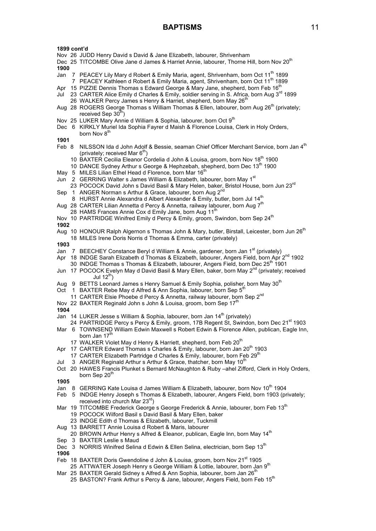- Nov 26 JUDD Henry David s David & Jane Elizabeth, labourer, Shrivenham
- Dec 25 TITCOMBE Olive Jane d James & Harriet Annie, labourer, Thorne Hill, born Nov 20<sup>th</sup> **1900**
- Jan 7 PEACEY Lily Mary d Robert & Emily Maria, agent, Shrivenham, born Oct 11<sup>th</sup> 1899 7 PEACEY Kathleen d Robert & Emily Maria, agent, Shrivenham, born Oct 11<sup>th</sup> 1899
- Apr 15 PIZZIE Dennis Thomas s Edward George & Mary Jane, shepherd, born Feb 16<sup>th</sup>
- Jul 23 CARTER Alice Emily d Charles & Emily, soldier serving in S. Africa, born Aug 3<sup>rd</sup> 1899 26 WALKER Percy James s Henry & Harriet, shepherd, born May 26<sup>th</sup>
- Aug 28 ROGERS George Thomas s William Thomas & Ellen, labourer, born Aug 26<sup>th</sup> (privately; received Sep  $30<sup>th</sup>$ )
- Nov 25 LUKER Mary Annie d William & Sophia, labourer, born Oct 9<sup>th</sup>
- Dec 6 KIRKLY Muriel Ida Sophia Fayrer d Maish & Florence Louisa, Clerk in Holy Orders, born Nov 8<sup>th</sup>

### **1901**

- Feb 8 NILSSON Ida d John Adolf & Bessie, seaman Chief Officer Merchant Service, born Jan 4<sup>th</sup> (privately; received Mar  $6<sup>th</sup>$ )
	- 10 BAXTER Cecilia Eleanor Cordelia d John & Louisa, groom, born Nov 18<sup>th</sup> 1900
	- 10 DANCE Sydney Arthur s George & Hephzebah, shepherd, born Dec 13<sup>th</sup> 1900
- May 5 MILES Lilian Ethel Head d Florence, born Mar 16<sup>th</sup>
- Jun 2 GERRING Walter s James William & Elizabeth, labourer, born May 1<sup>st</sup>
- 23 POCOCK David John s David Basil & Mary Helen, baker, Bristol House, born Jun 23<sup>rd</sup>
- Sep 1 ANGER Norman s Arthur & Grace, labourer, born Aug  $2^n$ 
	- 8 HURST Annie Alexandra d Albert Alexander & Emily, butler, born Jul 14<sup>th</sup>
- Aug 28 CARTER Lilian Annetta d Percy & Annetta, railway labourer, born Aug  $7<sup>th</sup>$ 
	- 28 HAMS Frances Annie Cox d Emily Jane, born Aug 11<sup>th</sup>
- Nov 10 PARTRIDGE Winifred Emily d Percy & Emily, groom, Swindon, born Sep 24<sup>th</sup>
- **1902**
- Aug 10 HONOUR Ralph Algernon s Thomas John & Mary, butler, Birstall, Leicester, born Jun 26<sup>th</sup> 18 MILES Irene Doris Norris d Thomas & Emma, carter (privately)
- **1903**
- Jan 7 BEECHEY Constance Beryl d William & Annie, gardener, born Jan 1<sup>st</sup> (privately)
- Apr 18 INDGE Sarah Elizabeth d Thomas & Elizabeth, labourer, Angers Field, born Apr 2<sup>nd</sup> 1902 30 INDGE Thomas s Thomas & Elizabeth, labourer, Angers Field, born Dec 25<sup>th</sup> 1901
- Jun 17 POCOCK Evelyn May d David Basil & Mary Ellen, baker, born May 2<sup>nd</sup> (privately; received Jul  $12^{th}$ )
- Aug 9 BETTS Leonard James s Henry Samuel & Emily Sophia, polisher, born May 30<sup>th</sup>
- Oct 1 BAXTER Rebe May d Alfred & Ann Sophia, labourer, born Sep 5<sup>th</sup>
- 11 CARTER Elsie Phoebe d Percy & Annetta, railway labourer, born Sep 2<sup>nd</sup>
- Nov 22 BAXTER Reginald John s John & Louisa, groom, born Sep 17<sup>th</sup>
- **1904**
- Jan 14 LUKER Jesse s William & Sophia, labourer, born Jan 14<sup>th</sup> (privately)
- 24 PARTRIDGE Percy s Percy & Emily, groom, 17B Regent St, Swindon, born Dec 21<sup>st</sup> 1903
- Mar 6 TOWNSEND William Edwin Maxwell s Robert Edwin & Florence Allen, publican, Eagle Inn, born Jan 17<sup>th</sup>
	- 17 WALKER Violet May d Henry & Harriett, shepherd, born Feb 20<sup>th</sup>
- Apr 17 CARTER Edward Thomas s Charles & Emily, labourer, born Jan 20<sup>th</sup> 1903
	- 17 CARTER Elizabeth Partridge d Charles & Emily, labourer, born Feb  $29<sup>th</sup>$
- Jul 3 ANGER Reginald Arthur s Arthur & Grace, thatcher, born May 10<sup>th</sup>
- Oct 20 HAWES Francis Plunket s Bernard McNaughton & Ruby –ahel Zifford, Clerk in Holy Orders, born Sep 20<sup>th</sup>
- **1905**
- Jan 8 GERRING Kate Louisa d James William & Elizabeth, labourer, born Nov 10<sup>th</sup> 1904
- Feb 5 INDGE Henry Joseph s Thomas & Elizabeth, labourer, Angers Field, born 1903 (privately; received into church Mar 23<sup>rd</sup>)
- Mar 19 TITCOMBE Frederick George s George Frederick & Annie, labourer, born Feb 13<sup>th</sup> 19 POCOCK Wilford Basil s David Basil & Mary Ellen, baker
	- 23 INDGE Edith d Thomas & Elizabeth, labourer, Tuckmill
- Aug 13 BARRETT Annie Louisa d Robert & Maris, labourer
- 20 BROWN Arthur Henry s Alfred & Eleanor, publican, Eagle Inn, born May 14<sup>th</sup>
- Sep 3 BAXTER Leslie s Maud
- Dec 3 NORRIS Winifred Selina d Edwin & Ellen Selina, electrician, born Sen 13<sup>th</sup>

- Feb 18 BAXTER Doris Gwendoline d John & Louisa, groom, born Nov 21<sup>st</sup> 1905 25 ATTWATER Joseph Henry s George William & Lottie, labourer, born Jan 9<sup>th</sup>
- Mar 25 BAXTER Gerald Sidney s Alfred & Ann Sophia, labourer, born Jan 26<sup>th</sup>
	- 25 BASTON? Frank Arthur s Percy & Jane, labourer, Angers Field, born Feb 15<sup>th</sup>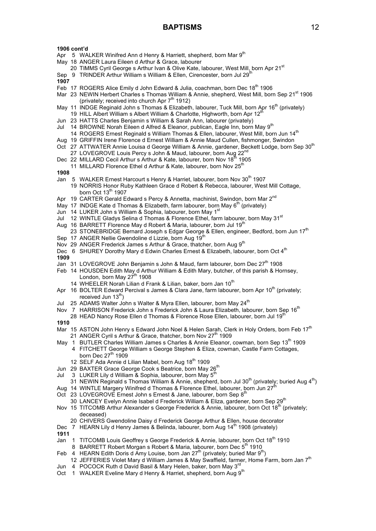- Apr 5 WALKER Winifred Ann d Henry & Harriett, shepherd, born Mar 9<sup>th</sup>
- May 18 ANGER Laura Eileen d Arthur & Grace, labourer
- 20 TIMMS Cyril George s Arthur Ivan & Olive Kate, labourer, West Mill, born Apr 21<sup>st</sup>
- Sep 9 TRINDER Arthur William s William & Ellen, Cirencester, born Jul 29th
- **1907**
- Feb 17 ROGERS Alice Emily d John Edward & Julia, coachman, born Dec 18<sup>th</sup> 1906
- Mar 23 NEWIN Herbert Charles s Thomas William & Annie, shepherd, West Mill, born Sep 21<sup>st</sup> 1906 (privately: received into church Apr  $7<sup>th</sup>$  1912)
- May 11 INDGE Reginald John s Thomas & Elizabeth, labourer, Tuck Mill, born Apr 16<sup>th</sup> (privately)
- 19 HILL Albert William s Albert William & Charlotte, Highworth, born Apr 12
- Jun 23 HATTS Charles Benjamin s William & Sarah Ann, labourer (privately)
- Jul 14 BROWNE Norah Eileen d Alfred & Eleanor, publican, Eagle Inn, born May 9<sup>th</sup>
- 14 ROGERS Ernest Reginald s William Thomas & Ellen, labourer, West Mill, born Jun 14<sup>th</sup>
- Aug 19 GRIFFIN Irene Florence d Ernest William & Annie Maud Cullen, fishmonger, Swindon
- Oct 27 ATTWATER Annie Louisa d George William & Annie, gardener, Beckett Lodge, born Sep 30<sup>th</sup> 27 LOVEGROVE Louis Percy s John & Maud, labourer, born Aug 22<sup>nd</sup>
- Dec 22 MILLARD Cecil Arthur s Arthur & Kate, labourer, born Nov 18<sup>th</sup> 1905
- 11 MILLARD Florence Ethel d Arthur & Kate, labourer, born Nov  $25<sup>tr</sup>$
- **1908**
- Jan 5 WALKER Ernest Harcourt s Henry & Harriet, labourer, born Nov 30<sup>th</sup> 1907
	- 19 NORRIS Honor Ruby Kathleen Grace d Robert & Rebecca, labourer, West Mill Cottage, born Oct  $13<sup>th</sup>$  1907
- Apr 19 CARTER Gerald Edward s Percy & Annetta, machinist, Swindon, born Mar 2<sup>nd</sup>
- May 17 INDGE Kate d Thomas & Elizabeth, farm labourer, born May  $6<sup>th</sup>$  (privately)
- Jun 14 LUKER John s William & Sophia, labourer, born May 1<sup>9</sup>
- Jul 12 WINTLE Gladys Selina d Thomas & Florence Ethel, farm labourer, born May 31<sup>st</sup>
- Aug 16 BARRETT Florence May d Robert & Maria, labourer, born Jul 19<sup>th</sup>
- 23 STONEBRIDGE Bernard Joseph s Edgar George & Ellen, engineer, Bedford, born Jun 17<sup>th</sup>
- Sep 17 ANGER Nellie Gwendoline d Lizzie, born Aug 19<sup>th</sup>
- Nov 29 ANGER Frederick James s Arthur & Grace, thatcher, born Aug 9<sup>th</sup>
- Dec 6 SHUREY Dorothy Mary d Edwin Charles Ernest & Elizabeth, labourer, born Oct 4<sup>th</sup> **1909**
- Jan 31 LOVEGROVE John Benjamin s John & Maud, farm labourer, born Dec 27<sup>th</sup> 1908
- Feb 14 HOUSDEN Edith May d Arthur William & Edith Mary, butcher, of this parish & Hornsey, London, born May  $27<sup>th</sup>$  1908
	- 14 WHEELER Norah Lilian d Frank & Lilian, baker, born Jan 10<sup>th</sup>
- Apr 16 BOLTER Edward Percival s James & Clara Jane, farm labourer, born Apr 10<sup>th</sup> (privately; received Jun  $13<sup>th</sup>$ )
- Jul 25 ADAMS Walter John s Walter & Myra Ellen, labourer, born May 24<sup>th</sup>
- Nov 7 HARRISON Frederick John s Frederick John & Laura Elizabeth, labourer, born Sep 16<sup>th</sup>
- 28 HEAD Nancy Rose Ellen d Thomas & Florence Rose Ellen, labourer, born Jul 19<sup>th</sup> **1910**
- 
- Mar 15 ASTON John Henry s Edward John Noel & Helen Sarah, Clerk in Holy Orders, born Feb 17<sup>th</sup> 21 ANGER Cyril s Arthur & Grace, thatcher, born Nov 27<sup>th</sup> 1909
- May 1 BUTLER Charles William James s Charles & Annie Eleanor, cowman, born Sep 13<sup>th</sup> 1909 4 FITCHETT George William s George Stephen & Eliza, cowman, Castle Farm Cottages, born Dec  $27<sup>th</sup>$  1909
	- 12 SELF Ada Annie d Lilian Mabel, born Aug 18<sup>th</sup> 1909
- Jun 29 BAXTER Grace George Cook s Beatrice, born Mav 26<sup>th</sup>
- Jul 3 LUKER Lily d William & Sophia, labourer, born May 5<sup>th</sup>
- 31 NEWIN Reginald s Thomas William & Annie, shepherd, born Jul 30<sup>th</sup> (privately; buried Aug 4<sup>th</sup>) Aug 14 WINTLE Margery Winifred d Thomas & Florence Ethel, labourer, born Jun  $27<sup>th</sup>$
- Oct 23 LOVEGROVE Ernest John s Ernest & Jane, labourer, born Sep 8<sup>th</sup>
	- 30 LANCEY Evelyn Annie Isabel d Frederick William & Eliza, gardener, born Sep 29<sup>th</sup>
- Nov 15 TITCOMB Arthur Alexander s George Frederick & Annie, labourer, born Oct 18<sup>th</sup> (privately; deceased)
	- 20 CHIVERS Gwendoline Daisy d Frederick George Arthur & Ellen, house decorator
- Dec 7 HEARN Lily d Henry James & Belinda, labourer, born Aug 14<sup>th</sup> 1908 (privately)
- **1911**
- Jan 1 TITCOMB Louis Geoffrey s George Frederick & Annie, labourer, born Oct 18<sup>th</sup> 1910
- 8 BARRETT Robert Morgan s Robert & Maria, labourer, born Dec 5<sup>th</sup> 1910
- Feb 4 HEARN Edith Doris d Amy Louise, born Jan  $27<sup>th</sup>$  (privately; buried Mar 9<sup>th</sup>)
- 12 JEFFERIES Violet Mary d William James & May Swaffield, farmer, Home Farm, born Jan 7<sup>th</sup> Jun 4 POCOCK Ruth d David Basil & Mary Helen, baker, born May 3<sup>rd</sup>
- Oct 1 WALKER Eveline Mary d Henry & Harriet, shepherd, born Aug 9<sup>th</sup>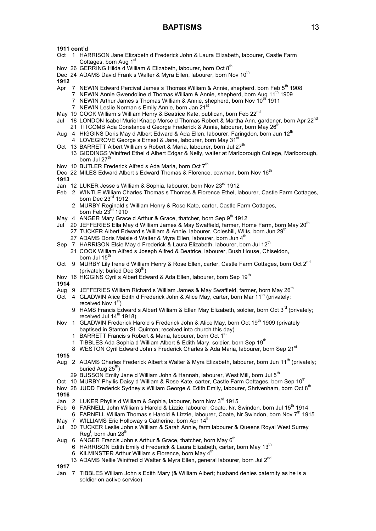- Oct 1 HARRISON Jane Elizabeth d Frederick John & Laura Elizabeth, labourer, Castle Farm Cottages, born Aug 1<sup>st</sup>
- Nov 26 GERRING Hilda d William & Elizabeth, labourer, born Oct 8<sup>th</sup>
- Dec 24 ADAMS David Frank s Walter & Myra Ellen, labourer, born Nov 10<sup>th</sup>

**1912**

- Apr 7 NEWIN Edward Percival James s Thomas William & Annie, shepherd, born Feb 5<sup>th</sup> 1908
	- 7 NEWIN Annie Gwendoline d Thomas William & Annie, shepherd, born Aug 11<sup>th</sup> 1909
		- 7 NEWIN Arthur James s Thomas William & Annie, shepherd, born Nov 10<sup>th</sup> 1911
		- 7 NEWIN Leslie Norman s Emily Annie, born Jan 21<sup>st</sup>
- May 19 COOK William s William Henry & Beatrice Kate, publican, born Feb 22<sup>nd</sup>
- Jul 18 LONDON Isabel Muriel Knapp Morse d Thomas Robert & Martha Ann, gardener, born Apr 22<sup>nd</sup>
- 21 TITCOMB Ada Constance d George Frederick & Annie, labourer, born May 26<sup>th</sup>
- Aug 4 HIGGINS Doris May d Albert Edward & Ada Ellen, labourer, Faringdon, born Jun 12<sup>th</sup>
- 4 LOVEGROVE George s Ernest & Jane, labourer, born May 31<sup>st</sup>
- Oct 13 BARRETT Albert William s Robert & Maria, labourer, born Jul 27<sup>th</sup> 13 GIDDINGS Winifred Ethel d Albert Edgar & Nelly, waiter at Marlborough College, Marlborough, born Jul 27<sup>th</sup>
- Nov 10 BUTLER Frederick Alfred s Ada Maria, born Oct 7<sup>th</sup>
- Dec 22 MILES Edward Albert s Edward Thomas & Florence, cowman, born Nov 16<sup>th</sup>
- **1913**
- Jan 12 LUKER Jesse s William & Sophia, labourer, born Nov 23rd 1912
- Feb 2 WINTLE William Charles Thomas s Thomas & Florence Ethel, labourer, Castle Farm Cottages, born Dec 23<sup>rd</sup> 1912
	- 2 MURBY Reginald s William Henry & Rose Kate, carter, Castle Farm Cottages, born Feb 23<sup>rd</sup> 1910
- May 4 ANGER Mary Grace d Arthur & Grace, thatcher, born Sep 9<sup>th</sup> 1912
- Jul 20 JEFFERIES Ella May d William James & May Swaffield, farmer, Home Farm, born May 20<sup>th</sup>
	- 27 TUCKER Albert Edward s William & Annie, labourer, Coleshill, Wilts, born Jun 29<sup>th</sup>
		- 27 ADAMS Doris Maisie d Walter & Myra Ellen, labourer, born Jun  $4<sup>th</sup>$
- Sep 7 HARRISON Elsie May d Frederick & Laura Elizabeth, labourer, born Jul 12<sup>th</sup>
- 21 COOK William Alfred s Joseph Alfred & Beatrice, labourer, Bush House, Chiseldon, born Jul 15<sup>th</sup>
- Oct 9 MURBY Lily Irene d William Henry & Rose Ellen, carter, Castle Farm Cottages, born Oct 2<sup>nd</sup> (privately; buried Dec  $30<sup>th</sup>$ )
- Nov 16 HIGGINS Cyril s Albert Edward & Ada Ellen, labourer, born Sep 19<sup>th</sup>

**1914**

- Aug 9 JEFFERIES William Richard s William James & May Swaffield, farmer, born May 26<sup>th</sup>
- Oct 4 GLADWIN Alice Edith d Frederick John & Alice May, carter, born Mar 11<sup>th</sup> (privately; received Nov 1<sup>st</sup>)
	- 9 HAMS Francis Edward s Albert William & Ellen May Elizabeth, soldier, born Oct 3<sup>rd</sup> (privately; received Jul  $14<sup>th</sup>$  1918)
- Nov 1 GLADWIN Frederick Harold s Frederick John & Alice May, born Oct 19<sup>th</sup> 1909 (privately baptised in Stanton St. Quinton; received into church this day)
	- 1 BARRETT Francis s Robert & Maria, labourer, born Oct 1<sup>s</sup>
	- 1 TIBBLES Ada Sophia d William Albert & Edith Mary, soldier, born Sep 19<sup>th</sup>
	- 8 WESTON Cyril Edward John s Frederick Charles & Ada Maria, labourer, born Sep 21<sup>st</sup>

**1915**

- Aug 2 ADAMS Charles Frederick Albert s Walter & Myra Elizabeth, labourer, born Jun 11<sup>th</sup> (privately; buried Aug 25<sup>th</sup>)
	- 29 BUSSON Emily Jane d William John & Hannah, labourer, West Mill, born Jul 5<sup>th</sup>
- Oct 10 MURBY Phyllis Daisy d William & Rose Kate, carter, Castle Farm Cottages, born Sep 10<sup>th</sup>
- Nov 28 JUDD Frederick Sydney s William George & Edith Emily, labourer, Shrivenham, born Oct 8<sup>th</sup>

**1916**

- Jan 2 LUKER Phyllis d William & Sophia, labourer, born Nov 3rd 1915
- Feb 6 FARNELL John William s Harold & Lizzie, labourer, Coate, Nr. Swindon, born Jul 15<sup>th</sup> 1914
- 6 FARNELL William Thomas s Harold & Lizzie, labourer, Coate, Nr Swindon, born Nov 7<sup>th</sup> 1915 May 7 WILLIAMS Eric Holloway s Catherine, born Apr 14<sup>th</sup>
- Jul 30 TUCKER Leslie John s William & Sarah Annie, farm labourer & Queens Royal West Surrey Reg<sup>t</sup>, born Jun 28<sup>th</sup>
- Aug 6 ANGER Francis John s Arthur & Grace, thatcher, born May  $6<sup>th</sup>$ 
	- 6 HARRISON Edith Emily d Frederick & Laura Elizabeth, carter, born May 13<sup>th</sup>
		- 6 KILMINSTER Arthur William s Florence, born May 4th
	- 13 ADAMS Nellie Winifred d Walter & Myra Ellen, general labourer, born Jul 2<sup>nd</sup>

**1917**

Jan 7 TIBBLES William John s Edith Mary (& William Albert; husband denies paternity as he is a soldier on active service)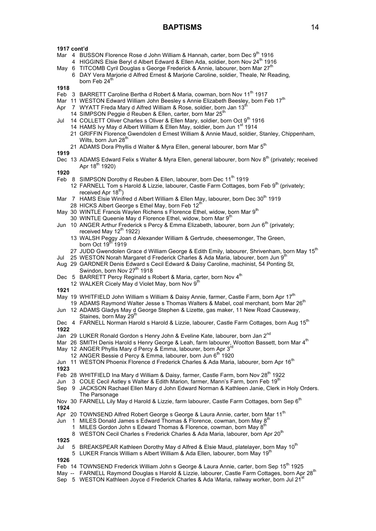- Mar 4 BUSSON Florence Rose d John William & Hannah, carter, born Dec 9<sup>th</sup> 1916
- 4 HIGGINS Elsie Beryl d Albert Edward & Ellen Ada, soldier, born Nov 24<sup>th</sup> 1916 May 6 TITCOMB Cyril Douglas s George Frederick & Annie, labourer, born Mar 27<sup>th</sup>
- 6 DAY Vera Marjorie d Alfred Ernest & Marjorie Caroline, soldier, Theale, Nr Reading, born Feb  $24^{\overline{th}}$

**1918**

- Feb 3 BARRETT Caroline Bertha d Robert & Maria, cowman, born Nov 11<sup>th</sup> 1917
- Mar 11 WESTON Edward William John Beesley s Annie Elizabeth Beesley, born Feb 17<sup>th</sup>
- Apr 7 WYATT Freda Mary d Alfred William & Rose, soldier, born Jan  $13<sup>t</sup>$ 
	- 14 SIMPSON Peggie d Reuben & Ellen, carter, born Mar 25<sup>th</sup>
- Jul 14 COLLETT Oliver Charles s Oliver & Ellen Mary, soldier, born Oct 9<sup>th</sup> 1916
	- 14 HAMS Ivy May d Albert William & Ellen May, soldier, born Jun 1<sup>st</sup> 1914
		- 21 GRIFFIN Florence Gwendolen d Ernest William & Annie Maud, soldier, Stanley, Chippenham, Wilts, born Jun 28<sup>th</sup>
		- 21 ADAMS Dora Phyllis d Walter & Myra Ellen, general labourer, born Mar 5<sup>th</sup>

```
1919
```
Dec 13 ADAMS Edward Felix s Walter & Myra Ellen, general labourer, born Nov 8<sup>th</sup> (privately; received Apr  $18^{th}$  1920)

**1920**

- Feb 8 SIMPSON Dorothy d Reuben & Filen, labourer, born Dec 11<sup>th</sup> 1919
	- 12 FARNELL Tom s Harold & Lizzie, labourer, Castle Farm Cottages, born Feb 9<sup>th</sup> (privately; received Apr  $18^{\text{th}}$ )
- Mar 7 HAMS Elsie Winifred d Albert William & Ellen May, labourer, born Dec 30<sup>th</sup> 1919 28 HICKS Albert George s Ethel May, born Feb  $12<sup>th</sup>$
- May 30 WINTLE Francis Waylen Richens s Florence Ethel, widow, born Mar 9<sup>th</sup>
- 30 WINTLE Queenie May d Florence Ethel, widow, born Mar 9<sup>th</sup> Jun 10 ANGER Arthur Frederick s Percy & Emma Elizabeth, labourer, born Jun 6<sup>th</sup> (privately;
	- received May 12<sup>th</sup> 1922)
		- 13 WALSH Peggy Joan d Alexander William & Gertrude, cheesemonger, The Green, born Oct 19 $^{\text{th}}$ 1919
	- 27 JUDD Gwendolen Grace d William George & Edith Emily, labourer, Shrivenham, born May 15<sup>th</sup>
- Jul 25 WESTON Norah Margaret d Frederick Charles & Ada Maria, labourer, born Jun 9<sup>th</sup>
- Aug 29 GARDNER Denis Edward s Cecil Edward & Daisy Caroline, machinist, 54 Ponting St, Swindon, born Nov 27<sup>th</sup> 1918
- Dec 5 BARRETT Percy Reginald s Robert & Maria, carter, born Nov 4<sup>th</sup>
- 12 WALKER Cicely May d Violet May, born Nov  $9<sup>th</sup>$

**1921**

- May 19 WHITFIELD John William s William & Daisy Annie, farmer, Castle Farm, born Apr 17<sup>th</sup>
- 19 ADAMS Raymond Walter Jesse s Thomas Walters & Mabel, coal merchant, born Mar 26<sup>th</sup> Jun 12 ADAMS Gladys May d George Stephen & Lizette, gas maker, 11 New Road Causeway,
- Staines, born May 29<sup>th</sup>
- Dec 4 FARNELL Norman Harold s Harold & Lizzie, labourer, Castle Farm Cottages, born Aug 15<sup>th</sup> **1922**
- Jan 29 LUKER Ronald Gordon s Henry John & Eveline Kate, labourer, born Jan 2<sup>nd</sup>
- Mar 26 SMITH Denis Harold s Henry George & Leah, farm labourer, Wootton Bassett, born Mar 4<sup>th</sup>
- May 12 ANGER Phyllis Mary d Percy & Emma, labourer, born Apr 3<sup>rd</sup>
	- 12 ANGER Bessie d Percy & Emma, labourer, born Jun 6<sup>th</sup> 1920
- Jun 11 WESTON Phoenix Florence d Frederick Charles & Ada Maria, labourer, born Apr 16<sup>th</sup> **1923**
- Feb 28 WHITFIELD Ina Mary d William & Daisy, farmer, Castle Farm, born Nov 28<sup>th</sup> 1922
- Jun 3 COLE Cecil Astley s Walter & Edith Marion, farmer, Mann's Farm, born Feb 19<sup>th</sup>
- Sep 9 JACKSON Rachael Ellen Mary d John Edward Norman & Kathleen Janie, Clerk in Holy Orders. The Parsonage
- Nov 30 FARNELL Lily May d Harold & Lizzie, farm labourer, Castle Farm Cottages, born Sep 6<sup>th</sup>

- Apr 20 TOWNSEND Alfred Robert George s George & Laura Annie, carter, born Mar 11<sup>th</sup>
- Jun 1 MILES Donald James s Edward Thomas & Florence, cowman, born May 8<sup>1</sup>
	- 1 MILES Gordon John s Edward Thomas & Florence, cowman, born May  $8<sup>th</sup>$

8 WESTON Cecil Charles s Frederick Charles & Ada Maria, labourer, born Apr 20<sup>th</sup>

- **1925**
- Jul 5 BREAKSPEAR Kathleen Dorothy May d Alfred & Elsie Maud, platelayer, born May 10<sup>th</sup>
- 5 LUKER Francis William s Albert William & Ada Ellen, labourer, born May 19<sup>th</sup>
- **1926**
- Feb 14 TOWNSEND Frederick William John s George & Laura Annie, carter, born Sep 15<sup>th</sup> 1925
- May -- FARNELL Raymond Douglas s Harold & Lizzie, labourer, Castle Farm Cottages, born Apr 28<sup>th</sup>
- Sep 5 WESTON Kathleen Joyce d Frederick Charles & Ada \Maria, railway worker, born Jul 21<sup>'</sup>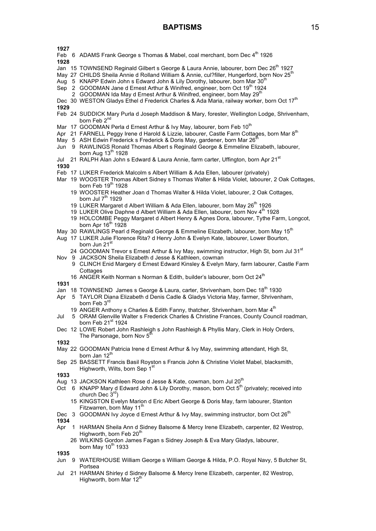**1927**

- Feb 6 ADAMS Frank George s Thomas & Mabel, coal merchant, born Dec 4<sup>th</sup> 1926
- **1928**
- Jan 15 TOWNSEND Reginald Gilbert s George & Laura Annie, labourer, born Dec 26<sup>th</sup> 1927
- May 27 CHILDS Sheila Annie d Rolland William & Annie, cul?filler, Hungerford, born Nov 25<sup>th</sup>
- Aug 5 KNAPP Edwin John s Edward John & Lily Dorothy, labourer, born Mar 30<sup>th</sup>
- Sep 2 GOODMAN Jane d Ernest Arthur & Winifred, engineer, born Oct 19<sup>th</sup> 1924
	- 2 GOODMAN Ida May d Ernest Arthur & Winifred, engineer, born May 29<sup>th</sup>
- Dec 30 WESTON Gladys Ethel d Frederick Charles & Ada Maria, railway worker, born Oct 17<sup>th</sup> **1929**
- Feb 24 SUDDICK Mary Purla d Joseph Maddison & Mary, forester, Wellington Lodge, Shrivenham, born Feb  $2^{nc}$
- Mar 17 GOODMAN Perla d Ernest Arthur & Ivy May, labourer, born Feb 10<sup>th</sup>
- Apr 21 FARNELL Peggy Irene d Harold & Lizzie, labourer, Castle Farm Cottages, born Mar 8<sup>th</sup>
- May 5 ASH Edwin Frederick s Frederick & Doris May, gardener, born Mar 26<sup>th</sup>
- Jun 9 RAWLINGS Ronald Thomas Albert s Reginald George & Emmeline Elizabeth, labourer, born Aug  $13<sup>th</sup>$  1928
- Jul 21 RALPH Alan John s Edward & Laura Annie, farm carter, Uffington, born Apr 21<sup>st</sup> **1930**
- Feb 17 LUKER Frederick Malcolm s Albert William & Ada Ellen, labourer (privately)
- Mar 19 WOOSTER Thomas Albert Sidney s Thomas Walter & Hilda Violet, labourer, 2 Oak Cottages, born Feb  $19<sup>th</sup>$  1928
	- 19 WOOSTER Heather Joan d Thomas Walter & Hilda Violet, labourer, 2 Oak Cottages, born Jul  $7<sup>th</sup>$  1929
	- 19 LUKER Margaret d Albert William & Ada Ellen, labourer, born May 26<sup>th</sup> 1926<br>19 LUKER Olive Daphne d Albert William & Ada Ellen. labourer. born Nov 4<sup>th</sup> 1928
	- 19 LUKER Olive Daphne d Albert William & Ada Ellen, labourer, born Nov  $4<sup>th</sup>$
	- 19 HOLCOMBE Peggy Margaret d Albert Henry & Agnes Dora, labourer, Tythe Farm, Longcot, born Apr  $16<sup>th</sup>$  1928
- May 30 RAWLINGS Pearl d Reginald George & Emmeline Elizabeth, labourer, born May 15<sup>th</sup>
- Aug 17 LUKER Julie Florence Rita? d Henry John & Evelyn Kate, labourer, Lower Bourton, born Jun 21<sup>st</sup>
- 24 GOODMAN Trevor s Ernest Arthur & Ivy May, swimming instructor, High St, born Jul 31<sup>st</sup> Nov 9 JACKSON Sheila Elizabeth d Jesse & Kathleen, cowman
	- 9 CLINCH Enid Margery d Ernest Edward Kinsley & Evelyn Mary, farm labourer, Castle Farm **Cottages** 
		- 16 ANGER Keith Norman s Norman & Edith, builder's labourer, born Oct 24<sup>th</sup>
- **1931**
- Jan 18 TOWNSEND James s George & Laura, carter, Shrivenham, born Dec 18<sup>th</sup> 1930
- Apr 5 TAYLOR Diana Elizabeth d Denis Cadle & Gladys Victoria May, farmer, Shrivenham, born Feb 3<sup>rd</sup>
	- 19 ANGER Anthony s Charles & Edith Fanny, thatcher, Shrivenham, born Mar  $4<sup>th</sup>$
- Jul 5 ORAM Glenville Walter s Frederick Charles & Christine Frances, County Council roadman, born Feb 21st 1924
- Dec 12 LOWE Robert John Rashleigh s John Rashleigh & Phyllis Mary, Clerk in Holy Orders, The Parsonage, born Nov  $5<sup>1</sup>$
- **1932**
- May 22 GOODMAN Patricia Irene d Ernest Arthur & Ivy May, swimming attendant, High St, born Jan 12<sup>th</sup>
- Sep 25 BASSETT Francis Basil Royston s Francis John & Christine Violet Mabel, blacksmith, Highworth, Wilts, born Sep 1<sup>st</sup>

**1933**

- Aug 13 JACKSON Kathleen Rose d Jesse & Kate, cowman, born Jul 20<sup>th</sup>
- Oct 6 KNAPP Mary d Edward John & Lily Dorothy, mason, born Oct 5<sup>th</sup> (privately; received into church Dec 3<sup>rd</sup>)
	- 15 KINGSTON Evelyn Marion d Eric Albert George & Doris May, farm labourer, Stanton Fitzwarren, born May 11<sup>th</sup>
- Dec 3 GOODMAN Ivy Joyce d Ernest Arthur & Ivy May, swimming instructor, born Oct 26<sup>th</sup>

**1934**

- Apr 1 HARMAN Sheila Ann d Sidney Balsome & Mercy Irene Elizabeth, carpenter, 82 Westrop, Highworth, born Feb 20<sup>th</sup>
	- 26 WILKINS Gordon James Fagan s Sidney Joseph & Eva Mary Gladys, labourer, born May  $10^{th}$  1933

- Jun 9 WATERHOUSE William George s William George & Hilda, P.O. Royal Navy, 5 Butcher St, Portsea
- Jul 21 HARMAN Shirley d Sidney Balsome & Mercy Irene Elizabeth, carpenter, 82 Westrop, Highworth, born Mar  $12<sup>th</sup>$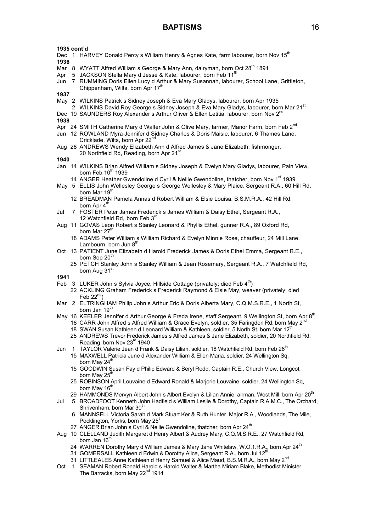- Dec 1 HARVEY Donald Percy s William Henry & Agnes Kate, farm labourer, born Nov 15<sup>th</sup>
- **1936**
- Mar 8 WYATT Alfred William s George & Mary Ann, dairyman, born Oct 28<sup>th</sup> 1891
- Apr 5 JACKSON Stella Mary d Jesse & Kate, labourer, born Feb 11<sup>th</sup>
- Jun 7 RUMMING Doris Ellen Lucy d Arthur & Mary Susannah, labourer, School Lane, Grittleton, Chippenham, Wilts, born Apr  $17<sup>1</sup>$

**1937**

- May 2 WILKINS Patrick s Sidney Joseph & Eva Mary Gladys, labourer, born Apr 1935
- 2 WILKINS David Roy George s Sidney Joseph & Eva Mary Gladys, labourer, born Mar 21<sup>st</sup>
- Dec 19 SAUNDERS Roy Alexander s Arthur Oliver & Ellen Letitia, labourer, born Nov 2<sup>n</sup>

**1938**

- Apr 24 SMITH Catherine Mary d Walter John & Olive Mary, farmer, Manor Farm, born Feb 2<sup>nd</sup>
- Jun 12 ROWLAND Myra Jennifer d Sidney Charles & Doris Maisie, labourer, 6 Thames Lane, Cricklade, Wilts, born Apr 22<sup>nd</sup>
- Aug 28 ANDREWS Wendy Elizabeth Ann d Alfred James & Jane Elizabeth, fishmonger, 20 Northfield Rd, Reading, born Apr 21<sup>st</sup>

**1940**

- Jan 14 WILKINS Brian Alfred William s Sidney Joseph & Evelyn Mary Gladys, labourer, Pain View, born Feb 10<sup>th</sup> 1939
	- 14 ANGER Heather Gwendoline d Cyril & Nellie Gwendoline, thatcher, born Nov 1<sup>st</sup> 1939
- May 5 ELLIS John Wellesley George s George Wellesley & Mary Plaice, Sergeant R.A., 60 Hill Rd, born Mar 19<sup>th</sup>
	- 12 BREADMAN Pamela Annas d Robert William & Elsie Louisa, B.S.M.R.A., 42 Hill Rd, born Apr 4<sup>th</sup>
- Jul 7 FOSTER Peter James Frederick s James William & Daisy Ethel, Sergeant R.A., 12 Watchfield Rd, born Feb 3rd
- Aug 11 GOVAS Leon Robert s Stanley Leonard & Phyllis Ethel, gunner R.A., 89 Oxford Rd, born Mar 27<sup>th</sup>
	- 18 ADAMS Peter William s William Richard & Evelyn Minnie Rose, chauffeur, 24 Mill Lane, Lambourn, born Jun  $8<sup>th</sup>$
- Oct 13 PATIENT June Elizabeth d Harold Frederick James & Doris Ethel Emma, Sergeant R.E., born Sep 20<sup>th</sup>
	- 25 PETCH Stanley John s Stanley William & Jean Rosemary, Sergeant R.A., 7 Watchfield Rd, born Aug 31<sup>st</sup>

- Feb 3 LUKER John s Sylvia Joyce, Hillside Cottage (privately; died Feb  $4<sup>th</sup>$ )
	- 22 ACKLING Graham Frederick s Frederick Raymond & Elsie May, weaver (privately; died Feb  $22^{nd}$ )
- Mar 2 ELTRINGHAM Philip John s Arthur Eric & Doris Alberta Mary, C.Q.M.S.R.E., 1 North St, born Jan 19<sup>th</sup>
- May 16 KEELER Jennifer d Arthur George & Freda Irene, staff Sergeant, 9 Wellington St, born Apr 8<sup>th</sup>
	- 18 CARR John Alfred s Alfred William & Grace Evelyn, soldier, 35 Faringdon Rd, born May 2<sup>1</sup>
	- 18 SWAN Susan Kathleen d Leonard William & Kathleen, soldier, 5 North St, born Mar 12<sup>th</sup>
	- 25 ANDREWS Trevor Frederick James s Alfred James & Jane Elizabeth, soldier, 20 Northfield Rd, Reading, born Nov 23<sup>rd</sup> 1940
- Jun 1 TAYLOR Valerie Jean d Frank & Daisy Lilian, soldier, 18 Watchfield Rd, born Feb 26<sup>th</sup>
	- 15 MAXWELL Patricia June d Alexander William & Ellen Maria, soldier, 24 Wellington Sq, born May 24<sup>th</sup>
		- 15 GOODWIN Susan Fay d Philip Edward & Beryl Rodd, Captain R.E., Church View, Longcot, born May  $25<sup>t</sup>$
		- 25 ROBINSON April Louvaine d Edward Ronald & Marjorie Louvaine, soldier, 24 Wellington Sq, born May 16<sup>th</sup>
	- 29 HAMMONDS Mervyn Albert John s Albert Evelyn & Lilian Annie, airman, West Mill, born Apr 20<sup>th</sup>
- Jul 5 BROADFOOT Kenneth John Hadfield s William Leslie & Dorothy, Captain R.A.M.C., The Orchard, Shrivenham, born Mar 30<sup>th</sup>
	- 6 MANNSELL Victoria Sarah d Mark Stuart Ker & Ruth Hunter, Major R.A., Woodlands, The Mile, Pocklington, Yorks, born May  $25<sup>t</sup>$
	- 27 ANGER Brian John s Cyril & Nellie Gwendoline, thatcher, born Apr 24<sup>th</sup>
- Aug 10 CLELLAND Judith Margaret d Henry Albert & Audrey Mary, C.Q.M.S.R.E., 27 Watchfield Rd, born Jan 16<sup>th</sup>
	- 24 WARREN Dorothy Mary d William James & Mary Jane Whitelaw, W.O.1.R.A., born Apr 24<sup>th</sup>
	- 31 GOMERSALL Kathleen d Edwin & Dorothy Alice, Sergeant R.A., born Jul 12<sup>t</sup>
	- 31 LITTLEALES Anne Kathleen d Henry Samuel & Alice Maud, B.S.M.R.A., born May 2<sup>nd</sup>
- Oct 1 SEAMAN Robert Ronald Harold s Harold Walter & Martha Miriam Blake, Methodist Minister, The Barracks, born May 22<sup>nd</sup> 1914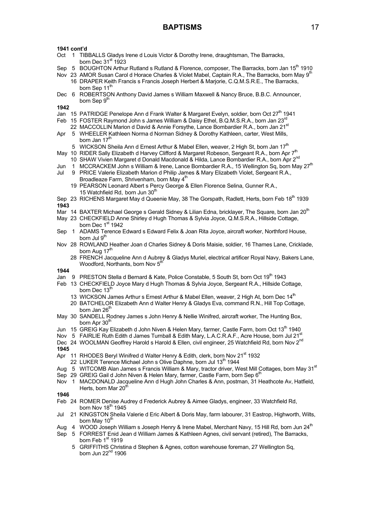- Oct 1 TIBBALLS Gladys Irene d Louis Victor & Dorothy Irene, draughtsman, The Barracks, born Dec  $31<sup>st</sup>$  1923
- Sep 5 BOUGHTON Arthur Rutland s Rutland & Florence, composer, The Barracks, born Jan 15<sup>th</sup> 1910
- Nov 23 AMOR Susan Carol d Horace Charles & Violet Mabel, Captain R.A., The Barracks, born May 9<sup>th</sup> 16 DRAPER Keith Francis s Francis Joseph Herbert & Marjorie, C.Q.M.S.R.E., The Barracks, born Sep 11<sup>t</sup>
- Dec 6 ROBERTSON Anthony David James s William Maxwell & Nancy Bruce, B.B.C. Announcer, born Sep 9<sup>th</sup>
- **1942**
- Jan 15 PATRIDGE Penelope Ann d Frank Walter & Margaret Evelyn, soldier, born Oct 27<sup>th</sup> 1941
- Feb 15 FOSTER Raymond John s James William & Daisy Ethel, B.Q.M.S.R.A., born Jan 23<sup>rd</sup>
- 22 MACCOLLIN Marion d David & Annie Forsythe, Lance Bombardier R.A., born Jan 21<sup>st</sup> Apr 5 WHEELER Kathleen Norma d Norman Sidney & Dorothy Kathleen, carter, West Mills, born Jan  $17^{\text{m}}$ 
	- 5 WICKSON Sheila Ann d Ernest Arthur & Mabel Ellen, weaver, 2 High St, born Jan 17<sup>th</sup>
- May 10 RIDER Sally Elizabeth d Harvey Clifford & Margaret Robeson, Sergeant R.A., born Apr 7<sup>th</sup> 10 SHAW Vivien Margaret d Donald Macdonald & Hilda, Lance Bombardier R.A., born Apr 2<sup>nd</sup>
- Jun 1 MCCRACKEM John s William & Irene, Lance Bombardier R.A., 15 Wellington Sq, born May 27<sup>th</sup>
- Jul 9 PRICE Valerie Elizabeth Marion d Philip James & Mary Elizabeth Violet, Sergeant R.A., Broadleaze Farm, Shrivenham, born May 4<sup>th</sup>
	- 19 PEARSON Leonard Albert s Percy George & Ellen Florence Selina, Gunner R.A., 15 Watchfield Rd, born Jun  $30<sup>th</sup>$
- Sep 23 RICHENS Margaret May d Queenie May, 38 The Gorspath, Radlett, Herts, born Feb 18th 1939

**1943**

- Mar 14 BAXTER Michael George s Gerald Sidney & Lilian Edna, bricklayer, The Square, born Jan 20<sup>th</sup>
- May 23 CHECKFIELD Anne Shirley d Hugh Thomas & Sylvia Joyce, Q.M.S.R.A., Hillside Cottage, born Dec 1st 1942
- Sep 1 ADAMS Terence Edward s Edward Felix & Joan Rita Joyce, aircraft worker, Northford House, born Jul 9<sup>th</sup>
- Nov 28 ROWLAND Heather Joan d Charles Sidney & Doris Maisie, soldier, 16 Thames Lane, Cricklade, born Aug 17
	- 28 FRENCH Jacqueline Ann d Aubrey & Gladys Muriel, electrical artificer Royal Navy, Bakers Lane, Woodford, Northants, born Nov 5<sup>th</sup>

### **1944**

- Jan 9 PRESTON Stella d Bernard & Kate, Police Constable, 5 South St. born Oct 19<sup>th</sup> 1943
- Feb 13 CHECKFIELD Joyce Mary d Hugh Thomas & Sylvia Joyce, Sergeant R.A., Hillside Cottage, born Dec 13<sup>th</sup>
	- 13 WICKSON James Arthur s Ernest Arthur & Mabel Ellen, weaver, 2 High At, born Dec 14<sup>th</sup>
	- 20 BATCHELOR Elizabeth Ann d Walter Henry & Gladys Eva, command R.N., Hill Top Cottage, born Jan  $26<sup>tr</sup>$
- May 30 SANDELL Rodney James s John Henry & Nellie Winifred, aircraft worker, The Hunting Box, born Apr 30<sup>th</sup>
- Jun 15 GREIG Kay Elizabeth d John Niven & Helen Mary, farmer, Castle Farm, born Oct 13<sup>th</sup> 1940
- Nov 5 FAIRLIE Ruth Edith d James Turnball & Edith Mary, L.A.C.R.A.F., Acre House, born Jul 21<sup>st</sup>
- Dec 24 WOOLMAN Geoffrey Harold s Harold & Ellen, civil engineer, 25 Watchfield Rd, born Nov 2<sup>nd</sup>
- **1945**
- Apr 11 RHODES Beryl Winifred d Walter Henry & Edith, clerk, born Nov 21<sup>st</sup> 1932
- 22 LUKER Terence Michael John s Olive Daphne, born Jul 13<sup>th</sup> 1944
- Aug 5 WITCOMB Alan James s Francis William & Mary, tractor driver, West Mill Cottages, born May 31<sup>st</sup>
- Sep 29 GREIG Gail d John Niven & Helen Mary, farmer, Castle Farm, born Sep  $6<sup>th</sup>$
- Nov 1 MACDONALD Jacqueline Ann d Hugh John Charles & Ann, postman, 31 Heathcote Av, Hatfield, Herts, born Mar 20<sup>th</sup>

- Feb 24 ROMER Denise Audrey d Frederick Aubrey & Aimee Gladys, engineer, 33 Watchfield Rd, born Nov  $18<sup>th</sup>$  1945
- Jul 21 KINGSTON Sheila Valerie d Eric Albert & Doris May, farm labourer, 31 Eastrop, Highworth, Wilts, born May 10<sup>th</sup>
- Aug 4 WOOD Joseph William s Joseph Henry & Irene Mabel, Merchant Navy, 15 Hill Rd, born Jun 24<sup>th</sup>
- Sep 5 FORREST Enid Jean d William James & Kathleen Agnes, civil servant (retired), The Barracks, born Feb  $1<sup>st</sup>$  1919
	- 5 GRIFFITHS Christina d Stephen & Agnes, cotton warehouse foreman, 27 Wellington Sq,  $b$ orn Jun 22 $<sup>nd</sup>$  1906</sup>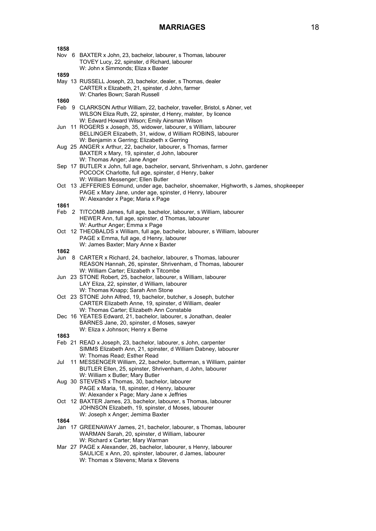| 1858 |                                                                                                  |
|------|--------------------------------------------------------------------------------------------------|
|      | Nov 6 BAXTER x John, 23, bachelor, labourer, s Thomas, labourer                                  |
|      | TOVEY Lucy, 22, spinster, d Richard, labourer                                                    |
|      | W: John x Simmonds; Eliza x Baxter                                                               |
| 1859 |                                                                                                  |
|      | May 13 RUSSELL Joseph, 23, bachelor, dealer, s Thomas, dealer                                    |
|      | CARTER x Elizabeth, 21, spinster, d John, farmer                                                 |
|      | W: Charles Bown; Sarah Russell                                                                   |
| 1860 |                                                                                                  |
|      | Feb 9 CLARKSON Arthur William, 22, bachelor, traveller, Bristol, s Abner, vet                    |
|      | WILSON Eliza Ruth, 22, spinster, d Henry, malster, by licence                                    |
|      | W: Edward Howard Wilson; Emily Ainsman Wilson                                                    |
|      | Jun 11 ROGERS x Joseph, 35, widower, labourer, s William, labourer                               |
|      | BELLINGER Elizabeth, 31, widow, d William ROBINS, labourer                                       |
|      | W: Benjamin x Gerring; Elizabeth x Gerring                                                       |
|      | Aug 25 ANGER x Arthur, 22, bachelor, labourer, s Thomas, farmer                                  |
|      | BAXTER x Mary, 19, spinster, d John, labourer                                                    |
|      | W: Thomas Anger; Jane Anger                                                                      |
|      | Sep 17 BUTLER x John, full age, bachelor, servant, Shrivenham, s John, gardener                  |
|      | POCOCK Charlotte, full age, spinster, d Henry, baker                                             |
|      | W: William Messenger; Ellen Butler                                                               |
|      | Oct 13 JEFFERIES Edmund, under age, bachelor, shoemaker, Highworth, s James, shopkeeper          |
|      | PAGE x Mary Jane, under age, spinster, d Henry, labourer                                         |
|      | W: Alexander x Page; Maria x Page                                                                |
| 1861 |                                                                                                  |
|      | Feb 2 TITCOMB James, full age, bachelor, labourer, s William, labourer                           |
|      | HEWER Ann, full age, spinster, d Thomas, labourer                                                |
|      | W: Aurthur Anger; Emma x Page                                                                    |
|      | Oct 12 THEOBALDS x William, full age, bachelor, labourer, s William, labourer                    |
|      | PAGE x Emma, full age, d Henry, labourer                                                         |
|      | W: James Baxter; Mary Anne x Baxter                                                              |
| 1862 |                                                                                                  |
| Jun  | 8 CARTER x Richard, 24, bachelor, labourer, s Thomas, labourer                                   |
|      |                                                                                                  |
|      | REASON Hannah, 26, spinster, Shrivenham, d Thomas, labourer                                      |
|      | W: William Carter; Elizabeth x Titcombe                                                          |
|      | Jun 23 STONE Robert, 25, bachelor, labourer, s William, labourer                                 |
|      | LAY Eliza, 22, spinster, d William, labourer                                                     |
|      | W: Thomas Knapp; Sarah Ann Stone                                                                 |
|      | Oct 23 STONE John Alfred, 19, bachelor, butcher, s Joseph, butcher                               |
|      | CARTER Elizabeth Anne, 19, spinster, d William, dealer                                           |
|      | W: Thomas Carter; Elizabeth Ann Constable                                                        |
|      | Dec 16 YEATES Edward, 21, bachelor, labourer, s Jonathan, dealer                                 |
|      | BARNES Jane, 20, spinster, d Moses, sawyer                                                       |
|      | W: Eliza x Johnson; Henry x Berne                                                                |
| 1863 |                                                                                                  |
|      | Feb 21 READ x Joseph, 23, bachelor, labourer, s John, carpenter                                  |
|      | SIMMS Elizabeth Ann, 21, spinster, d William Dabney, labourer                                    |
|      | W: Thomas Read; Esther Read                                                                      |
| Jul  | 11 MESSENGER William, 22, bachelor, butterman, s William, painter                                |
|      | BUTLER Ellen, 25, spinster, Shrivenham, d John, labourer                                         |
|      | W: William x Butler; Mary Butler                                                                 |
|      | Aug 30 STEVENS x Thomas, 30, bachelor, labourer                                                  |
|      | PAGE x Maria, 18, spinster, d Henry, labourer                                                    |
|      | W: Alexander x Page; Mary Jane x Jeffries                                                        |
|      | Oct 12 BAXTER James, 23, bachelor, labourer, s Thomas, labourer                                  |
|      | JOHNSON Elizabeth, 19, spinster, d Moses, labourer                                               |
|      | W: Joseph x Anger; Jemima Baxter                                                                 |
| 1864 |                                                                                                  |
|      | Jan 17 GREENAWAY James, 21, bachelor, labourer, s Thomas, labourer                               |
|      | WARMAN Sarah, 20, spinster, d William, labourer                                                  |
|      | W: Richard x Carter; Mary Warman                                                                 |
|      | Mar 27 PAGE x Alexander, 26, bachelor, labourer, s Henry, labourer                               |
|      | SAULICE x Ann, 20, spinster, labourer, d James, labourer<br>W: Thomas x Stevens; Maria x Stevens |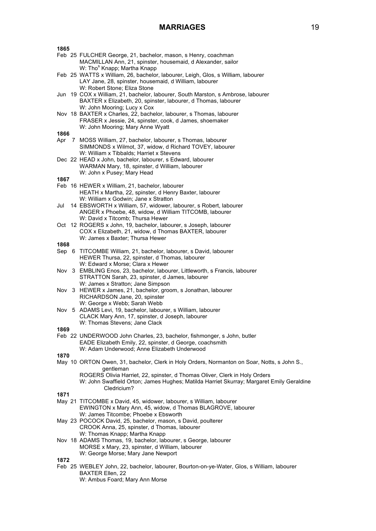| 1865 |                                                                                                                                                                                                    |
|------|----------------------------------------------------------------------------------------------------------------------------------------------------------------------------------------------------|
|      | Feb 25 FULCHER George, 21, bachelor, mason, s Henry, coachman<br>MACMILLAN Ann, 21, spinster, housemaid, d Alexander, sailor<br>W: Tho <sup>s</sup> Knapp; Martha Knapp                            |
|      | Feb 25 WATTS x William, 26, bachelor, labourer, Leigh, Glos, s William, labourer<br>LAY Jane, 28, spinster, housemaid, d William, labourer<br>W: Robert Stone; Eliza Stone                         |
|      | Jun 19 COX x William, 21, bachelor, labourer, South Marston, s Ambrose, labourer<br>BAXTER x Elizabeth, 20, spinster, labourer, d Thomas, labourer<br>W: John Mooring; Lucy x Cox                  |
|      | Nov 18 BAXTER x Charles, 22, bachelor, labourer, s Thomas, labourer<br>FRASER x Jessie, 24, spinster, cook, d James, shoemaker<br>W: John Mooring; Mary Anne Wyatt                                 |
| 1866 |                                                                                                                                                                                                    |
|      | Apr 7 MOSS William, 27, bachelor, labourer, s Thomas, labourer<br>SIMMONDS x Wilmot, 37, widow, d Richard TOVEY, labourer<br>W: William x Tibbalds; Harriet x Stevens                              |
|      | Dec 22 HEAD x John, bachelor, labourer, s Edward, labourer<br>WARMAN Mary, 18, spinster, d William, labourer<br>W: John x Pusey; Mary Head                                                         |
| 1867 |                                                                                                                                                                                                    |
|      | Feb 16 HEWER x William, 21, bachelor, labourer<br>HEATH x Martha, 22, spinster, d Henry Baxter, labourer<br>W: William x Godwin; Jane x Stratton                                                   |
| Jul  | 14 EBSWORTH x William, 57, widower, labourer, s Robert, labourer<br>ANGER x Phoebe, 48, widow, d William TITCOMB, labourer<br>W: David x Titcomb; Thursa Hewer                                     |
|      | Oct 12 ROGERS x John, 19, bachelor, labourer, s Joseph, labourer<br>COX x Elizabeth, 21, widow, d Thomas BAXTER, labourer<br>W: James x Baxter; Thursa Hewer                                       |
| 1868 |                                                                                                                                                                                                    |
|      | Sep 6 TITCOMBE William, 21, bachelor, labourer, s David, labourer<br>HEWER Thursa, 22, spinster, d Thomas, labourer<br>W: Edward x Morse; Clara x Hewer                                            |
|      | Nov 3 EMBLING Enos, 23, bachelor, labourer, Littleworth, s Francis, labourer<br>STRATTON Sarah, 23, spinster, d James, labourer<br>W: James x Stratton; Jane Simpson                               |
|      | Nov 3 HEWER x James, 21, bachelor, groom, s Jonathan, labourer<br>RICHARDSON Jane, 20, spinster<br>W: George x Webb; Sarah Webb                                                                    |
|      | Nov 5 ADAMS Levi, 19, bachelor, labourer, s William, labourer<br>CLACK Mary Ann, 17, spinster, d Joseph, labourer<br>W: Thomas Stevens; Jane Clack                                                 |
| 1869 |                                                                                                                                                                                                    |
|      | Feb 22 UNDERWOOD John Charles, 23, bachelor, fishmonger, s John, butler<br>EADE Elizabeth Emily, 22, spinster, d George, coachsmith<br>W: Adam Underwood; Anne Elizabeth Underwood                 |
| 1870 | May 10 ORTON Owen, 31, bachelor, Clerk in Holy Orders, Normanton on Soar, Notts, s John S.,                                                                                                        |
|      | gentleman<br>ROGERS Olivia Harriet, 22, spinster, d Thomas Oliver, Clerk in Holy Orders<br>W: John Swaffield Orton; James Hughes; Matilda Harriet Skurray; Margaret Emily Geraldine<br>Cledricium? |
| 1871 |                                                                                                                                                                                                    |
|      | May 21 TITCOMBE x David, 45, widower, labourer, s William, labourer<br>EWINGTON x Mary Ann, 45, widow, d Thomas BLAGROVE, labourer<br>W: James Titcombe; Phoebe x Ebsworth                         |
|      | May 23 POCOCK David, 25, bachelor, mason, s David, poulterer<br>CROOK Anna, 25, spinster, d Thomas, labourer<br>W: Thomas Knapp; Martha Knapp                                                      |
|      | Nov 18 ADAMS Thomas, 19, bachelor, labourer, s George, labourer<br>MORSE x Mary, 23, spinster, d William, labourer<br>W: George Morse; Mary Jane Newport                                           |
| 1872 |                                                                                                                                                                                                    |
|      | Feb 25 WEBLEY John, 22, bachelor, labourer, Bourton-on-ye-Water, Glos, s William, labourer<br>BAXTER Ellen, 22                                                                                     |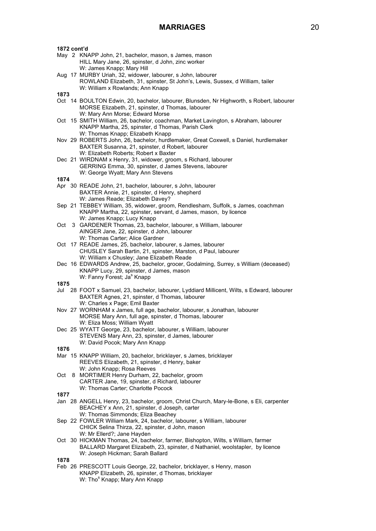| 1872 cont'd |                                                                                                                        |
|-------------|------------------------------------------------------------------------------------------------------------------------|
|             | May 2 KNAPP John, 21, bachelor, mason, s James, mason                                                                  |
|             | HILL Mary Jane, 26, spinster, d John, zinc worker                                                                      |
|             | W: James Knapp; Mary Hill                                                                                              |
|             | Aug 17 MURBY Uriah, 32, widower, labourer, s John, labourer                                                            |
|             | ROWLAND Elizabeth, 31, spinster, St John's, Lewis, Sussex, d William, tailer                                           |
|             | W: William x Rowlands; Ann Knapp                                                                                       |
| 1873        |                                                                                                                        |
|             | Oct 14 BOULTON Edwin, 20, bachelor, labourer, Blunsden, Nr Highworth, s Robert, labourer                               |
|             | MORSE Elizabeth, 21, spinster, d Thomas, labourer                                                                      |
|             | W: Mary Ann Morse; Edward Morse<br>Oct 15 SMITH William, 26, bachelor, coachman, Market Lavington, s Abraham, labourer |
|             | KNAPP Martha, 25, spinster, d Thomas, Parish Clerk                                                                     |
|             | W: Thomas Knapp; Elizabeth Knapp                                                                                       |
|             | Nov 29 ROBERTS John, 26, bachelor, hurdlemaker, Great Coxwell, s Daniel, hurdlemaker                                   |
|             | BAXTER Susanna, 21, spinster, d Robert, labourer                                                                       |
|             | W: Elizabeth Roberts; Robert x Baxter                                                                                  |
|             | Dec 21 WIRDNAM x Henry, 31, widower, groom, s Richard, labourer                                                        |
|             | GERRING Emma, 30, spinster, d James Stevens, labourer                                                                  |
|             | W: George Wyatt; Mary Ann Stevens                                                                                      |
| 1874        |                                                                                                                        |
|             | Apr 30 READE John, 21, bachelor, labourer, s John, labourer                                                            |
|             | BAXTER Annie, 21, spinster, d Henry, shepherd                                                                          |
|             | W: James Reade; Elizabeth Davey?                                                                                       |
|             | Sep 21 TEBBEY William, 35, widower, groom, Rendlesham, Suffolk, s James, coachman                                      |
|             | KNAPP Martha, 22, spinster, servant, d James, mason, by licence                                                        |
|             | W: James Knapp; Lucy Knapp<br>3 GARDENER Thomas, 23, bachelor, labourer, s William, labourer                           |
| Oct         |                                                                                                                        |
|             | AINGER Jane, 22, spinster, d John, labourer<br>W: Thomas Carter; Alice Gardner                                         |
|             | Oct 17 READE James, 25, bachelor, labourer, s James, labourer                                                          |
|             | CHUSLEY Sarah Bartin, 21, spinster, Marston, d Paul, labourer                                                          |
|             | W: William x Chusley; Jane Elizabeth Reade                                                                             |
|             | Dec 16 EDWARDS Andrew, 25, bachelor, grocer, Godalming, Surrey, s William (deceased)                                   |
|             | KNAPP Lucy, 29, spinster, d James, mason                                                                               |
|             | W: Fanny Forest; Ja <sup>s</sup> Knapp                                                                                 |
| 1875        |                                                                                                                        |
| Jul         | 28 FOOT x Samuel, 23, bachelor, labourer, Lyddiard Millicent, Wilts, s Edward, labourer                                |
|             | BAXTER Agnes, 21, spinster, d Thomas, labourer                                                                         |
|             | W: Charles x Page; Emil Baxter                                                                                         |
|             | Nov 27 WORNHAM x James, full age, bachelor, labourer, s Jonathan, labourer                                             |
|             | MORSE Mary Ann, full age, spinster, d Thomas, labourer                                                                 |
|             | W: Eliza Moss; William Wyatt                                                                                           |
|             | Dec 25 WYATT George, 23, bachelor, labourer, s William, labourer                                                       |
|             | STEVENS Mary Ann, 23, spinster, d James, labourer<br>W: David Pocok; Mary Ann Knapp                                    |
| 1876        |                                                                                                                        |
|             | Mar 15 KNAPP William, 20, bachelor, bricklayer, s James, bricklayer                                                    |
|             | REEVES Elizabeth, 21, spinster, d Henry, baker                                                                         |
|             | W: John Knapp; Rosa Reeves                                                                                             |
| Oct         | 8 MORTIMER Henry Durham, 22, bachelor, groom                                                                           |
|             | CARTER Jane, 19, spinster, d Richard, labourer                                                                         |
|             | W: Thomas Carter; Charlotte Pocock                                                                                     |
| 1877        |                                                                                                                        |
|             | Jan 28 ANGELL Henry, 23, bachelor, groom, Christ Church, Mary-le-Bone, s Eli, carpenter                                |
|             | BEACHEY x Ann, 21, spinster, d Joseph, carter                                                                          |
|             | W: Thomas Simmonds; Eliza Beachey                                                                                      |
|             | Sep 22 FOWLER William Mark, 24, bachelor, labourer, s William, labourer                                                |
|             | CHICK Selina Thirza, 22, spinster, d John, mason                                                                       |
|             | W: Mr Ellerd?; Jane Hayden<br>Oct 30 HICKMAN Thomas, 24, bachelor, farmer, Bishopton, Wilts, s William, farmer         |
|             | BALLARD Margaret Elizabeth, 23, spinster, d Nathaniel, woolstapler, by licence                                         |
|             | W: Joseph Hickman; Sarah Ballard                                                                                       |
| 1878        |                                                                                                                        |
|             | Feb 26 PRESCOTT Louis George, 22, bachelor, bricklayer, s Henry, mason                                                 |
|             |                                                                                                                        |
|             | KNAPP Elizabeth, 26, spinster, d Thomas, bricklayer<br>W: Tho <sup>s</sup> Knapp; Mary Ann Knapp                       |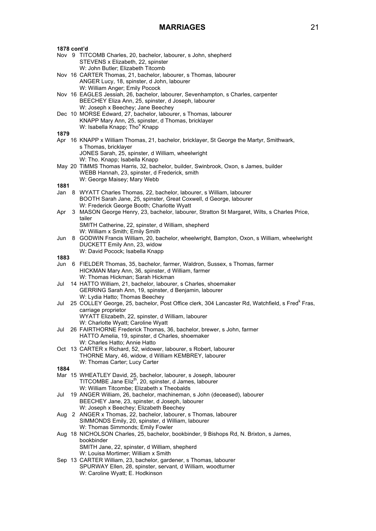|      | 1878 cont'd |                                                                                                            |  |  |  |
|------|-------------|------------------------------------------------------------------------------------------------------------|--|--|--|
|      |             | Nov 9 TITCOMB Charles, 20, bachelor, labourer, s John, shepherd                                            |  |  |  |
|      |             | STEVENS x Elizabeth, 22, spinster                                                                          |  |  |  |
|      |             | W: John Butler; Elizabeth Titcomb                                                                          |  |  |  |
|      |             | Nov 16 CARTER Thomas, 21, bachelor, labourer, s Thomas, labourer                                           |  |  |  |
|      |             | ANGER Lucy, 18, spinster, d John, labourer                                                                 |  |  |  |
|      |             | W: William Anger; Emily Pocock                                                                             |  |  |  |
|      |             | Nov 16 EAGLES Jessiah, 26, bachelor, labourer, Sevenhampton, s Charles, carpenter                          |  |  |  |
|      |             | BEECHEY Eliza Ann, 25, spinster, d Joseph, labourer                                                        |  |  |  |
|      |             | W: Joseph x Beechey; Jane Beechey                                                                          |  |  |  |
|      |             | Dec 10 MORSE Edward, 27, bachelor, labourer, s Thomas, labourer                                            |  |  |  |
|      |             | KNAPP Mary Ann, 25, spinster, d Thomas, bricklayer                                                         |  |  |  |
|      |             | W: Isabella Knapp; Tho <sup>s</sup> Knapp                                                                  |  |  |  |
| 1879 |             |                                                                                                            |  |  |  |
|      |             | Apr 16 KNAPP x William Thomas, 21, bachelor, bricklayer, St George the Martyr, Smithwark,                  |  |  |  |
|      |             | s Thomas, bricklayer                                                                                       |  |  |  |
|      |             | JONES Sarah, 25, spinster, d William, wheelwright                                                          |  |  |  |
|      |             | W: Tho. Knapp; Isabella Knapp                                                                              |  |  |  |
|      |             | May 20 TIMMS Thomas Harris, 32, bachelor, builder, Swinbrook, Oxon, s James, builder                       |  |  |  |
|      |             | WEBB Hannah, 23, spinster, d Frederick, smith                                                              |  |  |  |
|      |             | W: George Maisey; Mary Webb                                                                                |  |  |  |
| 1881 |             |                                                                                                            |  |  |  |
|      |             | Jan 8 WYATT Charles Thomas, 22, bachelor, labourer, s William, labourer                                    |  |  |  |
|      |             | BOOTH Sarah Jane, 25, spinster, Great Coxwell, d George, labourer                                          |  |  |  |
|      |             | W: Frederick George Booth; Charlotte Wyatt                                                                 |  |  |  |
| Apr  |             | 3 MASON George Henry, 23, bachelor, labourer, Stratton St Margaret, Wilts, s Charles Price,                |  |  |  |
|      |             | tailer                                                                                                     |  |  |  |
|      |             | SMITH Catherine, 22, spinster, d William, shepherd                                                         |  |  |  |
|      |             | W: William x Smith; Emily Smith                                                                            |  |  |  |
| Jun  |             | 8 GODWIN Francis William, 20, bachelor, wheelwright, Bampton, Oxon, s William, wheelwright                 |  |  |  |
|      |             | DUCKETT Emily Ann, 23, widow                                                                               |  |  |  |
|      |             | W: David Pocock; Isabella Knapp                                                                            |  |  |  |
| 1883 |             |                                                                                                            |  |  |  |
|      |             |                                                                                                            |  |  |  |
|      |             |                                                                                                            |  |  |  |
|      |             | Jun 6 FIELDER Thomas, 35, bachelor, farmer, Waldron, Sussex, s Thomas, farmer                              |  |  |  |
|      |             | HICKMAN Mary Ann, 36, spinster, d William, farmer                                                          |  |  |  |
|      |             | W: Thomas Hickman; Sarah Hickman                                                                           |  |  |  |
| Jul  |             | 14 HATTO William, 21, bachelor, labourer, s Charles, shoemaker                                             |  |  |  |
|      |             | GERRING Sarah Ann, 19, spinster, d Benjamin, labourer                                                      |  |  |  |
|      |             | W: Lydia Hatto; Thomas Beechey                                                                             |  |  |  |
| Jul  |             | 25 COLLEY George, 25, bachelor, Post Office clerk, 304 Lancaster Rd, Watchfield, s Fred <sup>k</sup> Fras, |  |  |  |
|      |             | carriage proprietor                                                                                        |  |  |  |
|      |             | WYATT Elizabeth, 22, spinster, d William, labourer                                                         |  |  |  |
|      |             | W: Charlotte Wyatt; Caroline Wyatt                                                                         |  |  |  |
| Jul  |             | 26 FAIRTHORNE Frederick Thomas, 36, bachelor, brewer, s John, farmer                                       |  |  |  |
|      |             | HATTO Amelia, 19, spinster, d Charles, shoemaker                                                           |  |  |  |
|      |             | W: Charles Hatto; Annie Hatto                                                                              |  |  |  |
|      |             | Oct 13 CARTER x Richard, 52, widower, labourer, s Robert, labourer                                         |  |  |  |
|      |             | THORNE Mary, 46, widow, d William KEMBREY, labourer                                                        |  |  |  |
|      |             | W: Thomas Carter; Lucy Carter                                                                              |  |  |  |
| 1884 |             |                                                                                                            |  |  |  |
|      |             | Mar 15 WHEATLEY David, 25, bachelor, labourer, s Joseph, labourer                                          |  |  |  |
|      |             | TITCOMBE Jane Eliz <sup>th</sup> , 20, spinster, d James, labourer                                         |  |  |  |
|      |             | W: William Titcombe; Elizabeth x Theobalds                                                                 |  |  |  |
| Jul  |             | 19 ANGER William, 26, bachelor, machineman, s John (deceased), labourer                                    |  |  |  |
|      |             | BEECHEY Jane, 23, spinster, d Joseph, labourer                                                             |  |  |  |
|      |             | W: Joseph x Beechey; Elizabeth Beechey                                                                     |  |  |  |
| Aug  |             | 2 ANGER x Thomas, 22, bachelor, labourer, s Thomas, labourer                                               |  |  |  |
|      |             | SIMMONDS Emily, 20, spinster, d William, labourer                                                          |  |  |  |
|      |             | W: Thomas Simmonds; Emily Fowler                                                                           |  |  |  |
|      |             | Aug 18 NICHOLSON Charles, 25, bachelor, bookbinder, 9 Bishops Rd, N. Brixton, s James,                     |  |  |  |
|      |             | bookbinder                                                                                                 |  |  |  |
|      |             | SMITH Jane, 22, spinster, d William, shepherd                                                              |  |  |  |
|      |             | W: Louisa Mortimer; William x Smith                                                                        |  |  |  |
|      |             | Sep 13 CARTER William, 23, bachelor, gardener, s Thomas, labourer                                          |  |  |  |
|      |             | SPURWAY Ellen, 28, spinster, servant, d William, woodturner<br>W: Caroline Wyatt; E. Hodkinson             |  |  |  |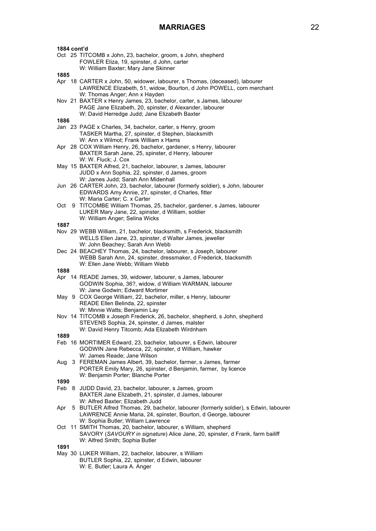| 1884 cont'd   |                                                                                                                                                                                                                           |
|---------------|---------------------------------------------------------------------------------------------------------------------------------------------------------------------------------------------------------------------------|
|               | Oct 25 TITCOMB x John, 23, bachelor, groom, s John, shepherd<br>FOWLER Eliza, 19, spinster, d John, carter<br>W: William Baxter; Mary Jane Skinner                                                                        |
| 1885          |                                                                                                                                                                                                                           |
|               | Apr 18 CARTER x John, 50, widower, labourer, s Thomas, (deceased), labourer<br>LAWRENCE Elizabeth, 51, widow, Bourton, d John POWELL, corn merchant<br>W: Thomas Anger; Ann x Hayden                                      |
|               | Nov 21 BAXTER x Henry James, 23, bachelor, carter, s James, labourer<br>PAGE Jane Elizabeth, 20, spinster, d Alexander, labourer                                                                                          |
|               | W: David Herredge Judd; Jane Elizabeth Baxter                                                                                                                                                                             |
| 1886          |                                                                                                                                                                                                                           |
|               | Jan 23 PAGE x Charles, 34, bachelor, carter, s Henry, groom<br>TASKER Martha, 27, spinster, d Stephen, blacksmith<br>W: Ann x Wilmot; Frank William x Hams                                                                |
|               | Apr 28 COX William Henry, 26, bachelor, gardener, s Henry, labourer<br>BAXTER Sarah Jane, 25, spinster, d Henry, labourer<br>W: W. Fluck; J. Cox                                                                          |
|               | May 15 BAXTER Alfred, 21, bachelor, labourer, s James, labourer<br>JUDD x Ann Sophia, 22, spinster, d James, groom<br>W: James Judd; Sarah Ann Midenhall                                                                  |
|               | Jun 26 CARTER John, 23, bachelor, labourer (formerly soldier), s John, labourer<br>EDWARDS Amy Annie, 27, spinster, d Charles, fitter<br>W: Maria Carter; C. x Carter                                                     |
| Oct           | 9 TITCOMBE William Thomas, 25, bachelor, gardener, s James, labourer<br>LUKER Mary Jane, 22, spinster, d William, soldier<br>W: William Anger; Selina Wicks                                                               |
| 1887          |                                                                                                                                                                                                                           |
|               | Nov 29 WEBB William, 21, bachelor, blacksmith, s Frederick, blacksmith<br>WELLS Ellen Jane, 23, spinster, d Walter James, jeweller                                                                                        |
|               | W: John Beachey; Sarah Ann Webb<br>Dec 24 BEACHEY Thomas, 24, bachelor, labourer, s Joseph, labourer<br>WEBB Sarah Ann, 24, spinster, dressmaker, d Frederick, blacksmith                                                 |
|               | W: Ellen Jane Webb; William Webb                                                                                                                                                                                          |
| 1888          |                                                                                                                                                                                                                           |
|               | Apr 14 READE James, 39, widower, labourer, s James, labourer<br>GODWIN Sophia, 36?, widow, d William WARMAN, labourer<br>W: Jane Godwin; Edward Mortimer                                                                  |
| May           | 9 COX George William, 22, bachelor, miller, s Henry, labourer<br>READE Ellen Belinda, 22, spinster<br>W: Minnie Watts; Benjamin Lay                                                                                       |
|               | Nov 14 TITCOMB x Joseph Frederick, 26, bachelor, shepherd, s John, shepherd<br>STEVENS Sophia, 24, spinster, d James, malster<br>W: David Henry Titcomb; Ada Elizabeth Wirdnham                                           |
| 1889          |                                                                                                                                                                                                                           |
|               | Feb 16 MORTIMER Edward, 23, bachelor, labourer, s Edwin, labourer<br>GODWIN Jane Rebecca, 22, spinster, d William, hawker                                                                                                 |
| Aug           | W: James Reade; Jane Wilson<br>3 FEREMAN James Albert, 39, bachelor, farmer, s James, farmer<br>PORTER Emily Mary, 26, spinster, d Benjamin, farmer, by licence<br>W: Benjamin Porter; Blanche Porter                     |
|               |                                                                                                                                                                                                                           |
| 1890<br>Feb 8 | JUDD David, 23, bachelor, labourer, s James, groom<br>BAXTER Jane Elizabeth, 21, spinster, d James, labourer<br>W: Alfred Baxter; Elizabeth Judd                                                                          |
| Apr           | 5 BUTLER Alfred Thomas, 29, bachelor, labourer (formerly soldier), s Edwin, labourer<br>LAWRENCE Annie Maria, 24, spinster, Bourton, d George, labourer                                                                   |
|               | W: Sophia Butler; William Lawrence<br>Oct 11 SMITH Thomas, 20, bachelor, labourer, s William, shepherd<br>SAVORY (SAVOURY in signature) Alice Jane, 20, spinster, d Frank, farm bailiff<br>W: Alfred Smith; Sophia Butler |
| 1891          |                                                                                                                                                                                                                           |
|               | May 30 LUKER William, 22, bachelor, labourer, s William<br>BUTLER Sophia, 22, spinster, d Edwin, labourer<br>W: E. Butler; Laura A. Anger                                                                                 |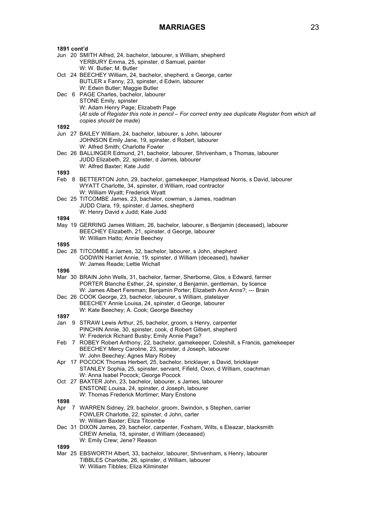| 1891 cont'd |                                                                                                                        |
|-------------|------------------------------------------------------------------------------------------------------------------------|
|             | Jun 20 SMITH Alfred, 24, bachelor, labourer, s William, shepherd                                                       |
|             | YERBURY Emma, 25, spinster, d Samuel, painter                                                                          |
|             | W: W. Butler; M. Butler                                                                                                |
|             | Oct 24 BEECHEY William, 24, bachelor, shepherd, s George, carter                                                       |
|             | BUTLER x Fanny, 23, spinster, d Edwin, labourer                                                                        |
|             | W: Edwin Butler; Maggie Butler                                                                                         |
|             | Dec 6 PAGE Charles, bachelor, labourer                                                                                 |
|             | STONE Emily, spinster                                                                                                  |
|             | W: Adam Henry Page; Elizabeth Page                                                                                     |
|             | (At side of Register this note in pencil - For correct entry see duplicate Register from which all                     |
| 1892        | copies should be made)                                                                                                 |
|             | Jun 27 BAILEY William, 24, bachelor, labourer, s John, labourer                                                        |
|             | JOHNSON Emily Jane, 19, spinster, d Robert, labourer                                                                   |
|             | W: Alfred Smith; Charlotte Fowler                                                                                      |
|             | Dec 26 BALLINGER Edmund, 21, bachelor, labourer, Shrivenham, s Thomas, labourer                                        |
|             | JUDD Elizabeth, 22, spinster, d James, labourer                                                                        |
|             | W: Alfred Baxter; Kate Judd                                                                                            |
| 1893        |                                                                                                                        |
|             | Feb 8 BETTERTON John, 29, bachelor, gamekeeper, Hampstead Norris, s David, labourer                                    |
|             | WYATT Charlotte, 34, spinster, d William, road contractor                                                              |
|             | W: William Wyatt; Frederick Wyatt                                                                                      |
|             | Dec 25 TITCOMBE James, 23, bachelor, cowman, s James, roadman                                                          |
|             | JUDD Clara, 19, spinster, d James, shepherd                                                                            |
|             | W: Henry David x Judd; Kate Judd                                                                                       |
| 1894        |                                                                                                                        |
|             | May 19 GERRING James William, 26, bachelor, labourer, s Benjamin (deceased), labourer                                  |
|             | BEECHEY Elizabeth, 21, spinster, d George, labourer                                                                    |
|             | W: William Hatto; Annie Beechey                                                                                        |
| 1895        |                                                                                                                        |
|             | Dec 28 TITCOMBE x James, 32, bachelor, labourer, s John, shepherd                                                      |
|             | GODWIN Harriet Annie, 19, spinster, d William (deceased), hawker                                                       |
| 1896        | W: James Reade; Lettie Wichall                                                                                         |
|             | Mar 30 BRAIN John Wells, 31, bachelor, farmer, Sherborne, Glos, s Edward, farmer                                       |
|             | PORTER Blanche Esther, 24, spinster, d Benjamin, gentleman, by licence                                                 |
|             | W: James Albert Fereman; Benjamin Porter; Elizabeth Ann Anns?; --- Brain                                               |
|             | Dec 26 COOK George, 23, bachelor, labourer, s William, platelayer                                                      |
|             | BEECHEY Annie Louisa, 24, spinster, d George, labourer                                                                 |
|             | W: Kate Beechey; A. Cook; George Beechey                                                                               |
| 1897        |                                                                                                                        |
|             | Jan 9 STRAW Lewis Arthur, 25, bachelor, groom, s Henry, carpenter                                                      |
|             | PINCHIN Annie, 30, spinster, cook, d Robert Gilbert, shepherd                                                          |
|             | W: Frederick Richard Busby; Emily Annie Page?                                                                          |
|             | Feb 7 ROBEY Robert Anthony, 22, bachelor, gamekeeper, Coleshill, s Francis, gamekeeper                                 |
|             | BEECHEY Mercy Caroline, 23, spinster, d Joseph, labourer                                                               |
|             | W: John Beechey; Agnes Mary Robey                                                                                      |
| Apr         | 17 POCOCK Thomas Herbert, 25, bachelor, bricklayer, s David, bricklayer                                                |
|             | STANLEY Sophia, 25, spinster, servant, Fifield, Oxon, d William, coachman                                              |
|             | W: Anna Isabel Pocock; George Pocock                                                                                   |
|             | Oct 27 BAXTER John, 23, bachelor, labourer, s James, labourer                                                          |
|             | ENSTONE Louisa, 24, spinster, d Joseph, labourer                                                                       |
|             | W: Thomas Frederick Mortimer; Mary Enstone                                                                             |
| 1898        |                                                                                                                        |
| Apr         | 7 WARREN Sidney, 29, bachelor, groom, Swindon, s Stephen, carrier                                                      |
|             | FOWLER Charlotte, 22, spinster, d John, carter                                                                         |
|             | W: William Baxter; Eliza Titcombe<br>Dec 31 DIXON James, 29, bachelor, carpenter, Foxham, Wilts, s Eleazar, blacksmith |
|             | CREW Amelia, 18, spinster, d William (deceased)                                                                        |
|             | W: Emily Crew; Jene? Reason                                                                                            |
| 1899        |                                                                                                                        |
|             | Mar 25 EBSWORTH Albert, 33, bachelor, labourer, Shrivenham, s Henry, labourer                                          |
|             | TIBBLES Charlotte, 26, spinster, d William, labourer                                                                   |
|             | W: William Tibbles; Eliza Kilminster                                                                                   |
|             |                                                                                                                        |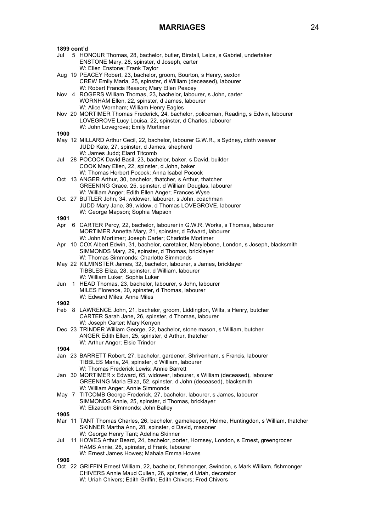| 1899 cont'd |                                                                                                                                                                                                                                                  |
|-------------|--------------------------------------------------------------------------------------------------------------------------------------------------------------------------------------------------------------------------------------------------|
| Jul         | 5 HONOUR Thomas, 28, bachelor, butler, Birstall, Leics, s Gabriel, undertaker<br>ENSTONE Mary, 28, spinster, d Joseph, carter<br>W: Ellen Enstone; Frank Taylor                                                                                  |
|             | Aug 19 PEACEY Robert, 23, bachelor, groom, Bourton, s Henry, sexton<br>CREW Emily Maria, 25, spinster, d William (deceased), labourer<br>W: Robert Francis Reason; Mary Ellen Peacey                                                             |
|             | Nov 4 ROGERS William Thomas, 23, bachelor, labourer, s John, carter<br>WORNHAM Ellen, 22, spinster, d James, labourer<br>W: Alice Wornham; William Henry Eagles                                                                                  |
|             | Nov 20 MORTIMER Thomas Frederick, 24, bachelor, policeman, Reading, s Edwin, labourer<br>LOVEGROVE Lucy Louisa, 22, spinster, d Charles, labourer<br>W: John Lovegrove; Emily Mortimer                                                           |
| 1900        |                                                                                                                                                                                                                                                  |
|             | May 12 MILLARD Arthur Cecil, 22, bachelor, labourer G.W.R., s Sydney, cloth weaver<br>JUDD Kate, 27, spinster, d James, shepherd<br>W: James Judd; Elard Titcomb                                                                                 |
| Jul         | 28 POCOCK David Basil, 23, bachelor, baker, s David, builder<br>COOK Mary Ellen, 22, spinster, d John, baker<br>W: Thomas Herbert Pocock; Anna Isabel Pocock                                                                                     |
|             | Oct 13 ANGER Arthur, 30, bachelor, thatcher, s Arthur, thatcher<br>GREENING Grace, 25, spinster, d William Douglas, labourer                                                                                                                     |
|             | W: William Anger; Edith Ellen Anger; Frances Wyse<br>Oct 27 BUTLER John, 34, widower, labourer, s John, coachman<br>JUDD Mary Jane, 39, widow, d Thomas LOVEGROVE, labourer                                                                      |
| 1901        | W: George Mapson; Sophia Mapson                                                                                                                                                                                                                  |
| Apr         | 6 CARTER Percy, 22, bachelor, labourer in G.W.R. Works, s Thomas, labourer<br>MORTIMER Annetta Mary, 21, spinster, d Edward, labourer                                                                                                            |
|             | W: John Mortimer; Joseph Carter; Charlotte Mortimer<br>Apr 10 COX Albert Edwin, 31, bachelor, caretaker, Marylebone, London, s Joseph, blacksmith<br>SIMMONDS Mary, 29, spinster, d Thomas, bricklayer<br>W: Thomas Simmonds; Charlotte Simmonds |
|             | May 22 KILMINSTER James, 32, bachelor, labourer, s James, bricklayer<br>TIBBLES Eliza, 28, spinster, d William, labourer<br>W: William Luker; Sophia Luker                                                                                       |
| Jun         | 1 HEAD Thomas, 23, bachelor, labourer, s John, labourer<br>MILES Florence, 20, spinster, d Thomas, labourer<br>W: Edward Miles; Anne Miles                                                                                                       |
| 1902        |                                                                                                                                                                                                                                                  |
|             | Feb 8 LAWRENCE John, 21, bachelor, groom, Liddington, Wilts, s Henry, butcher<br>CARTER Sarah Jane, 26, spinster, d Thomas, labourer                                                                                                             |
|             | W: Joseph Carter; Mary Kenyon<br>Dec 23 TRINDER William George, 22, bachelor, stone mason, s William, butcher<br>ANGER Edith Ellen, 25, spinster, d Arthur, thatcher<br>W: Arthur Anger; Elsie Trinder                                           |
| 1904        |                                                                                                                                                                                                                                                  |
|             | Jan 23 BARRETT Robert, 27, bachelor, gardener, Shrivenham, s Francis, labourer<br>TIBBLES Maria, 24, spinster, d William, labourer<br>W: Thomas Frederick Lewis; Annie Barrett                                                                   |
|             | Jan 30 MORTIMER x Edward, 65, widower, labourer, s William (deceased), labourer<br>GREENING Maria Eliza, 52, spinster, d John (deceased), blacksmith<br>W: William Anger; Annie Simmonds                                                         |
|             | May 7 TITCOMB George Frederick, 27, bachelor, labourer, s James, labourer<br>SIMMONDS Annie, 25, spinster, d Thomas, bricklayer<br>W: Elizabeth Simmonds; John Balley                                                                            |
| 1905        |                                                                                                                                                                                                                                                  |
|             | Mar 11 TANT Thomas Charles, 26, bachelor, gamekeeper, Holme, Huntingdon, s William, thatcher<br>SKINNER Martha Ann, 28, spinster, d David, masoner<br>W: George Henry Tant; Adelina Skinner                                                      |
| Jul         | 11 HOWES Arthur Beard, 24, bachelor, porter, Hornsey, London, s Ernest, greengrocer<br>HAMS Annie, 26, spinster, d Frank, labourer<br>W: Ernest James Howes; Mahala Emma Howes                                                                   |
| 1906        | Oct 22 GRIFFIN Ernest William, 22, bachelor, fishmonger, Swindon, s Mark William, fishmonger                                                                                                                                                     |
|             | CHIVERS Annie Maud Cullen, 26, spinster, d Uriah, decorator<br>W: Uriah Chivers; Edith Griffin; Edith Chivers; Fred Chivers                                                                                                                      |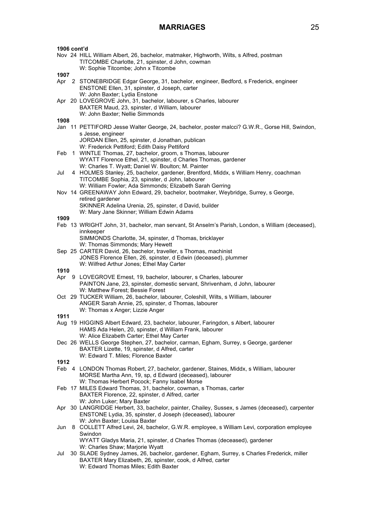| 1906 cont'd |                                                                                                                                                                                                  |
|-------------|--------------------------------------------------------------------------------------------------------------------------------------------------------------------------------------------------|
|             | Nov 24 HILL William Albert, 26, bachelor, matmaker, Highworth, Wilts, s Alfred, postman<br>TITCOMBE Charlotte, 21, spinster, d John, cowman<br>W: Sophie Titcombe; John x Titcombe               |
| 1907        |                                                                                                                                                                                                  |
|             | Apr 2 STONEBRIDGE Edgar George, 31, bachelor, engineer, Bedford, s Frederick, engineer<br>ENSTONE Ellen, 31, spinster, d Joseph, carter<br>W: John Baxter; Lydia Enstone                         |
|             | Apr 20 LOVEGROVE John, 31, bachelor, labourer, s Charles, labourer<br>BAXTER Maud, 23, spinster, d William, labourer                                                                             |
|             | W: John Baxter; Nellie Simmonds                                                                                                                                                                  |
| 1908        | Jan 11 PETTIFORD Jesse Walter George, 24, bachelor, poster malcci? G.W.R., Gorse Hill, Swindon,                                                                                                  |
|             | s Jesse, engineer<br>JORDAN Ellen, 25, spinster, d Jonathan, publican                                                                                                                            |
|             | W: Frederick Pettiford; Edith Daisy Pettiford                                                                                                                                                    |
| Feb         | 1 WINTLE Thomas, 27, bachelor, groom, s Thomas, labourer<br>WYATT Florence Ethel, 21, spinster, d Charles Thomas, gardener                                                                       |
|             | W: Charles T. Wyatt; Daniel W. Boulton; M. Painter                                                                                                                                               |
| Jul         | 4 HOLMES Stanley, 25, bachelor, gardener, Brentford, Middx, s William Henry, coachman<br>TITCOMBE Sophia, 23, spinster, d John, labourer                                                         |
|             | W: William Fowler; Ada Simmonds; Elizabeth Sarah Gerring<br>Nov 14 GREENAWAY John Edward, 29, bachelor, bootmaker, Weybridge, Surrey, s George,<br>retired gardener                              |
|             | SKINNER Adelina Urenia, 25, spinster, d David, builder<br>W: Mary Jane Skinner; William Edwin Adams                                                                                              |
| 1909        |                                                                                                                                                                                                  |
|             | Feb 13 WRIGHT John, 31, bachelor, man servant, St Anselm's Parish, London, s William (deceased),<br>innkeeper                                                                                    |
|             | SIMMONDS Charlotte, 34, spinster, d Thomas, bricklayer<br>W: Thomas Simmonds; Mary Hewett                                                                                                        |
|             | Sep 25 CARTER David, 26, bachelor, traveller, s Thomas, machinist<br>JONES Florence Ellen, 26, spinster, d Edwin (deceased), plummer<br>W: Wilfred Arthur Jones; Ethel May Carter                |
| 1910        |                                                                                                                                                                                                  |
|             | Apr 9 LOVEGROVE Ernest, 19, bachelor, labourer, s Charles, labourer                                                                                                                              |
|             | PAINTON Jane, 23, spinster, domestic servant, Shrivenham, d John, labourer<br>W: Matthew Forest; Bessie Forest                                                                                   |
|             | Oct 29 TUCKER William, 26, bachelor, labourer, Coleshill, Wilts, s William, labourer<br>ANGER Sarah Annie, 25, spinster, d Thomas, labourer<br>W: Thomas x Anger; Lizzie Anger                   |
| 1911        |                                                                                                                                                                                                  |
|             | Aug 19 HIGGINS Albert Edward, 23, bachelor, labourer, Faringdon, s Albert, labourer<br>HAMS Ada Helen, 20, spinster, d William Frank, labourer                                                   |
|             | W: Alice Elizabeth Carter; Ethel May Carter<br>Dec 26 WELLS George Stephen, 27, bachelor, carman, Egham, Surrey, s George, gardener<br>BAXTER Lizette, 19, spinster, d Alfred, carter            |
|             | W: Edward T. Miles; Florence Baxter                                                                                                                                                              |
| 1912        |                                                                                                                                                                                                  |
|             | Feb 4 LONDON Thomas Robert, 27, bachelor, gardener, Staines, Middx, s William, labourer<br>MORSE Martha Ann, 19, sp, d Edward (deceased), labourer                                               |
|             | W: Thomas Herbert Pocock; Fanny Isabel Morse<br>Feb 17 MILES Edward Thomas, 31, bachelor, cowman, s Thomas, carter<br>BAXTER Florence, 22, spinster, d Alfred, carter                            |
|             | W: John Luker; Mary Baxter                                                                                                                                                                       |
| Apr         | 30 LANGRIDGE Herbert, 33, bachelor, painter, Chailey, Sussex, s James (deceased), carpenter<br>ENSTONE Lydia, 35, spinster, d Joseph (deceased), labourer                                        |
| Jun         | W: John Baxter; Louisa Baxter<br>8 COLLETT Alfred Levi, 24, bachelor, G.W.R. employee, s William Levi, corporation employee                                                                      |
|             | Swindon<br>WYATT Gladys Maria, 21, spinster, d Charles Thomas (deceased), gardener<br>W: Charles Shaw; Marjorie Wyatt                                                                            |
| Jul         | 30 SLADE Sydney James, 26, bachelor, gardener, Egham, Surrey, s Charles Frederick, miller<br>BAXTER Mary Elizabeth, 26, spinster, cook, d Alfred, carter<br>W: Edward Thomas Miles; Edith Baxter |
|             |                                                                                                                                                                                                  |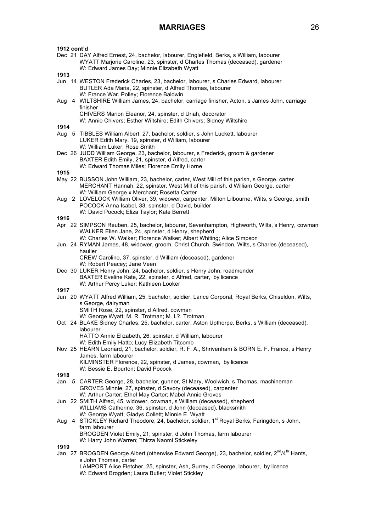| 1912 cont'd | Dec 21 DAY Alfred Ernest, 24, bachelor, labourer, Englefield, Berks, s William, labourer<br>WYATT Marjorie Caroline, 23, spinster, d Charles Thomas (deceased), gardener                              |
|-------------|-------------------------------------------------------------------------------------------------------------------------------------------------------------------------------------------------------|
|             | W: Edward James Day; Minnie Elizabeth Wyatt                                                                                                                                                           |
| 1913        |                                                                                                                                                                                                       |
|             | Jun 14 WESTON Frederick Charles, 23, bachelor, labourer, s Charles Edward, labourer<br>BUTLER Ada Maria, 22, spinster, d Alfred Thomas, labourer<br>W: France War. Polley; Florence Baldwin           |
| Aug         | 4 WILTSHIRE William James, 24, bachelor, carriage finisher, Acton, s James John, carriage                                                                                                             |
|             | finisher<br>CHIVERS Marion Eleanor, 24, spinster, d Uriah, decorator<br>W: Annie Chivers; Esther Wiltshire; Edith Chivers; Sidney Wiltshire                                                           |
| 1914        |                                                                                                                                                                                                       |
|             | Aug 5 TIBBLES William Albert, 27, bachelor, soldier, s John Luckett, labourer<br>LUKER Edith Mary, 19, spinster, d William, labourer                                                                  |
|             | W: William Luker; Rose Smith                                                                                                                                                                          |
|             | Dec 26 JUDD William George, 23, bachelor, labourer, s Frederick, groom & gardener<br>BAXTER Edith Emily, 21, spinster, d Alfred, carter<br>W: Edward Thomas Miles; Florence Emily Horne               |
| 1915        |                                                                                                                                                                                                       |
|             | May 22 BUSSON John William, 23, bachelor, carter, West Mill of this parish, s George, carter<br>MERCHANT Hannah, 22, spinster, West Mill of this parish, d William George, carter                     |
|             | W: William George x Merchant; Rosetta Carter<br>Aug 2 LOVELOCK William Oliver, 39, widower, carpenter, Milton Lilbourne, Wilts, s George, smith<br>POCOCK Anna Isabel, 33, spinster, d David, builder |
|             | W: David Pocock; Eliza Taylor; Kate Berrett                                                                                                                                                           |
| 1916        |                                                                                                                                                                                                       |
|             | Apr 22 SIMPSON Reuben, 25, bachelor, labourer, Sevenhampton, Highworth, Wilts, s Henry, cowman<br>WALKER Ellen Jane, 24, spinster, d Henry, shepherd                                                  |
|             | W: Charles W. Walker; Florence Walker; Albert Whiting; Alice Simpson<br>Jun 24 RYMAN James, 48, widower, groom, Christ Church, Swindon, Wilts, s Charles (deceased),<br>haulier                       |
|             | CREW Caroline, 37, spinster, d William (deceased), gardener<br>W: Robert Peacey; Jane Veen                                                                                                            |
|             | Dec 30 LUKER Henry John, 24, bachelor, soldier, s Henry John, roadmender<br>BAXTER Eveline Kate, 22, spinster, d Alfred, carter, by licence<br>W: Arthur Percy Luker; Kathleen Looker                 |
| 1917        |                                                                                                                                                                                                       |
|             | Jun 20 WYATT Alfred William, 25, bachelor, soldier, Lance Corporal, Royal Berks, Chiseldon, Wilts,                                                                                                    |
|             | s George, dairyman                                                                                                                                                                                    |
|             | SMITH Rose, 22, spinster, d Alfred, cowman                                                                                                                                                            |
|             | W: George Wyatt; M. R. Trotman; M. L?. Trotman<br>Oct 24 BLAKE Sidney Charles, 25, bachelor, carter, Aston Upthorpe, Berks, s William (deceased),                                                     |
|             | labourer                                                                                                                                                                                              |
|             | HATTO Annie Elizabeth, 26, spinster, d William, labourer<br>W: Edith Emily Hatto; Lucy Elizabeth Titcomb                                                                                              |
|             | Nov 25 HEARN Leonard, 21, bachelor, soldier, R. F. A., Shrivenham & BORN E. F. France, s Henry                                                                                                        |
|             | James, farm labourer<br>KILMINSTER Florence, 22, spinster, d James, cowman, by licence                                                                                                                |
|             | W: Bessie E. Bourton; David Pocock                                                                                                                                                                    |
| 1918        |                                                                                                                                                                                                       |
| Jan         | 5 CARTER George, 28, bachelor, gunner, St Mary, Woolwich, s Thomas, machineman<br>GROVES Minnie, 27, spinster, d Savory (deceased), carpenter                                                         |
|             | W: Arthur Carter; Ethel May Carter; Mabel Annie Groves<br>Jun 22 SMITH Alfred, 45, widower, cowman, s William (deceased), shepherd                                                                    |
|             | WILLIAMS Catherine, 36, spinster, d John (deceased), blacksmith<br>W: George Wyatt; Gladys Collett; Minnie E. Wyatt                                                                                   |
| Aug         | 4 STICKLEY Richard Theodore, 24, bachelor, soldier, 1 <sup>st</sup> Royal Berks, Faringdon, s John,<br>farm labourer                                                                                  |
|             | BROGDEN Violet Emily, 21, spinster, d John Thomas, farm labourer                                                                                                                                      |
| 1919        | W: Harry John Warren; Thirza Naomi Stickeley                                                                                                                                                          |
|             | Jan 27 BROGDEN George Albert (otherwise Edward George), 23, bachelor, soldier, 2 <sup>nd</sup> /4 <sup>th</sup> Hants,                                                                                |
|             | s John Thomas, carter<br>LAMPORT Alice Fletcher, 25, spinster, Ash, Surrey, d George, labourer, by licence                                                                                            |
|             | W: Edward Brogden; Laura Butler; Violet Stickley                                                                                                                                                      |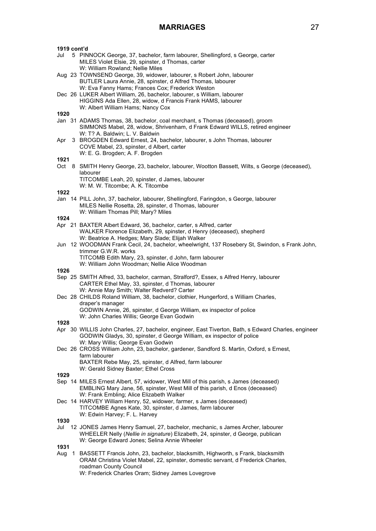| 1919 cont'd |                                                                                                                                                                                                                   |
|-------------|-------------------------------------------------------------------------------------------------------------------------------------------------------------------------------------------------------------------|
| Jul         | 5 PINNOCK George, 37, bachelor, farm labourer, Shellingford, s George, carter<br>MILES Violet Elsie, 29, spinster, d Thomas, carter<br>W: William Rowland; Nellie Miles                                           |
|             | Aug 23 TOWNSEND George, 39, widower, labourer, s Robert John, labourer<br>BUTLER Laura Annie, 28, spinster, d Alfred Thomas, labourer<br>W: Eva Fanny Hams; Frances Cox; Frederick Weston                         |
|             | Dec 26 LUKER Albert William, 26, bachelor, labourer, s William, labourer<br>HIGGINS Ada Ellen, 28, widow, d Francis Frank HAMS, labourer<br>W: Albert William Hams; Nancy Cox                                     |
| 1920        |                                                                                                                                                                                                                   |
|             | Jan 31 ADAMS Thomas, 38, bachelor, coal merchant, s Thomas (deceased), groom<br>SIMMONS Mabel, 28, widow, Shrivenham, d Frank Edward WILLS, retired engineer<br>W: T? A. Baldwin; L. V. Baldwin                   |
| Apr         | 3 BROGDEN Edward Ernest, 24, bachelor, labourer, s John Thomas, labourer<br>COVE Mabel, 23, spinster, d Albert, carter<br>W: E. G. Brogden; A. F. Brogden                                                         |
| 1921        |                                                                                                                                                                                                                   |
|             | Oct 8 SMITH Henry George, 23, bachelor, labourer, Wootton Bassett, Wilts, s George (deceased),<br>labourer<br>TITCOMBE Leah, 20, spinster, d James, labourer                                                      |
| 1922        | W: M. W. Titcombe; A. K. Titcombe                                                                                                                                                                                 |
|             | Jan 14 PILL John, 37, bachelor, labourer, Shellingford, Faringdon, s George, labourer<br>MILES Nellie Rosetta, 28, spinster, d Thomas, labourer<br>W: William Thomas Pill; Mary? Miles                            |
| 1924        |                                                                                                                                                                                                                   |
|             | Apr 21 BAXTER Albert Edward, 36, bachelor, carter, s Alfred, carter<br>WALKER Florence Elizabeth, 29, spinster, d Henry (deceased), shepherd<br>W: Beatrice A. Hedges; Mary Slade; Elijah Walker                  |
|             | Jun 12 WOODMAN Frank Cecil, 24, bachelor, wheelwright, 137 Rosebery St, Swindon, s Frank John,<br>trimmer G.W.R. works<br>TITCOMB Edith Mary, 23, spinster, d John, farm labourer                                 |
|             | W: William John Woodman; Nellie Alice Woodman                                                                                                                                                                     |
| 1926        | Sep 25 SMITH Alfred, 33, bachelor, carman, Stralford?, Essex, s Alfred Henry, labourer                                                                                                                            |
|             | CARTER Ethel May, 33, spinster, d Thomas, labourer<br>W: Annie May Smith; Walter Redverd? Carter                                                                                                                  |
|             | Dec 28 CHILDS Roland William, 38, bachelor, clothier, Hungerford, s William Charles,<br>draper's manager<br>GODWIN Annie, 26, spinster, d George William, ex inspector of police                                  |
|             | W: John Charles Willis; George Evan Godwin                                                                                                                                                                        |
| 1928        | Apr 30 WILLIS John Charles, 27, bachelor, engineer, East Tiverton, Bath, s Edward Charles, engineer<br>GODWIN Gladys, 30, spinster, d George William, ex inspector of police                                      |
|             | W: Mary Willis; George Evan Godwin<br>Dec 26 CROSS William John, 23, bachelor, gardener, Sandford S. Martin, Oxford, s Ernest,<br>farm labourer                                                                   |
|             | BAXTER Rebe May, 25, spinster, d Alfred, farm labourer<br>W: Gerald Sidney Baxter; Ethel Cross                                                                                                                    |
| 1929        |                                                                                                                                                                                                                   |
|             | Sep 14 MILES Ernest Albert, 57, widower, West Mill of this parish, s James (deceased)<br>EMBLING Mary Jane, 56, spinster, West Mill of this parish, d Enos (deceased)<br>W: Frank Embling; Alice Elizabeth Walker |
|             | Dec 14 HARVEY William Henry, 52, widower, farmer, s James (deceased)<br>TITCOMBE Agnes Kate, 30, spinster, d James, farm labourer<br>W: Edwin Harvey; F. L. Harvey                                                |
| 1930        |                                                                                                                                                                                                                   |
| Jul         | 12 JONES James Henry Samuel, 27, bachelor, mechanic, s James Archer, labourer<br>WHEELER Nelly (Nellie in signature) Elizabeth, 24, spinster, d George, publican<br>W: George Edward Jones; Selina Annie Wheeler  |
| 1931        |                                                                                                                                                                                                                   |
| Aug         | 1 BASSETT Francis John, 23, bachelor, blacksmith, Highworth, s Frank, blacksmith<br>ORAM Christina Violet Mabel, 22, spinster, domestic servant, d Frederick Charles,<br>roadman County Council                   |

W: Frederick Charles Oram; Sidney James Lovegrove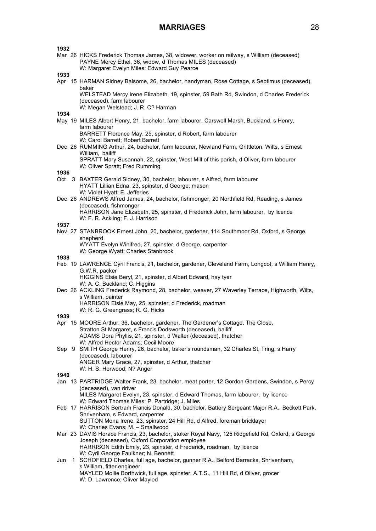| 1932<br>1933 | Mar 26 HICKS Frederick Thomas James, 38, widower, worker on railway, s William (deceased)<br>PAYNE Mercy Ethel, 36, widow, d Thomas MILES (deceased)<br>W: Margaret Evelyn Miles; Edward Guy Pearce |
|--------------|-----------------------------------------------------------------------------------------------------------------------------------------------------------------------------------------------------|
|              | Apr 15 HARMAN Sidney Balsome, 26, bachelor, handyman, Rose Cottage, s Septimus (deceased),                                                                                                          |
|              | baker<br>WELSTEAD Mercy Irene Elizabeth, 19, spinster, 59 Bath Rd, Swindon, d Charles Frederick<br>(deceased), farm labourer<br>W: Megan Welstead; J. R. C? Harman                                  |
| 1934         | May 19 MILES Albert Henry, 21, bachelor, farm labourer, Carswell Marsh, Buckland, s Henry,                                                                                                          |
|              | farm labourer<br>BARRETT Florence May, 25, spinster, d Robert, farm labourer                                                                                                                        |
|              | W: Carol Barrett; Robert Barrett<br>Dec 26 RUMMING Arthur, 24, bachelor, farm labourer, Newland Farm, Grittleton, Wilts, s Ernest                                                                   |
|              | William, bailiff<br>SPRATT Mary Susannah, 22, spinster, West Mill of this parish, d Oliver, farm labourer<br>W: Oliver Spratt; Fred Rumming                                                         |
| 1936         | Oct 3 BAXTER Gerald Sidney, 30, bachelor, labourer, s Alfred, farm labourer                                                                                                                         |
|              | HYATT Lillian Edna, 23, spinster, d George, mason                                                                                                                                                   |
|              | W: Violet Hyatt; E. Jefferies<br>Dec 26 ANDREWS Alfred James, 24, bachelor, fishmonger, 20 Northfield Rd, Reading, s James                                                                          |
|              | (deceased), fishmonger<br>HARRISON Jane Elizabeth, 25, spinster, d Frederick John, farm labourer, by licence                                                                                        |
|              | W: F. R. Ackling; F. J. Harrison                                                                                                                                                                    |
| 1937         |                                                                                                                                                                                                     |
|              | Nov 27 STANBROOK Ernest John, 20, bachelor, gardener, 114 Southmoor Rd, Oxford, s George,<br>shepherd<br>WYATT Evelyn Winifred, 27, spinster, d George, carpenter                                   |
|              | W: George Wyatt; Charles Stanbrook                                                                                                                                                                  |
| 1938         | Feb 19 LAWRENCE Cyril Francis, 21, bachelor, gardener, Cleveland Farm, Longcot, s William Henry,                                                                                                    |
|              | G.W.R. packer                                                                                                                                                                                       |
|              | HIGGINS Elsie Beryl, 21, spinster, d Albert Edward, hay tyer<br>W: A. C. Buckland; C. Higgins                                                                                                       |
|              | Dec 26 ACKLING Frederick Raymond, 28, bachelor, weaver, 27 Waverley Terrace, Highworth, Wilts,<br>s William, painter                                                                                |
|              | HARRISON Elsie May, 25, spinster, d Frederick, roadman                                                                                                                                              |
|              | W: R. G. Greengrass; R. G. Hicks                                                                                                                                                                    |
| 1939         | Apr 15 MOORE Arthur, 36, bachelor, gardener, The Gardener's Cottage, The Close,                                                                                                                     |
|              | Stratton St Margaret, s Francis Dodsworth (deceased), bailiff<br>ADAMS Dora Phyllis, 21, spinster, d Walter (deceased), thatcher                                                                    |
|              | W: Alfred Hector Adams; Cecil Moore                                                                                                                                                                 |
|              | Sep 9 SMITH George Henry, 26, bachelor, baker's roundsman, 32 Charles St, Tring, s Harry<br>(deceased), labourer                                                                                    |
|              | ANGER Mary Grace, 27, spinster, d Arthur, thatcher                                                                                                                                                  |
| 1940         | W: H. S. Horwood; N? Anger                                                                                                                                                                          |
|              | Jan 13 PARTRIDGE Walter Frank, 23, bachelor, meat porter, 12 Gordon Gardens, Swindon, s Percy                                                                                                       |
|              | (deceased), van driver<br>MILES Margaret Evelyn, 23, spinster, d Edward Thomas, farm labourer, by licence                                                                                           |
|              | W: Edward Thomas Miles; P. Partridge; J. Miles<br>Feb 17 HARRISON Bertram Francis Donald, 30, bachelor, Battery Sergeant Major R.A., Beckett Park,                                                  |
|              | Shrivenham, s Edward, carpenter<br>SUTTON Mona Irene, 23, spinster, 24 Hill Rd, d Alfred, foreman bricklayer<br>W: Charles Evans; M. - Smallwood                                                    |
|              | Mar 23 DAVIS Horace Francis, 23, bachelor, stoker Royal Navy, 125 Ridgefield Rd, Oxford, s George                                                                                                   |
|              | Joseph (deceased), Oxford Corporation employee<br>HARRISON Edith Emily, 23, spinster, d Frederick, roadman, by licence                                                                              |
| Jun          | W: Cyril George Faulkner; N. Bennett<br>1 SCHOFIELD Charles, full age, bachelor, gunner R.A., Belford Barracks, Shrivenham,                                                                         |
|              | s William, fitter engineer<br>MAYLED Mollie Borthwick, full age, spinster, A.T.S., 11 Hill Rd, d Oliver, grocer                                                                                     |
|              | W: D. Lawrence; Oliver Mayled                                                                                                                                                                       |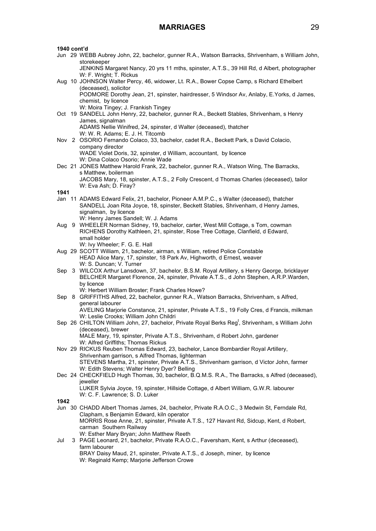### **1940 cont'd**

Jun 29 WEBB Aubrey John, 22, bachelor, gunner R.A., Watson Barracks, Shrivenham, s William John, storekeeper

JENKINS Margaret Nancy, 20 yrs 11 mths, spinster, A.T.S., 39 Hill Rd, d Albert, photographer W: F. Wright: T. Rickus

- Aug 10 JOHNSON Walter Percy, 46, widower, Lt. R.A., Bower Copse Camp, s Richard Ethelbert (deceased), solicitor PODMORE Dorothy Jean, 21, spinster, hairdresser, 5 Windsor Av, Anlaby, E.Yorks, d James, chemist, by licence W: Moira Tingey; J. Frankish Tingey
- Oct 19 SANDELL John Henry, 22, bachelor, gunner R.A., Beckett Stables, Shrivenham, s Henry James, signalman ADAMS Nellie Winifred, 24, spinster, d Walter (deceased), thatcher W: W. R. Adams; E. J. H. Titcomb
- Nov 2 OSORIO Fernando Colaco, 33, bachelor, cadet R.A., Beckett Park, s David Colacio, company director WADE Violet Doris, 32, spinster, d William, accountant, by licence
- W: Dina Colaco Osorio; Annie Wade Dec 21 JONES Matthew Harold Frank, 22, bachelor, gunner R.A., Watson Wing, The Barracks, s Matthew, boilerman JACOBS Mary, 18, spinster, A.T.S., 2 Folly Crescent, d Thomas Charles (deceased), tailor W: Eva Ash; D. Firay?

### **1941**

- Jan 11 ADAMS Edward Felix, 21, bachelor, Pioneer A.M.P.C., s Walter (deceased), thatcher SANDELL Joan Rita Joyce, 18, spinster, Beckett Stables, Shrivenham, d Henry James, signalman, by licence W: Henry James Sandell; W. J. Adams
- Aug 9 WHEELER Norman Sidney, 19, bachelor, carter, West Mill Cottage, s Tom, cowman RICHENS Dorothy Kathleen, 21, spinster, Rose Tree Cottage, Clanfield, d Edward, small holder
	- W: Ivy Wheeler; F. G. E. Hall
- Aug 29 SCOTT William, 21, bachelor, airman, s William, retired Police Constable HEAD Alice Mary, 17, spinster, 18 Park Av, Highworth, d Ernest, weaver W: S. Duncan; V. Turner
- Sep 3 WILCOX Arthur Lansdown, 37, bachelor, B.S.M. Royal Artillery, s Henry George, bricklayer BELCHER Margaret Florence, 24, spinster, Private A.T.S., d John Stephen, A.R.P.Warden, by licence
	- W: Herbert William Broster; Frank Charles Howe?
- Sep 8 GRIFFITHS Alfred, 22, bachelor, gunner R.A., Watson Barracks, Shrivenham, s Alfred, general labourer AVELING Marjorie Constance, 21, spinster, Private A.T.S., 19 Folly Cres, d Francis, milkman

W: Leslie Crooks; William John Childri

Sep 26 CHILTON William John, 27, bachelor, Private Royal Berks Reg<sup>t</sup>, Shrivenham, s William John (deceased), brewer MALE Mary, 19, spinster, Private A.T.S., Shrivenham, d Robert John, gardener

W: Alfred Griffiths; Thomas Rickus

- Nov 29 RICKUS Reuben Thomas Edward, 23, bachelor, Lance Bombardier Royal Artillery, Shrivenham garrison, s Alfred Thomas, lighterman STEVENS Martha, 21, spinster, Private A.T.S., Shrivenham garrison, d Victor John, farmer W: Edith Stevens; Walter Henry Dyer? Belling
- Dec 24 CHECKFIELD Hugh Thomas, 30, bachelor, B.Q.M.S. R.A., The Barracks, s Alfred (deceased), jeweller LUKER Sylvia Joyce, 19, spinster, Hillside Cottage, d Albert William, G.W.R. labourer W: C. F. Lawrence; S. D. Luker
- **1942**
- Jun 30 CHADD Albert Thomas James, 24, bachelor, Private R.A.O.C., 3 Medwin St, Ferndale Rd, Clapham, s Benjamin Edward, kiln operator MORRIS Rose Anne, 21, spinster, Private A.T.S., 127 Havant Rd, Sidcup, Kent, d Robert, carman Southern Railway W: Esther Mary Bryan; John Matthew Reeth
- Jul 3 PAGE Leonard, 21, bachelor, Private R.A.O.C., Faversham, Kent, s Arthur (deceased), farm labourer BRAY Daisy Maud, 21, spinster, Private A.T.S., d Joseph, miner, by licence W: Reginald Kemp; Marjorie Jefferson Crowe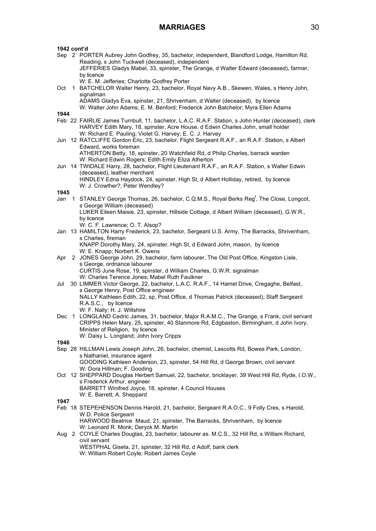- Sep 2 PORTER Aubrey John Godfrey, 35, bachelor, independent, Blandford Lodge, Hamilton Rd, Reading, s John Tuckwell (deceased), independent JEFFERIES Gladys Mabel, 33, spinster, The Grange, d Walter Edward (deceased), farmer, by licence
	- W: E. M. Jefferies; Charlotte Godfrey Porter
- Oct 1 BATCHELOR Walter Henry, 23, bachelor, Royal Navy A.B., Skewen, Wales, s Henry John, signalman

ADAMS Gladys Eva, spinster, 21, Shrivenham, d Walter (deceased), by licence W: Walter John Adams; E. M. Benford; Frederick John Batchelor; Myra Ellen Adams

- **1944** Feb 22 FAIRLIE James Turnbull, 11, bachelor, L.A.C. R.A.F. Station, s John Hunter (deceased), clerk HARVEY Edith Mary, 18, spinster, Acre House, d Edwin Charles John, small holder W: Richard E. Pauling; Violet G. Harvey; E. C. J. Harvey
- Jun 12 RATCLIFFE Gordon Eric, 23, bachelor, Flight Sergeant R.A.F., an R.A.F. Station, s Albert Edward, works foreman ATHERTON Betty, 18, spinster, 20 Watchfield Rd, d Philip Charles, barrack warden W: Richard Edwin Rogers; Edith Emily Eliza Atherton
- Jun 14 TWIDALE Harry, 28, bachelor, Flight Lieutenant R.A.F., an R.A.F. Station, s Walter Edwin (deceased), leather merchant HINDLEY Edna Haydock, 24, spinster, High St, d Albert Holliday, retired, by licence W: J. Crowther?: Peter Wendley?

### **1945**

- Jan 1 STANLEY George Thomas, 26, bachelor, C.Q.M.S., Royal Berks Reg<sup>t</sup>, The Close, Longcot, s George William (deceased) LUKER Eileen Maisie, 23, spinster, Hillside Cottage, d Albert William (deceased), G.W.R., by licence W: C. F. Lawrence; O. T. Alsop?
- Jan 13 HAMILTON Harry Frederick, 23, bachelor, Sergeant U.S. Army, The Barracks, Shrivenham, s Charles, fireman KNAPP Dorothy Mary, 24, spinster, High St, d Edward John, mason, by licence W: E. Knapp; Norbert K. Owens
- Apr 2 JONES George John, 29, bachelor, farm labourer, The Old Post Office, Kingston Lisle, s George, ordnance labourer CURTIS June Rose, 19, spinster, d William Charles, G.W.R. signalman W: Charles Terence Jones; Mabel Ruth Faulkner
- Jul 30 LIMMER Victor George, 22, bachelor, L.A.C. R.A.F., 14 Hamel Drive, Cregaghe, Belfast, s George Henry, Post Office engineer NALLY Kathleen Edith, 22, sp, Post Office, d Thomas Patrick (deceased), Staff Sergeant R.A.S.C., by licence W: F. Nally; H. J. Wiltshire
- Dec 1 LONGLAND Cedric James, 31, bachelor, Major R.A.M.C., The Grange, s Frank, civil servant CRIPPS Helen Mary, 25, spinster, 40 Stanmore Rd, Edgbaston, Birmingham, d John Ivory, Minister of Religion, by licence W: Daisy L. Longland; John Ivory Cripps
- **1946**
- Sep 28 HILLMAN Lewis Joseph John, 26, bachelor, chemist, Lascotts Rd, Bowes Park, London, s Nathaniel, insurance agent GOODING Kathleen Anderson, 23, spinster, 54 Hill Rd, d George Brown, civil servant W: Dora Hillman; F. Gooding
- Oct 12 SHEPPARD Douglas Herbert Samuel, 22, bachelor, bricklayer, 39 West Hill Rd, Ryde, I.O.W., s Frederick Arthur, engineer BARRETT Winifred Joyce, 18, spinster, 4 Council Houses W: E. Barrett; A. Sheppard

- Feb 18 STEPEHENSON Dennis Harold, 21, bachelor, Sergeant R.A.O.C., 9 Folly Cres, s Harold, W.D. Police Sergeant HARWOOD Beatrice Maud, 21, spinster, The Barracks, Shrivenham, by licence W: Leonard R. Monk; Deryck M. Martin
- Aug 2 COYLE Charles Douglas, 23, bachelor, labourer as. M.C.S., 32 Hill Rd, s William Richard, civil servant WESTPHAL Gisela, 21, spinster, 32 Hill Rd, d Adolf, bank clerk W: William Robert Coyle; Robert James Coyle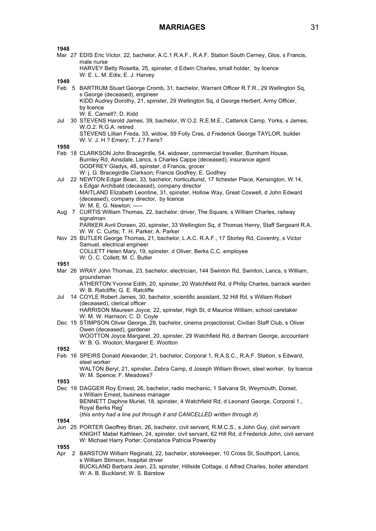**1948**

Mar 27 EDIS Eric Victor, 22, bachelor, A.C.1 R.A.F., R.A.F. Station South Cerney, Glos, s Francis, male nurse

HARVEY Betty Rosetta, 25, spinster, d Edwin Charles, small holder, by licence W: E. L. M. Edis; E. J. Harvey

**1949**

- Feb 5 BARTRUM Stuart George Cromb, 31, bachelor, Warrant Officer R.T.R., 29 Wellington Sq, s George (deceased), engineer KIDD Audrey Dorothy, 21, spinster, 29 Wellington Sq, d George Herbert, Army Officer, by licence W: E. Carnell?; D. Kidd
- Jul 30 STEVENS Harold James, 39, bachelor, W.O.2. R.E.M.E., Catterick Camp, Yorks, s James, W.O.2. R.G.A. retired STEVENS Lillian Freda, 33, widow, 59 Folly Cres, d Frederick George TAYLOR, builder W: V. J. H.? Emery; T. J.? Feris?

**1950**

- Feb 18 CLARKSON John Bracegirdle, 54, widower, commercial traveller, Burnham House, Burnley Rd, Ainsdale, Lancs, s Charles Cappe (deceased), insurance agent GODFREY Gladys, 48, spinster, d Francis, grocer W: j. G. Bracegirdle Clarkson; Francis Godfrey; E. Godfrey
- Jul 22 NEWTON Edgar Bean, 33, bachelor, horticulturist, 17 Ilchester Place, Kensington, W.14, s Edgar Archibald (deceased), company director MAITLAND Elizabeth Leontine, 31, spinster, Hollow Way, Great Coxwell, d John Edward (deceased), company director, by licence W: M. E. G. Newton; -----
- Aug 7 CURTIS William Thomas, 22, bachelor, driver, The Square, s William Charles, railway signalman PARKER Avril Doreen, 20, spinster, 33 Wellington Sq, d Thomas Henry, Staff Sergeant R.A.
- W: W. C. Curtis; T. H. Parker; A. Parker Nov 25 BUTLER George Thomas, 21, bachelor, L.A.C. R.A.F., 17 Storley Rd, Coventry, s Victor Samuel, electrical engineer COLLETT Helen Mary, 19, spinster, d Oliver, Berks C.C. employee
	- W: O. C. Collett; M. C. Butler

**1951**

Mar 26 WRAY John Thomas, 23, bachelor, electrician, 144 Swinton Rd, Swinton, Lancs, s William, groundsman

ATHERTON Yvonne Edith, 20, spinster, 20 Watchfield Rd, d Philip Charles, barrack warden W: B. Ratcliffe; G. E. Ratcliffe

- Jul 14 COYLE Robert James, 30, bachelor, scientific assistant, 32 Hill Rd, s William Robert (deceased), clerical officer HARRISON Maureen Joyce, 22, spinster, High St, d Maurice William, school caretaker W: M. W. Harrison; C. D. Coyle
- Dec 15 STIMPSON Oliver George, 29, bachelor, cinema projectionist, Civilian Staff Club, s Oliver Owen (deceased), gardener WOOTTON Joyce Margaret, 20, spinster, 29 Watchfield Rd, d Bertram George, accountant W: B. G. Wooton; Margaret E. Wootton

**1952**

Feb 16 SPEIRS Donald Alexander, 21, bachelor, Corporal 1, R.A.S.C., R.A.F. Station, s Edward, steel worker

WALTON Beryl, 21, spinster, Zebra Camp, d Joseph William Brown, steel worker, by licence W: M. Spence; F. Meadows?

**1953**

Dec 19 DAGGER Roy Ernest, 26, bachelor, radio mechanic, 1 Salvana St, Weymouth, Dorset, s William Ernest, business manager BENNETT Daphne Muriel, 18, spinster, 4 Watchfield Rd, d Leonard George, Corporal 1., Royal Berks Reg<sup>t</sup>

(*this entry had a line put through it and CANCELLED written through it*)

**1954**

Jun 25 PORTER Geoffrey Brian, 26, bachelor, civil servant, R.M.C.S., s John Guy, civil servant KNIGHT Mabel Kathleen, 24, spinster, civil servant, 62 Hill Rd, d Frederick John, civil servant W: Michael Harry Porter; Constance Patricia Powenby

**1955**

Apr 2 BARSTOW William Reginald, 22, bachelor, storekeeper, 10 Cross St, Southport, Lancs, s William Stimson, hospital driver BUCKLAND Barbara Jean, 23, spinster, Hillside Cottage, d Alfred Charles, boiler attendant W: A. B. Buckland; W. S. Barstow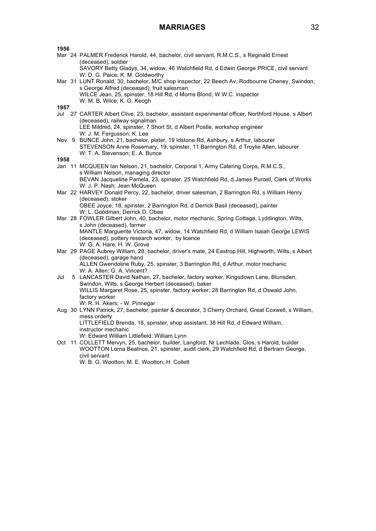| 1956 |                                                                                                           |
|------|-----------------------------------------------------------------------------------------------------------|
|      | Mar 24 PALMER Frederick Harold, 44, bachelor, civil servant, R.M.C.S., s Reginald Ernest                  |
|      | (deceased), soldier                                                                                       |
|      | SAVORY Betty Gladys, 34, widow, 46 Watchfield Rd, d Edwin George PRICE, civil servant                     |
|      | W: D. G. Paice; K. M. Goldworthy                                                                          |
|      | Mar 31 LUNT Ronald, 30, bachelor, M/C shop inspector, 22 Beech Av, Rodbourne Cheney, Swindon,             |
|      | s George Alfred (deceased), fruit salesman                                                                |
|      | WILCE Jean, 25, spinster, 18 Hill Rd, d Morris Blond, W.W.C. inspector                                    |
|      | W: M. B. Wilce; K. G. Keogh                                                                               |
| 1957 |                                                                                                           |
|      | Jul 27 CARTER Albert Clive, 23, bachelor, assistant experimental officer, Northford House, s Albert       |
|      | (deceased), railway signalman                                                                             |
|      | LEE Mildred, 24, spinster, 7 Short St, d Albert Postle, workshop engineer                                 |
|      | W: J. M. Fergusson; K. Lee                                                                                |
|      | Nov 9 BUNCE John, 21, bachelor, plater, 19 Idstone Rd, Ashbury, s Arthur, labourer                        |
|      | STEVENSON Anne Rosemary, 19, spinster, 11 Barrington Rd, d Troylie Allen, labourer                        |
|      | W: T. A. Stevenson; E. A. Bunce                                                                           |
| 1958 |                                                                                                           |
|      | Jan 11 MCQUEEN Ian Nelson, 21, bachelor, Corporal 1, Army Catering Corps, R.M.C.S.,                       |
|      | s William Nelson, managing director                                                                       |
|      | BEVAN Jacqueline Pamela, 23, spinster, 25 Watchfield Rd, d James Purcell, Clerk of Works                  |
|      | W: J. P. Nash; Jean McQueen                                                                               |
|      | Mar 22 HARVEY Donald Percy, 22, bachelor, driver salesman, 2 Barrington Rd, s William Henry               |
|      | (deceased), stoker                                                                                        |
|      | OBEE Joyce, 18, spinster, 2 Barrington Rd, d Derrick Basil (deceased), painter                            |
|      | W: L. Goodman; Derrick D. Obee                                                                            |
|      | Mar 28 FOWLER Gilbert John, 40, bachelor, motor mechanic, Spring Cottage, Lyddington, Wilts,              |
|      | s John (deceased), farmer                                                                                 |
|      | MANTLE Marguerite Victoria, 47, widow, 14 Watchfield Rd, d William Isaiah George LEWIS                    |
|      | (deceased), pottery research worker, by licence                                                           |
|      | W: G. A. Hare; H. W. Grove                                                                                |
|      | Mar 29 PAGE Aubrey William, 28, bachelor, driver's mate, 24 Eastrop Hill, Highworth, Wilts, s Albert      |
|      | (deceased), garage hand<br>ALLEN Gwendoline Ruby, 25, spinster, 3 Barrington Rd, d Arthur, motor mechanic |
|      | W: A. Allen; G. A. Vincent?                                                                               |
| Jul  | 5 LANCASTER David Nathan, 27, bachelor, factory worker, Kingsdown Lane, Blunsden,                         |
|      | Swindon, Wilts, s George Herbert (deceased), baker                                                        |
|      | WILLIS Margaret Rose, 25, spinster, factory worker, 28 Barrington Rd, d Oswald John,                      |
|      | factory worker                                                                                            |
|      | W: R. H. Akers; - W. Pinnegar                                                                             |
|      | Aug 30 LYNN Patrick, 27, bachelor, painter & decorator, 3 Cherry Orchard, Great Coxwell, s William,       |
|      | mess orderly                                                                                              |
|      | LITTLEFIELD Brenda, 18, spinster, shop assistant, 38 Hill Rd, d Edward William,                           |
|      | instructor mechanic                                                                                       |
|      | W: Edward William Littlefield; William Lynn                                                               |
|      | Oct 11 COLLETT Mervyn, 25, bachelor, builder, Langford, Nr Lechlade, Glos, s Harold, builder              |
|      |                                                                                                           |

WOOTTON Lorna Beatrice, 21, spinster, audit clerk, 29 Watchfield Rd, d Bertram George, civil servant

W: B. G. Wootton; M. E. Wootton; H. Collett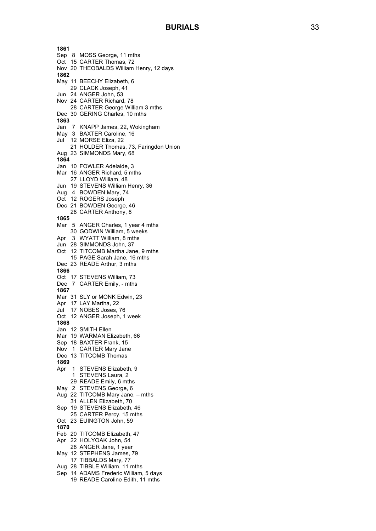**1861** Sep 8 MOSS George, 11 mths Oct 15 CARTER Thomas, 72 Nov 20 THEOBALDS William Henry, 12 days **1862** May 11 BEECHY Elizabeth, 6 29 CLACK Joseph, 41 Jun 24 ANGER John, 53 Nov 24 CARTER Richard, 78 28 CARTER George William 3 mths Dec 30 GERING Charles, 10 mths **1863** Jan 7 KNAPP James, 22, Wokingham May 3 BAXTER Caroline, 16 Jul 12 MORSE Eliza, 22 21 HOLDER Thomas, 73, Faringdon Union Aug 23 SIMMONDS Mary, 68 **1864** Jan 10 FOWLER Adelaide, 3 Mar 16 ANGER Richard, 5 mths 27 LLOYD William, 48 Jun 19 STEVENS William Henry, 36 Aug 4 BOWDEN Mary, 74 Oct 12 ROGERS Joseph Dec 21 BOWDEN George, 46 28 CARTER Anthony, 8 **1865** Mar 5 ANGER Charles , 1 year 4 mths 30 GODWIN William , 5 week s Apr 3 WYATT William, 8 mths Jun 28 SIMMONDS John, 37 Oct 12 TITCOMB Martha Jane, 9 mths 15 PAGE Sarah Jane, 16 mths Dec 23 READE Arthur, 3 mths **1866** Oct 17 STEVENS William, 73 Dec 7 CARTER Emily, - mths **1867** Mar 31 SLY or MONK Edwin, 23 Apr 17 LAY Martha, 22 Jul 17 NOBES Joses, 76 Oct 12 ANGER Joseph , 1 week **1868** Jan 12 SMITH Ellen Mar 19 WARMAN Elizabeth, 66 Sep 18 BAXTER Frank, 15 Nov 1 CARTER Mary Jane Dec 13 TITCOMB Thomas **1869** Apr 1 STEVENS Elizabeth, 9 1 STEVENS Laura, 2 29 READE Emily, 6 mths May 2 STEVENS George, 6 Aug 22 TITCOMB Mary Jane, – mths 31 ALLEN Elizabeth, 70 Sep 19 STEVENS Elizabeth, 46 25 CARTER Percy, 15 mths Oct 23 EUINGTON John, 59 **1870** Feb 20 TITCOMB Elizabeth, 47 Apr 22 HOLYOAK John, 54 28 ANGER Jane, 1 year May 12 STEPHENS James, 79 17 TIBBALDS Mary, 77 Aug 28 TIBBLE William, 11 mths Sep 14 ADAMS Frederic William, 5 days 19 READE Caroline Edith, 11 mths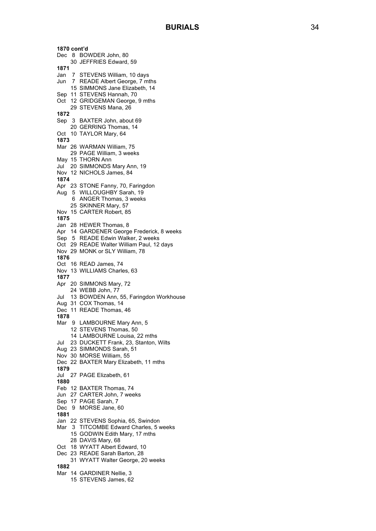**1870 cont'd** Dec 8 BOWDER John, 80 30 JEFFRIES Edward, 59 **1871** Jan 7 STEVENS William, 10 days Jun 7 READE Albert George, 7 mths 15 SIMMONS Jane Elizabeth, 14 Sep 11 STEVENS Hannah, 70 Oct 12 GRIDGEMAN George, 9 mths 29 STEVENS Mana, 26 **1872** Sep 3 BAXTER John, about 69 20 GERRING Thomas, 14 Oct 10 TAYLOR Mary, 64 **1873** Mar 26 WARMAN William, 75 29 PAGE William, 3 week s May 15 THORN Ann Jul 20 SIMMONDS Mary Ann, 19 Nov 12 NICHOLS James, 84 **1874** Apr 23 STONE Fanny, 70, Faringdon Aug 5 WILLOUGHBY Sarah, 19 6 ANGER Thomas, 3 week s 25 SKINNER Mary, 57 Nov 15 CARTER Robert, 85 **1875** Jan 28 HEWER Thomas, 8 Apr 14 GARDENER George Frederick, 8 week s Sep 5 READE Edwin Walker, 2 week s Oct 29 READE Walter William Paul, 12 days Nov 29 MONK or SLY William, 78 **1876** Oct 16 READ James, 74 Nov 13 WILLIAMS Charles, 63 **1877** Apr 20 SIMMONS Mary, 72 24 WEBB John, 77 Jul 13 BOWDEN Ann, 55, Faringdon Workhouse Aug 31 COX Thomas, 14 Dec 11 READE Thomas, 46 **1878** Mar 9 LAMBOURNE Mary Ann, 5 12 STEVENS Thomas, 50 14 LAMBOURNE Louisa, 22 mths Jul 23 DUCKETT Frank, 23, Stanton, Wilts Aug 23 SIMMONDS Sarah, 51 Nov 30 MORSE William, 55 Dec 22 BAXTER Mary Elizabeth, 11 mths **1879** Jul 27 PAGE Elizabeth, 61 **1880** Feb 12 BAXTER Thomas, 74 Jun 27 CARTER John, 7 week s Sep 17 PAGE Sarah, 7 Dec 9 MORSE Jane, 60 **1881** Jan 22 STEVENS Sophia, 65, Swindon Mar 3 TITCOMBE Edward Charles, 5 week s 15 GODWIN Edith Mary, 17 mths 28 DAVIS Mary, 68 Oct 18 WYATT Albert Edward, 10 Dec 23 READE Sarah Barton, 28 31 WYATT Walter George, 20 week s **1882** Mar 14 GARDINER Nellie, 3 15 STEVENS James, 62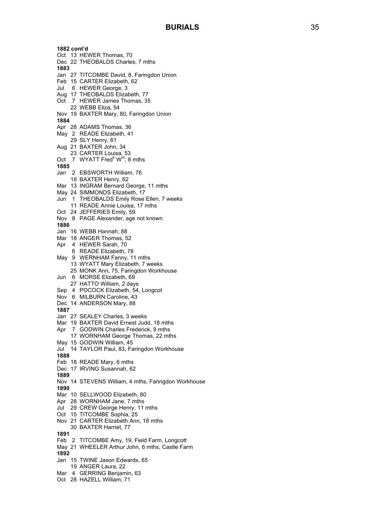**1882 cont'd** Oct 13 HEWER Thomas, 70 Dec 22 THEOBALDS Charles, 7 mths **1883** Jan 27 TITCOMBE David, 8, Faringdon Union Feb 15 CARTER Elizabeth, 62 Jul 6 HEWER George, 3 Aug 17 THEOBALDS Elizabeth, 77 Oct 7 HEWER James Thomas, 35 22 WEBB Eliza, 54 No v 19 BAXTER Mary, 80, Faringdon Union **1884** Apr 28 ADAMS Thomas, 36 May 2 READE Elizabeth, 41 29 SLY Henry, 61 Aug 21 BAXTER John, 3 4 23 CARTER Louisa, 53 Oct 7 WYATT Fred<sup>k</sup> W<sup>m</sup>, 8 mths **1885** Jan 2 EBSWORTH William, 76 18 BAXTER Henry, 62 Mar 13 INGRAM Bernard George, 11 mths May 24 SIMMONDS Elizabeth, 17 Jun 1 THEOBALDS Emily Rose Ellen, 7 week s 11 READE Annie Louisa, 17 mths Oct 24 JEFFERIES Emily, 59 Nov 8 PAGE Alexander, age not known **1886** Jan 16 WEBB Hannah, 88 Mar 18 ANGER Thomas, 52 Apr 4 HEWER Sarah, 70 6 READE Elizabeth, 78 May 9 WERNHAM Fanny, 11 mths 13 WYATT Mary Elizabeth, 7 week s 25 MONK Ann, 75, Faringdon Workhouse Jun 6 MORSE Elizabeth, 69 27 HATTO William, 2 days Sep 4 POCOCK Elizabeth, 54, Longcot Nov 6 MILBURN Caroline, 43 Dec 14 ANDERSON Mary, 88 **1887** Jan 27 SEALEY Charles, 3 week s Mar 19 BAXTER David Ernest Judd, 18 mths Apr 7 GODWIN Charles Frederick, 9 mths 17 WORNHAM George Thomas, 22 mths May 15 GODWIN William, 45 Jul 14 TAYLOR Paul, 83, Faringdon Workhouse **1888** Feb 18 READE Mary, 6 mths Dec 17 IRVING Susanna h, 62 **1889** Nov 14 STEVENS William, 4 mths, Faringdon Workhouse **1890** Mar 10 SELLWOOD Elizabeth, 80 Apr 28 WORNHAM Jane, 7 mths Jul 29 CREW George Henry, 11 mths Oct 15 TITCOMBE Sophia, 25 Nov 21 CARTER Elizabeth Ann, 18 mths 30 BAXTER Harriet, 77 **1891** Feb 2 TITCOMBE Amy, 19, Field Farm, Longcott May 21 WHEELER Arthur John, 6 mths , Castle Farm **1892** Jan 15 TWINE Jason Edwards, 65 19 ANGER Laura, 22 Mar 4 GERRING Benjamin, 63 Oct 28 HAZELL William, 71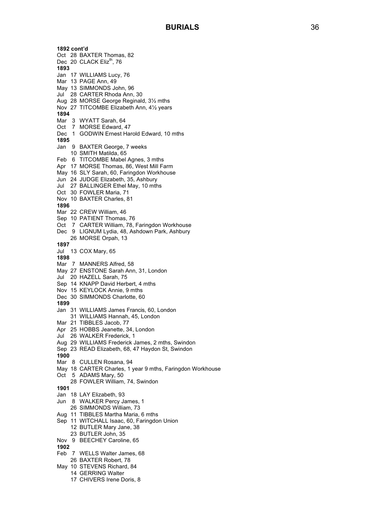**1892 cont'd** Oct 28 BAXTER Thomas, 82 Dec 20 CLACK Eliz<sup>th</sup>, 76 **1893** Jan 17 WILLIAMS Lucy, 76 Mar 13 PAGE Ann, 49 May 13 SIMMONDS John, 96 Jul 28 CARTER Rhoda Ann, 30 Aug 28 MORSE George Reginald, 3 ½ mths Nov 27 TITCOMBE Elizabeth Ann, 4 ½ years **1894** Mar 3 WYATT Sarah, 64 Oct 7 MORSE Edward, 47 Dec 1 GODWIN Ernest Harold Edward, 10 mths **1895** Jan 9 BAXTER George, 7 week s 10 SMITH Matilda, 65 Feb 6 TITCOMBE Mabel Agnes, 3 mths Apr 17 MORSE Thomas, 86, West Mill Farm May 16 SLY Sarah, 60, Faringdon Workhouse Jun 24 JUDGE Elizabeth, 35, Ashbury Jul 27 BALLINGER Ethel May, 10 mths Oct 30 FOWLER Maria, 71 Nov 10 BAXTER Charles, 81 **1896** Mar 22 CREW William, 46 Sep 10 PATIENT Thomas, 76 Oct 7 CARTER William, 78, Faringdon Workhouse Dec 9 LIGNUM Lydia, 48, Ashdown Park, Ashbury 26 MORSE Orpah, 13 **1897** Jul 13 COX Mary, 65 **1898** Mar 7 MANNERS Alfred, 58 May 27 ENSTONE Sarah Ann, 31, London Jul 20 HAZELL Sarah, 75 Sep 14 KNAPP David Herbert, 4 mths Nov 15 KEYLOCK Annie, 9 mths Dec 30 SIMMONDS Charlotte, 60 **1899** Jan 31 WILLIAMS James Francis, 60, London 31 WILLIAMS Hannah, 45, London Mar 21 TIBBLES Jacob, 77 Apr 25 HOBBS Jeanette, 34, London Jul 26 WALKER Frederick, 1 Aug 29 WILLIAMS Frederick James, 2 mths, Swindon Sep 23 READ Elizabeth, 68, 47 Haydon St, Swindon **1900** Mar 8 CULLEN Rosana, 94 May 18 CARTER Charles, 1 year 9 mths , Faringdon Workhouse Oct 5 ADAMS Mary, 50 28 FOWLER William, 74, Swindon **1901** Jan 18 LAY Elizabeth, 93 Jun 8 WALKER Percy James, 1 26 SIMMONDS William, 73 Aug 11 TIBBLES Martha Maria, 6 mths Sep 11 WITCHALL Isaac, 60, Faringdon Union 12 BUTLER Mar y Jane, 38 23 BUTLER John, 35 Nov 9 BEECHEY Caroline, 65 **1902** Feb 7 WELLS Walter James, 68 26 BAXTER Robert, 78 May 10 STEVENS Richard, 84 14 GERRING Walter 17 CHIVERS Irene Doris, 8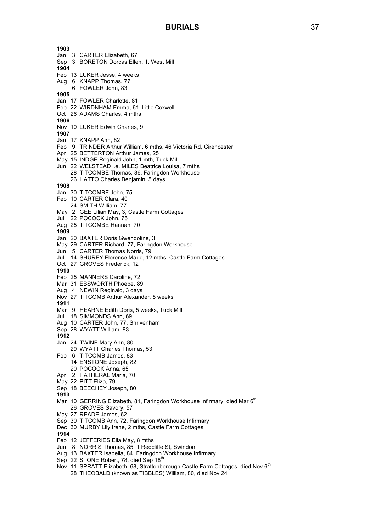**1903** Jan 3 CARTER Elizabeth, 67 Sep 3 BORETON Dorcas Ellen, 1, West Mill **1904** Feb 13 LUKER Jesse, 4 weeks Aug 6 KNAPP Thomas, 77 6 FOWLER John, 83 **1905** Jan 17 FOWLER Charlotte, 81 Feb 22 WIRDNHAM Emma, 61, Little Coxwell Oct 26 ADAMS Charles, 4 mths **1906** Nov 10 LUKER Edwin Charles, 9 **1907** Jan 17 KNAPP Ann, 82 Feb 9 TRINDER Arthur William, 6 mths, 46 Victoria Rd, Cirencester Apr 25 BETTERTON Arthur James, 25 May 15 INDGE Reginald John, 1 mth, Tuck Mill Jun 22 WELSTEAD i.e. MILES Beatrice Louisa, 7 mths 28 TITCOMBE Thomas, 86, Faringdon Workhouse 26 HATTO Charles Benjamin, 5 days **1908** Jan 30 TITCOMBE John, 75 Feb 10 CARTER Clara, 40 24 SMITH William, 77 May 2 GEE Lilian May, 3, Castle Farm Cottages Jul 22 POCOCK John, 75 Aug 25 TITCOMBE Hannah, 70 **1909** Jan 20 BAXTER Doris Gwendoline, 3 May 29 CARTER Richard, 77, Faringdon Workhouse Jun 5 CARTER Thomas Norris, 79 Jul 14 SHUREY Florence Maud, 12 mths, Castle Farm Cottages Oct 27 GROVES Frederick, 12 **1910** Feb 25 MANNERS Caroline, 72 Mar 31 EBSWORTH Phoebe, 89 Aug 4 NEWIN Reginald, 3 days Nov 27 TITCOMB Arthur Alexander, 5 weeks **1911** Mar 9 HEARNE Edith Doris, 5 weeks, Tuck Mill Jul 18 SIMMONDS Ann, 69 Aug 10 CARTER John, 77, Shrivenham Sep 28 WYATT William, 83 **1912** Jan 24 TWINE Mary Ann, 80 29 WYATT Charles Thomas, 53 Feb 6 TITCOMB James, 83 14 ENSTONE Joseph, 82 20 POCOCK Anna, 65 Apr 2 HATHERAL Maria, 70 May 22 PITT Eliza, 79 Sep 18 BEECHEY Joseph, 80 **1913** Mar 10 GERRING Elizabeth, 81, Faringdon Workhouse Infirmary, died Mar 6<sup>th</sup> 26 GROVES Savory, 57 May 27 READE James, 62 Sep 30 TITCOMB Ann, 72, Faringdon Workhouse Infirmary Dec 30 MURBY Lily Irene, 2 mths, Castle Farm Cottages **1914** Feb 12 JEFFERIES Ella May, 8 mths Jun 8 NORRIS Thomas, 85, 1 Redcliffe St, Swindon Aug 13 BAXTER Isabella, 84, Faringdon Workhouse Infirmary Sep 22 STONE Robert, 78, died Sep 18th Nov 11 SPRATT Elizabeth, 68, Strattonborough Castle Farm Cottages, died Nov 6<sup>th</sup> 28 THEOBALD (known as TIBBLES) William, 80, died Nov  $24<sup>th</sup>$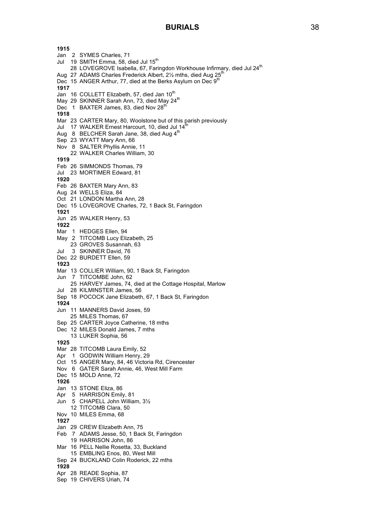# **BURIALS** 38

**1915** Jan 2 SYMES Charles, 71 Jul 19 SMITH Emma, 58, died Jul 15<sup>th</sup> 28 LOVEGROVE Isabella, 67, Faringdon Workhouse Infirmary, died Jul 24<sup>th</sup> Aug 27 ADAMS Charles Frederick Albert, 21/2 mths, died Aug 25<sup>t</sup> Dec 15 ANGER Arthur, 77, died at the Berks Asylum on Dec 9<sup>th</sup> **1917** Jan 16 COLLETT Elizabeth, 57, died Jan 10<sup>th</sup> May 29 SKINNER Sarah Ann, 73, died May 24<sup>th</sup> Dec 1 BAXTER James, 83, died Nov  $28<sup>th</sup>$ **1918** Mar 23 CARTER Mary, 80, Woolstone but of this parish previously Jul 17 WALKER Ernest Harcourt, 10, died Jul  $14<sup>th</sup>$ Aug 8 BELCHER Sarah Jane, 38, died Aug 4<sup>th</sup> Sep 23 WYATT Mary Ann, 66 Nov 8 SALTER Phyllis Annie, 11 22 WALKER Charles William, 30 **1919** Feb 26 SIMMONDS Thomas, 79 Jul 23 MORTIMER Edward, 81 **1920** Feb 26 BAXTER Mary Ann, 83 Aug 24 WELLS Eliza, 84 Oct 21 LONDON Martha Ann, 28 Dec 15 LOVEGROVE Charles, 72, 1 Back St, Faringdon **1921** Jun 25 WALKER Henry, 53 **1922** Mar 1 HEDGES Ellen, 94 May 2 TITCOMB Lucy Elizabeth, 25 23 GROVES Susannah, 63 Jul 3 SKINNER David, 76 Dec 22 BURDETT Ellen, 59 **1923** Mar 13 COLLIER William, 90, 1 Back St, Faringdon Jun 7 TITCOMBE John, 62 25 HARVEY James, 74, died at the Cottage Hospital, Marlow Jul 28 KILMINSTER James, 56 Sep 18 POCOCK Jane Elizabeth, 67, 1 Back St, Faringdon **1924** Jun 11 MANNERS David Joses, 59 25 MILES Thomas, 67 Sep 25 CARTER Joyce Catherine, 18 mths Dec 12 MILES Donald James, 7 mths 13 LUKER Sophia, 56 **1925** Mar 28 TITCOMB Laura Emily, 52 Apr 1 GODWIN William Henry, 29 Oct 15 ANGER Mary, 84, 46 Victoria Rd, Cirencester Nov 6 GATER Sarah Annie, 46, West Mill Farm Dec 15 MOLD Anne, 72 **1926** Jan 13 STONE Eliza, 86 Apr 5 HARRISON Emily, 81 Jun 5 CHAPELL John William, 3½ 12 TITCOMB Clara, 50 Nov 10 MILES Emma, 68 **1927** Jan 29 CREW Elizabeth Ann, 75 Feb 7 ADAMS Jesse, 50, 1 Back St, Faringdon 19 HARRISON John, 86 Mar 16 PELL Nellie Rosetta, 33, Buckland 15 EMBLING Enos, 80, West Mill Sep 24 BUCKLAND Colin Roderick, 22 mths **1928** Apr 28 READE Sophia, 87 Sep 19 CHIVERS Uriah, 74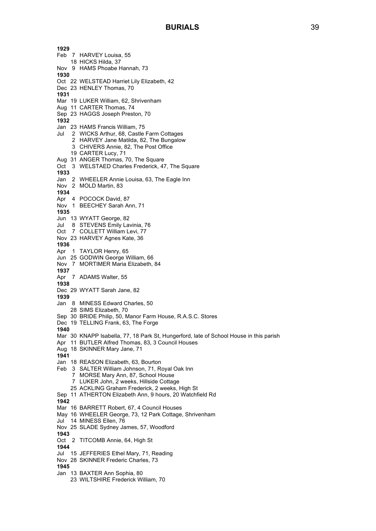**1929** Feb 7 HARVEY Louisa, 55 18 HICKS Hilda, 37 Nov 9 HAMS Phoabe Hannah, 73 **1930** Oct 22 WELSTEAD Harriet Lily Elizabeth, 42 Dec 23 HENLEY Thomas, 70 **1931** Mar 19 LUKER William, 62, Shrivenham Aug 11 CARTER Thomas, 74 Sep 23 HAGGS Joseph Preston, 70 **1932** Jan 23 HAMS Francis William, 75 Jul 2 WICKS Arthur, 68, Castle Farm Cottages 2 HARVEY Jane Matilda, 82, The Bungalow 3 CHIVERS Annie, 82, The Post Office 19 CARTER Lucy, 71 Aug 31 ANGER Thomas, 70, The Square Oct 3 WELSTAED Charles Frederick, 47, The Square **1933** Jan 2 WHEELER Annie Louisa, 63, The Eagle Inn Nov 2 MOLD Martin, 83 **1934** Apr 4 POCOCK David, 87 Nov 1 BEECHEY Sarah Ann, 71 **1935** Jun 13 WYATT George, 82 Jul 8 STEVENS Emily Lavinia, 76 Oct 7 COLLETT William Levi, 77 Nov 23 HARVEY Agnes Kate, 36 **1936** Apr 1 TAYLOR Henry, 65 Jun 25 GODWIN George William, 66 Nov 7 MORTIMER Maria Elizabeth, 84 **1937** Apr 7 ADAMS Walter, 55 **1938** Dec 29 WYATT Sarah Jane, 82 **1939** Jan 8 MINESS Edward Charles, 50 28 SIMS Elizabeth, 70 Sep 30 BRIDE Philip, 50, Manor Farm House, R.A.S.C. Stores Dec 19 TELLING Frank, 63, The Forge **1940** Mar 30 KNAPP Isabella, 77, 18 Park St, Hungerford, late of School House in this parish Apr 11 BUTLER Alfred Thomas, 83, 3 Council Houses Aug 18 SKINNER Mary Jane, 71 **1941** Jan 18 REASON Elizabeth, 63, Bourton Feb 3 SALTER William Johnson, 71, Royal Oak Inn 7 MORSE Mary Ann, 87, School House 7 LUKER John, 2 weeks, Hillside Cottage 25 ACKLING Graham Frederick, 2 weeks, High St Sep 11 ATHERTON Elizabeth Ann, 9 hours, 20 Watchfield Rd **1942** Mar 16 BARRETT Robert, 67, 4 Council Houses May 16 WHEELER George, 73, 12 Park Cottage, Shrivenham Jul 14 MINESS Ellen, 76 Nov 25 SLADE Sydney James, 57, Woodford **1943** Oct 2 TITCOMB Annie, 64, High St **1944** Jul 15 JEFFERIES Ethel Mary, 71, Reading Nov 28 SKINNER Frederic Charles, 73 **1945** Jan 13 BAXTER Ann Sophia, 80 23 WILTSHIRE Frederick William, 70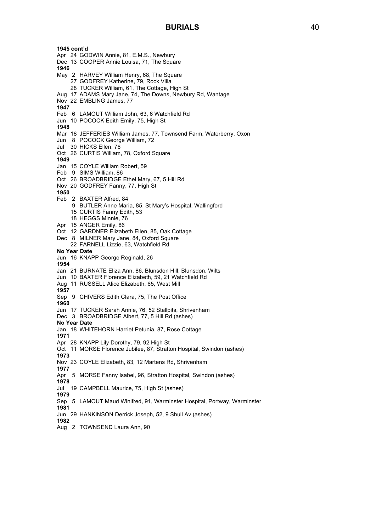**1945 cont'd** Apr 24 GODWIN Annie, 81, E.M.S., Newbury Dec 13 COOPER Annie Louisa, 71, The Square **1946** May 2 HARVEY William Henry, 68, The Square 27 GODFREY Katherine, 79, Rock Villa 28 TUCKER William, 61, The Cottage, High St Aug 17 ADAMS Mary Jane, 74, The Downs, Newbury Rd, Wantage Nov 22 EMBLING James, 77 **1947** Feb 6 LAMOUT William John, 63, 6 Watchfield Rd Jun 10 POCOCK Edith Emily, 75, High St **1948** Mar 18 JEFFERIES William James, 77, Townsend Farm, Waterberry, Oxon Jun 8 POCOCK George William, 72 Jul 30 HICKS Ellen, 76 Oct 26 CURTIS William, 78, Oxford Square **1949** Jan 15 COYLE William Robert, 59 Feb 9 SIMS William, 86 Oct 26 BROADBRIDGE Ethel Mary, 67, 5 Hill Rd Nov 20 GODFREY Fanny, 77, High St **1950** Feb 2 BAXTER Alfred, 84 9 BUTLER Anne Maria, 85, St Mary's Hospital, Wallingford 15 CURTIS Fanny Edith, 53 18 HEGGS Minnie, 76 Apr 15 ANGER Emily, 86 Oct 12 GARDNER Elizabeth Ellen, 85, Oak Cottage Dec 8 MILNER Mary Jane, 84, Oxford Square 22 FARNELL Lizzie, 63, Watchfield Rd **No Year Date** Jun 16 KNAPP George Reginald, 26 **1954** Jan 21 BURNATE Eliza Ann, 86, Blunsdon Hill, Blunsdon, Wilts Jun 10 BAXTER Florence Elizabeth, 59, 21 Watchfield Rd Aug 11 RUSSELL Alice Elizabeth, 65, West Mill **1957** Sep 9 CHIVERS Edith Clara, 75, The Post Office **1960** Jun 17 TUCKER Sarah Annie, 76, 52 Stallpits, Shrivenham Dec 3 BROADBRIDGE Albert, 77, 5 Hill Rd (ashes) **No Year Date** Jan 18 WHITEHORN Harriet Petunia, 87, Rose Cottage **1971** Apr 28 KNAPP Lily Dorothy, 79, 92 High St Oct 11 MORSE Florence Jubilee, 87, Stratton Hospital, Swindon (ashes) **1973** Nov 23 COYLE Elizabeth, 83, 12 Martens Rd, Shrivenham **1977** Apr 5 MORSE Fanny Isabel, 96, Stratton Hospital, Swindon (ashes) **1978** Jul 19 CAMPBELL Maurice, 75, High St (ashes) **1979** Sep 5 LAMOUT Maud Winifred, 91, Warminster Hospital, Portway, Warminster **1981** Jun 29 HANKINSON Derrick Joseph, 52, 9 Shull Av (ashes) **1982**

Aug 2 TOWNSEND Laura Ann, 90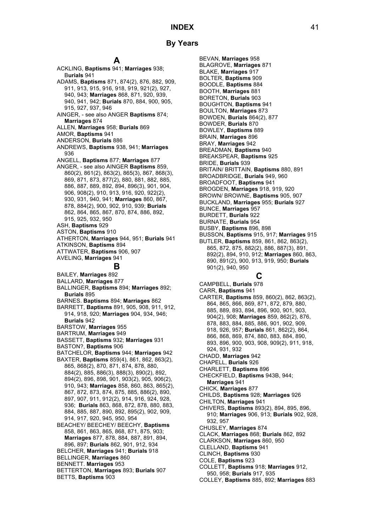# **A**

ACKLING, **Baptisms** 941; **Marriages** 938;

B**urials** 941 ADAMS, **Baptisms** 871, 874(2), 876, 882, 909, 911, 913, 915, 916, 918, 919, 921(2), 927, 940, 943; **Marriages** 868, 871, 920, 939, 940, 941, 942; **Burials** 870, 884, 900, 905, 915, 927, 937, 946 AINGER, - see also ANGER **Baptisms** 874; **Marriages** 874 ALLEN, **Marriages** 958; **Burials** 869 AMOR, **Baptisms** 941 ANDERSON, **Burials** 886 ANDREWS, **Baptisms** 938, 941; **Marriages**  936 ANGELL, **Baptisms** 877; **Marriages** 877 ANGER, - see also AINGER **Baptisms** 859, 860(2), 861(2), 863(2), 865(3), 867, 868(3), 869, 871, 873, 877(2), 880, 881, 882, 885, 886, 887, 889, 892, 894, 896(3), 901, 904, 906, 908(2), 910, 913, 916, 920, 922(2), 930, 931, 940, 941; **Marriages** 860, 867, 878, 884(2), 900, 902, 910, 939; **Burials** 862, 864, 865, 867, 870, 874, 886, 892, 915, 925, 932, 950 ASH, **Baptisms** 929 ASTON, **Baptisms** 910 ATHERTON, **Marriages** 944, 951; **Burials** 941 ATKINSON, **Baptisms** 894 ATTWATER, **Baptisms** 906, 907 AVELING, **Marriages** 941 **B** BAILEY, **Marriages** 892 BALLARD, **Marriages** 877 BALLINGER, **Baptisms** 894; **Marriages** 892; **Burials** 895 BARNES. **Baptisms** 894; **Marriages** 862 BARRETT, **Baptisms** 891, 905, 908, 911, 912, 914, 918, 920; **Marriages** 904, 934, 946; **Burials** 942 BARSTOW, **Marriages** 955 BARTRUM, **Marriages** 949 BASSETT, **Baptisms** 932; **Marriages** 931 BASTON?, **Baptisms** 906 BATCHELOR, **Baptisms** 944; **Marriages** 942 BAXTER, **Baptisms** 859(4), 861, 862, 863(2), 865, 868(2), 870, 871, 874, 878, 880, 884(2), 885, 886(3), 888(3), 890(2), 892, 894(2), 896, 898, 901, 903(2), 905, 906(2), 910, 943; **Marriages** 858, 860, 863, 865(2), 867, 872, 873, 874, 875, 885, 886(2), 890, 897, 907, 911, 912(2), 914, 916, 924, 928, 936; **Burials** 863, 868, 872, 878, 880, 883, 884, 885, 887, 890, 892, 895(2), 902, 909, 914, 917, 920, 945, 950, 954 BEACHEY/ BEECHEY/ BEECHY, **Baptisms**  858, 861, 863, 865, 868, 871, 875, 903; **Marriages** 877, 878, 884, 887, 891, 894, 896, 897; **Burials** 862, 901, 912, 934 BELCHER, **Marriages** 941; **Burials** 918 BELLINGER, **Marriages** 860 BENNETT. **Marriages** 953 BETTERTON, **Marriages** 893; **Burials** 907 BETTS, **Baptisms** 903

BEVAN, **Marriages** 958 BLAGROVE, **Marriages** 871 BLAKE, **Marriages** 917 BOLTER, **Baptisms** 909 BOODLE, **Baptisms** 884 BOOTH, **Marriages** 881 BORETON, **Burials** 903 BOUGHTON, **Baptisms** 941 BOULTON, **Marriages** 873 BOWDEN, **Burials** 864(2), 877 BOWDER, **Burials** 870 BOWLEY, **Baptisms** 889 BRAIN, **Marriages** 896 BRAY, **Marriages** 942 BREADMAN, **Baptisms** 940 BREAKSPEAR, **Baptisms** 925 BRIDE, **Burials** 939 BRITAIN/ BRITTAIN, **Baptisms** 880, 891 BROADBRIDGE, **Burials** 949, 960 BROADFOOT, **Baptisms** 941 BROGDEN, **Marriages** 918, 919, 920 BROWN/ BROWNE, **Baptisms** 905, 907 BUCKLAND, **Marriages** 955; **Burials** 927 BUNCE, **Marriages** 957 BURDETT, **Burials** 922 BURNATE, **Burials** 954 BUSBY, **Baptisms** 896, 898 BUSSON, **Baptisms** 915, 917; **Marriages** 915 BUTLER, **Baptisms** 859, 861, 862, 863(2), 865, 872, 875, 882(2), 886, 887(3), 891, 892(2), 894, 910, 912; **Marriages** 860, 863, 890, 891(2), 900, 913, 919, 950; **Burials** 901(2), 940, 950 **C** CAMPBELL, **Burials** 978 CARR, **Baptisms** 941

CARTER, **Baptisms** 859, 860(2), 862, 863(2), 864, 865, 866, 869, 871, 872, 879, 880, 885, 889, 893, 894, 896, 900, 901, 903, 904(2), 908; **Marriages** 859, 862(2), 876, 878, 883, 884, 885, 886, 901, 902, 909, 918, 926, 957; **Burials** 861, 862(2), 864, 866, 868, 869, 874, 880, 883, 884, 890, 893, 896, 900, 903, 908, 909(2), 911, 918, 924, 931, 932 CHADD, **Marriages** 942 CHAPELL, **Burials** 926 CHARLETT, **Baptisms** 896 CHECKFIELD, **Baptisms** 943B, 944; **Marriages** 941 CHICK, **Marriages** 877 CHILDS, **Baptisms** 928; **Marriages** 926 CHILTON, **Marriages** 941 CHIVERS, **Baptisms** 893(2), 894, 895, 896, 910; **Marriages** 906, 913; **Burials** 902, 928, 932, 957 CHUSLEY, **Marriages** 874 CLACK, **Marriages** 868; **Burials** 862, 892 CLARKSON, **Marriages** 860, 950 CLELLAND, **Baptisms** 941 CLINCH, **Baptisms** 930 COLE, **Baptisms** 923 COLLETT, **Baptisms** 918; **Marriages** 912, 950, 958; **Burials** 917, 935 COLLEY, **Baptisms** 885, 892; **Marriages** 883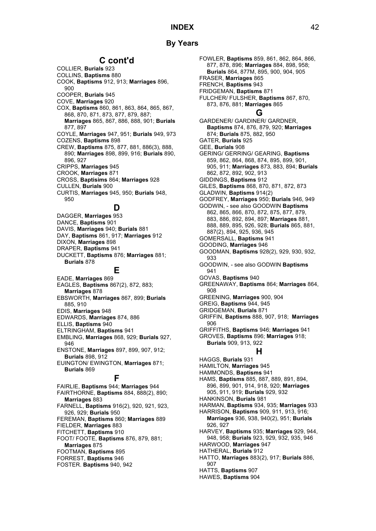# **By Years**

# **C cont'd**

- COLLIER, **Burials** 923
- COLLINS, **Baptisms** 880
- COOK, **Baptisms** 912, 913; **Marriages** 896, 900
- COOPER, **Burials** 945
- COVE, **Marriages** 920
- COX, **Baptisms** 860, 861, 863, 864, 865, 867, 868, 870, 871, 873, 877, 879, 887; **Marriages** 865, 867, 886, 888, 901; **Burials**
- 877, 897 COYLE, **Marriages** 947, 951; **Burials** 949, 973
- COZENS, **Baptisms** 898 CREW, **Baptisms** 875, 877, 881, 886(3), 888,
- 890; **Marriages** 898, 899, 916; **Burials** 890, 896, 927
- CRIPPS, **Marriages** 945
- CROOK, **Marriages** 871
- CROSS, **Baptisims** 864; **Marriages** 928
- CULLEN, **Burials** 900
- CURTIS, **Marriages** 945, 950; **Burials** 948, 950

# **D**

DAGGER, **Marriages** 953 DANCE, **Baptisms** 901 DAVIS, **Marriages** 940; **Burials** 881 DAY, **Baptisms** 861, 917; **Marriages** 912 DIXON, **Marriages** 898 DRAPER, **Baptisms** 941 DUCKETT, **Baptisms** 876; **Marriages** 881; **Burials** 878

## **E**

EADE, **Marriages** 869 EAGLES, **Baptisms** 867(2), 872, 883; **Marriages** 878 EBSWORTH, **Marriages** 867, 899; **Burials** 885, 910 EDIS, **Marriages** 948 EDWARDS, **Marriages** 874, 886 ELLIS, **Baptisms** 940 ELTRINGHAM, **Baptisms** 941 EMBLING, **Marriages** 868, 929; **Burials** 927, 946 ENSTONE, **Marriages** 897, 899, 907, 912; **Burials** 898, 912 EUINGTON/ EWINGTON, **Marriages** 871; **Burials** 869 **F**

FAIRLIE, **Baptisms** 944; **Marriages** 944 FAIRTHORNE, **Baptisms** 884, 888(2), 890; **Marriages** 883 FARNELL, **Baptisms** 916(2), 920, 921, 923, 926, 929; **Burials** 950 FEREMAN, **Baptisms** 860; **Marriages** 889 FIELDER, **Marriages** 883 FITCHETT, **Baptisms** 910 FOOT/ FOOTE, **Baptisms** 876, 879, 881; **Marriages** 875 FOOTMAN, **Baptisms** 895 FORREST, **Baptisms** 946 FOSTER. **Baptisms** 940, 942

FOWLER, **Baptisms** 859, 861, 862, 864, 866, 877, 878, 896; **Marriages** 884, 898, 958; **Burials** 864, 877M, 895, 900, 904, 905 FRASER, **Marriages** 865 FRENCH, **Baptisms** 943 FRIDGEMAN, **Baptisms** 871 FULCHER/ FULSHER, **Baptisms** 867, 870, 873, 876, 881; **Marriages** 865 **G** GARDENER/ GARDINER/ GARDNER, **Baptisms** 874, 876, 879, 920; **Marriages**  874; **Burials** 875, 882, 950 GATER, **Burials** 925 GEE, **Burials** 908 GERING/ GERRING/ GEARING, **Baptisms**  859, 862, 864, 868, 874, 895, 899, 901, 905, 911; **Marriages** 873, 883, 894; **Burials** 862, 872, 892, 902, 913 GIDDINGS, **Baptisms** 912 GILES, **Baptisms** 868, 870, 871, 872, 873 GLADWIN, **Baptisms** 914(2) GODFREY, **Marriages** 950; **Burials** 946, 949 GODWIN, - see also GOODWIN **Baptisms**  862, 865, 866, 870, 872, 875, 877, 879, 883, 886, 892, 894, 897; **Marriages** 881, 888, 889, 895, 926, 928; **Burials** 865, 881, 887(2), 894, 925, 936, 945 GOMERSALL, **Baptisms** 941 GOODING, **Marriages** 946 GOODMAN, **Baptisms** 928(2), 929, 930, 932, 933 GOODWIN, - see also GODWIN **Baptisms** 941 GOVAS, **Baptisms** 940 GREENAWAY, **Baptisms** 864; **Marriages** 864, 908 GREENING, **Marriages** 900, 904 GREIG, **Baptisms** 944, 945 GRIDGEMAN, **Burials** 871 GRIFFIN, **Baptisms** 888, 907, 918; **Marriages**  906 GRIFFITHS, **Baptisms** 946; **Marriages** 941 GROVES, **Baptisms** 896; **Marriages** 918; **Burials** 909, 913, 922 **H** HAGGS, **Burials** 931 HAMILTON, **Marriages** 945 HAMMONDS, **Baptisms** 941 HAMS, **Baptisms** 885, 887, 889, 891, 894, 896, 899, 901, 914, 918, 920; **Marriages**  905, 911, 919; **Burials** 929, 932 HANKINSON, **Burials** 981 HARMAN, **Baptisms** 934, 935; **Marriages** 933 HARRISON, **Baptisms** 909, 911, 913, 916; **Marriages** 936, 938, 940(2), 951; **Burials** 926, 927 HARVEY, **Baptisms** 935; **Marriages** 929, 944, 948, 958; **Burials** 923, 929, 932, 935, 946 HARWOOD, **Marriages** 947 HATHERAL, **Burials** 912 HATTO, **Marriages** 883(2), 917; **Burials** 886, 907

HATTS, **Baptisms** 907

HAWES, **Baptisms** 904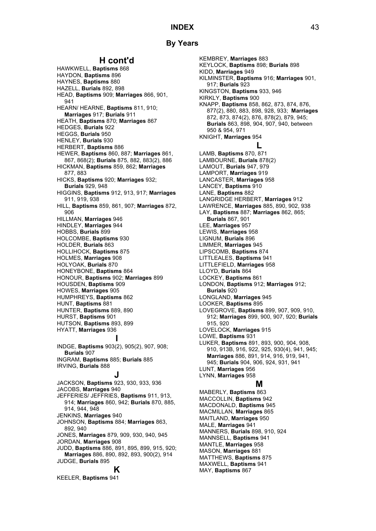# **By Years**

# **H cont'd**

HAWKWELL, **Baptisms** 868 HAYDON, **Baptisms** 896 HAYNES, **Baptisms** 880 HAZELL, **Burials** 892, 898 HEAD, **Baptisms** 909; **Marriages** 866, 901, 941 HEARN/ HEARNE, **Baptisms** 811, 910; **Marriages** 917; **Burials** 911 HEATH, **Baptisms** 870; **Marriages** 867 HEDGES, **Burials** 922 HEGGS, **Burials** 950 HENLEY, **Burials** 930 HERBERT, **Baptisms** 886 HEWER, **Baptisms** 860, 887; **Marriages** 861, 867, 868(2); **Burials** 875, 882, 883(2), 886 HICKMAN, **Baptisms** 859, 862; **Marriages**  877, 883 HICKS, **Baptisms** 920; **Marriages** 932; **Burials** 929, 948 HIGGINS, **Baptisms** 912, 913, 917; **Marriages**  911, 919, 938 HILL, **Baptisms** 859, 861, 907; **Marriages** 872, 906 HILLMAN, **Marriages** 946 HINDLEY, **Marriages** 944 HOBBS, **Burials** 899 HOLCOMBE, **Baptisms** 930 HOLDER, **Burials** 863 HOLLIHOCK, **Baptisms** 875 HOLMES, **Marriages** 908 HOLYOAK, **Burials** 870 HONEYBONE, **Baptisms** 864 HONOUR, **Baptisms** 902; **Marriages** 899 HOUSDEN, **Baptisms** 909 HOWES, **Marriages** 905 HUMPHREYS, **Baptisms** 862 HUNT, **Baptisms** 881 HUNTER, **Baptisms** 889, 890 HURST, **Baptisms** 901 HUTSON, **Baptisms** 893, 899 HYATT, **Marriages** 936 **I** INDGE, **Baptisms** 903(2), 905(2), 907, 908; **Burials** 907 INGRAM, **Baptisms** 885; **Burials** 885 IRVING, **Burials** 888 **J**

JACKSON, **Baptisms** 923, 930, 933, 936 JACOBS, **Marriages** 940 JEFFERIES/ JEFFRIES, **Baptisms** 911, 913, 914; **Marriages** 860, 942; **Burials** 870, 885, 914, 944, 948 JENKINS, **Marriages** 940 JOHNSON, **Baptisms** 884; **Marriages** 863, 892, 940 JONES, **Marriages** 879, 909, 930, 940, 945 JORDAN, **Marriages** 908 JUDD, **Baptisms** 886, 891, 895, 899, 915, 920; **Marriages** 886, 890, 892, 893, 900(2), 914 JUDGE, **Burials** 895 **K**

KEELER, **Baptisms** 941

KEMBREY, **Marriages** 883 KEYLOCK, **Baptisms** 898; **Burials** 898 KIDD, **Marriages** 949 KILMINSTER, **Baptisms** 916; **Marriages** 901, 917; **Burials** 923 KINGSTON, **Baptisms** 933, 946 KIRKLY, **Baptisms** 900 KNAPP, **Baptisms** 858, 862, 873, 874, 876, 877(2), 880, 883, 898, 928, 933; **Marriages**  872, 873, 874(2), 876, 878(2), 879, 945; **Burials** 863, 898, 904, 907, 940, between 950 & 954, 971 KNIGHT, **Marriages** 954 **L** LAMB, **Baptisms** 870, 871 LAMBOURNE, **Burials** 878(2) LAMOUT, **Burials** 947, 979 LAMPORT, **Marriages** 919 LANCASTER, **Marriages** 958 LANCEY, **Baptisms** 910 LANE, **Baptisms** 882 LANGRIDGE HERBERT, **Marriages** 912 LAWRENCE, **Marriages** 885, 890, 902, 938 LAY, **Baptisms** 887; **Marriages** 862, 865; **Burials** 867, 901 LEE, **Marriages** 957 LEWIS, **Marriages** 958 LIGNUM, **Burials** 896 LIMMER, **Marriages** 945 LIPSCOMB, **Baptisms** 874 LITTLEALES, **Baptisms** 941 LITTLEFIELD, **Marriages** 958 LLOYD, **Burials** 864 LOCKEY, **Baptisms** 861 LONDON, **Baptisms** 912; **Marriages** 912; **Burials** 920 LONGLAND, **Marriages** 945 LOOKER, **Baptisms** 895 LOVEGROVE, **Baptisms** 899, 907, 909, 910, 912; **Marriages** 899, 900, 907, 920; **Burials** 915, 920 LOVELOCK, **Marriages** 915 LOWE, **Baptisms** 931 LUKER, **Baptisms** 891, 893, 900, 904, 908, 910, 913B, 916, 922, 925, 930(4), 941, 945; **Marriages** 886, 891, 914, 916, 919, 941, 945; **Burials** 904, 906, 924, 931, 941 LUNT, **Marriages** 956 LYNN, **Marriages** 958 **M** MABERLY, **Baptisms** 863 MACCOLLIN, **Baptisms** 942 MACDONALD, **Baptisms** 945 MACMILLAN, **Marriages** 865 MAITLAND, **Marriages** 950 MALE, **Marriages** 941 MANNERS, **Burials** 898, 910, 924 MANNSELL, **Baptisms** 941

MANTLE, **Marriages** 958 MASON, **Marriages** 881 MATTHEWS, **Baptisms** 875 MAXWELL, **Baptisms** 941 MAY, **Baptisms** 867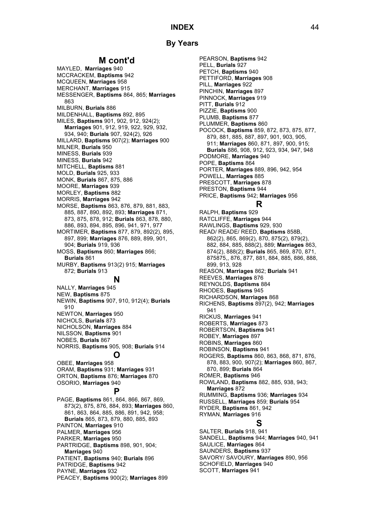# **By Years**

# **M cont'd**

MAYLED, **Marriages** 940 MCCRACKEM, **Baptisms** 942 MCQUEEN, **Marriages** 958 MERCHANT, **Marriages** 915 MESSENGER, **Baptisms** 864, 865; **Marriages**  863 MILBURN, **Burials** 886 MILDENHALL, **Baptisms** 892, 895 MILES, **Baptisms** 901, 902, 912, 924(2); **Marriages** 901, 912, 919, 922, 929, 932, 934, 940; **Burials** 907, 924(2), 926 MILLARD, **Baptisms** 907(2); **Marriages** 900 MILNER, **Burials** 950 MINESS, **Burials** 939 MINESS, **Burials** 942 MITCHELL, **Baptisms** 881 MOLD, **Burials** 925, 933 MONK, **Burials** 867, 875, 886 MOORE, **Marriages** 939 MORLEY, **Baptisms** 882 MORRIS, **Marriages** 942 MORSE, **Baptisms** 863, 876, 879, 881, 883, 885, 887, 890, 892, 893; **Marriages** 871, 873, 875, 878, 912; **Burials** 863, 878, 880, 886, 893, 894, 895, 896, 941, 971, 977 MORTIMER, **Baptisms** 877, 879, 892(2), 895, 897, 899; **Marriages** 876, 889, 899, 901, 904; **Burials** 919, 936 MOSS, **Baptisms** 860; **Marriages** 866; **Burials** 861 MURBY, **Baptisms** 913(2) 915; **Marriages**  872; **Burials** 913 **N** NALLY, **Marriages** 945 NEW, **Baptisms** 875 NEWIN, **Baptisms** 907, 910, 912(4); **Burials**

910 NEWTON, **Marriages** 950 NICHOLS, **Burials** 873 NICHOLSON, **Marriages** 884 NILSSON, **Baptisms** 901 NOBES, **Burials** 867 NORRIS, **Baptisms** 905, 908; **Burials** 914

# **O**

OBEE, **Marriages** 958 ORAM, **Baptisms** 931; **Marriages** 931 ORTON, **Baptisms** 876; **Marriages** 870 OSORIO, **Marriages** 940

# **P**

PAGE, **Baptisms** 861, 864, 866, 867, 869, 873(2), 875, 876, 884, 893; **Marriages** 860, 861, 863, 864, 885, 886, 891, 942, 958; **Burials** 865, 873, 879, 880, 885, 893 PAINTON, **Marriages** 910 PALMER, **Marriages** 956 PARKER, **Marriages** 950 PARTRIDGE, **Baptisms** 898, 901, 904; **Marriages** 940 PATIENT, **Baptisms** 940; **Burials** 896 PATRIDGE, **Baptisms** 942 PAYNE, **Marriages** 932 PEACEY, **Baptisms** 900(2); **Marriages** 899

PEARSON, **Baptisms** 942 PELL, **Burials** 927 PETCH, **Baptisms** 940 PETTIFORD, **Marriages** 908 PILL, **Marriages** 922 PINCHIN, **Marriages** 897 PINNOCK, **Marriages** 919 PITT, **Burials** 912 PIZZIE, **Baptisms** 900 PLUMB, **Baptisms** 877 PLUMMER, **Baptisms** 860 POCOCK, **Baptisms** 859, 872, 873, 875, 877, 879, 881, 885, 887, 897, 901, 903, 905, 911; **Marriages** 860, 871, 897, 900, 915; **Burials** 886, 908, 912, 923, 934, 947, 948 PODMORE, **Marriages** 940 POPE, **Baptisms** 864 PORTER, **Marriages** 889, 896, 942, 954 POWELL, **Marriages** 885 PRESCOTT, **Marriages** 878 PRESTON, **Baptisms** 944 PRICE, **Baptisms** 942; **Marriages** 956 **R**

RALPH, **Baptisms** 929 RATCLIFFE, **Marriages** 944 RAWLINGS, **Baptisms** 929, 930 READ/ READE/ REED, **Baptisms** 858B, 862(2), 865, 869(2), 870, 875(2), 879(2), 882, 884, 885, 888(2), 889; **Marriages** 863, 874(2), 888(2); **Burials** 865, 869, 870, 871, 875875,, 876, 877, 881, 884, 885, 886, 888, 899, 913, 928 REASON, **Marriages** 862; **Burials** 941 REEVES, **Marriages** 876 REYNOLDS, **Baptisms** 884 RHODES, **Baptisms** 945 RICHARDSON, **Marriages** 868 RICHENS, **Baptisms** 897(2), 942; **Marriages**  941 RICKUS, **Marriages** 941 ROBERTS, **Marriages** 873 ROBERTSON, **Baptisms** 941 ROBEY, **Marriages** 897 ROBINS, **Marriages** 860 ROBINSON, **Baptisms** 941 ROGERS, **Baptisms** 860, 863, 868, 871, 876, 878, 883, 900, 907(2); **Marriages** 860, 867, 870, 899; **Burials** 864 ROMER, **Baptisms** 946 ROWLAND, **Baptisms** 882, 885, 938, 943; **Marriages** 872 RUMMING, **Baptisms** 936; **Marriages** 934 RUSSELL, **Marriages** 859; **Burials** 954 RYDER, **Baptisms** 861, 942 RYMAN, **Marriages** 916 **S** SALTER, **Burials** 918, 941 SANDELL, **Baptisms** 944; **Marriages** 940, 941 SAULICE, **Marriages** 864

SAUNDERS, **Baptisms** 937 SAVORY/ SAVOURY, **Marriages** 890, 956 SCHOFIELD, **Marriages** 940 SCOTT, **Marriages** 941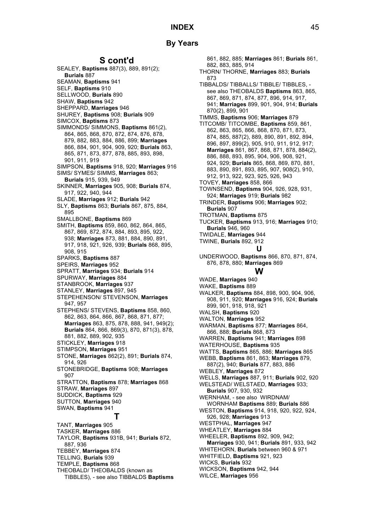# **S cont'd**

SEALEY, **Baptisms** 887(3), 889, 891(2); **Burials** 887 SEAMAN, **Baptisms** 941 SELF, **Baptisms** 910 SELLWOOD, **Burials** 890 SHAW, **Baptisms** 942 SHEPPARD, **Marriages** 946 SHUREY, **Baptisms** 908; **Burials** 909 SIMCOX, **Baptisms** 873 SIMMONDS/ SIMMONS, **Baptisms** 861(2), 864, 865, 868, 870, 872, 874, 876, 878, 879, 882, 883, 884, 886, 899; **Marriages**  866, 884, 901, 904, 909, 920; **Burials** 863, 865, 871, 873, 877, 878, 885, 893, 898, 901, 911, 919 SIMPSON, **Baptisms** 918, 920; **Marriages** 916 SIMS/ SYMES/ SIMMS, **Marriages** 863; **Burials** 915, 939, 949 SKINNER, **Marriages** 905, 908; **Burials** 874, 917, 922, 940, 944 SLADE, **Marriages** 912; **Burials** 942 SLY, **Baptisms** 863; **Burials** 867, 875, 884, 895 SMALLBONE, **Baptisms** 869 SMITH, **Baptisms** 859, 860, 862, 864, 865, 867, 869, 872, 874, 884, 893, 895, 922, 938; **Marriages** 873, 881, 884, 890, 891, 917, 918, 921, 926, 939; **Burials** 868, 895, 908, 915 SPARKS, **Baptisms** 887 SPEIRS, **Marriages** 952 SPRATT, **Marriages** 934; **Burials** 914 SPURWAY, **Marriages** 884 STANBROOK, **Marriages** 937 STANLEY, **Marriages** 897, 945 STEPEHENSON/ STEVENSON, **Marriages** 947, 957 STEPHENS/ STEVENS, **Baptisms** 858, 860, 862, 863, 864, 866, 867, 868, 871, 877; **Marriages** 863, 875, 878, 888, 941, 949(2); **Burials** 864, 866, 869(3), 870, 871(3), 878, 881, 882, 889, 902, 935 STICKLEY, **Marriages** 918 STIMPSON, **Marriages** 951 STONE, **Marriages** 862(2), 891; **Burials** 874, 914, 926 STONEBRIDGE, **Baptisms** 908; **Marriages**  907 STRATTON, **Baptisms** 878; **Marriages** 868 STRAW, **Marriages** 897 SUDDICK, **Baptisms** 929 SUTTON, **Marriages** 940 SWAN, **Baptisms** 941 **T** TANT, **Marriages** 905 TASKER, **Marriages** 886 TAYLOR, **Baptisms** 931B, 941; **Burials** 872, 887, 936 TEBBEY, **Marriages** 874 TELLING, **Burials** 939 TEMPLE, **Baptisms** 868

THEOBALD/ THEOBALDS (known as TIBBLES), - see also TIBBALDS **Baptisms** 

861, 882, 885; **Marriages** 861; **Burials** 861, 882, 883, 885, 914 THORN/ THORNE, **Marriages** 883; **Burials** 873 TIBBALDS/ TIBBALLS/ TIBBLE/ TIBBLES, see also THEOBALDS **Baptisms** 863, 865, 867, 869, 871, 874, 877, 896, 914, 917, 941; **Marriages** 899, 901, 904, 914; **Burials** 870(2), 899, 901 TIMMS, **Baptisms** 906; **Marriages** 879 TITCOMB/ TITCOMBE, **Baptisms** 859, 861, 862, 863, 865, 866, 868, 870, 871, 873, 874, 885, 887(2), 889, 890, 891, 892, 894, 896, 897, 899(2), 905, 910, 911, 912, 917; **Marriages** 861, 867, 868, 871, 878, 884(2), 886, 888, 893, 895, 904, 906, 908, 921, 924, 929; **Burials** 865, 868, 869, 870, 881, 883, 890, 891, 893, 895, 907, 908(2), 910, 912, 913, 922, 923, 925, 926, 943 TOVEY, **Marriages** 858, 866 TOWNSEND, **Baptisms** 904, 926, 928, 931, 924; **Marriages** 919; **Burials** 982 TRINDER, **Baptisms** 906; **Marriages** 902; **Burials** 907 TROTMAN, **Baptisms** 875 TUCKER, **Baptisms** 913, 916; **Marriages** 910; **Burials** 946, 960 TWIDALE, **Marriages** 944 TWINE, **Burials** 892, 912 **U** UNDERWOOD, **Baptisms** 866, 870, 871, 874, 876, 878, 880; **Marriages** 869 **W** WADE, **Marriages** 940 WAKE, **Baptisms** 889 WALKER, **Baptisms** 884, 898, 900, 904, 906, 908, 911, 920; **Marriages** 916, 924; **Burials** 899, 901, 918, 918, 921 WALSH, **Baptisms** 920 WALTON, **Marriages** 952 WARMAN, **Baptisms** 877; **Marriages** 864, 866, 888; **Burials** 868, 873 WARREN, **Baptisms** 941; **Marriages** 898 WATERHOUSE, **Baptisms** 935 WATTS, **Baptisms** 865, 886; **Marriages** 865 WEBB, **Baptisms** 861, 863; **Marriages** 879, 887(2), 940; **Burials** 877, 883, 886 WEBLEY, **Marriages** 872 WELLS, **Marriages** 887, 911; **Burials** 902, 920 WELSTEAD/ WELSTAED, **Marriages** 933; **Burials** 907, 930, 932 WERNHAM, - see also WIRDNAM/ WORNHAM **Baptisms** 889; **Burials** 886 WESTON, **Baptisms** 914, 918, 920, 922, 924, 926, 928; **Marriages** 913 WESTPHAL, **Marriages** 947 WHEATLEY, **Marriages** 884 WHEELER, **Baptisms** 892, 909, 942; **Marriages** 930, 941; **Burials** 891, 933, 942 WHITEHORN, **Burials** between 960 & 971 WHITFIELD, **Baptisms** 921, 923 WICKS, **Burials** 932 WICKSON, **Baptisms** 942, 944 WILCE, **Marriages** 956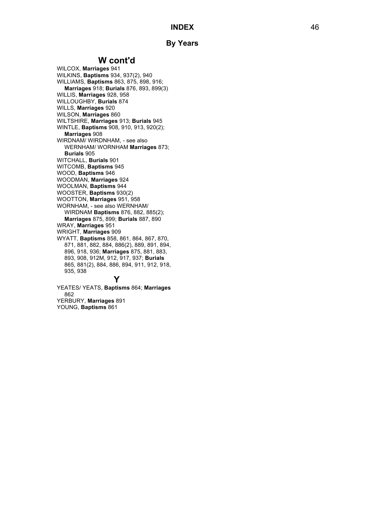# **W cont'd**

WILCOX, **Marriages** 941 WILKINS, **Baptisms** 934, 937(2), 940 WILLIAMS, **Baptisms** 863, 875, 898, 916; **Marriages** 918; **Burials** 876, 893, 899(3) WILLIS, **Marriages** 928, 958 WILLOUGHBY, **Burials** 874 WILLS, **Marriages** 920 WILSON, **Marriages** 860 WILTSHIRE, **Marriages** 913; **Burials** 945 WINTLE, **Baptisms** 908, 910, 913, 920(2); **Marriages** 908 WIRDNAM/ WIRDNHAM, - see also WERNHAM/ WORNHAM **Marriages** 873; **Burials** 905 WITCHALL, **Burials** 901 WITCOMB, **Baptisms** 945 WOOD, **Baptisms** 946 WOODMAN, **Marriages** 924 WOOLMAN, **Baptisms** 944 WOOSTER, **Baptisms** 930(2) WOOTTON , **Marriages** 951, 958 WORNHAM, - see also WERNHAM/ WIRDNAM **Baptisms** 876, 882, 885(2); **Marriages** 875, 899; **Burials** 887, 890 WRAY, **Marriages** 951 WRIGHT, **Marriages** 909 WYATT , **Baptisms** 858, 861, 864, 867, 870, 871, 881, 882, 884, 886(2), 889, 891, 894, 896, 918, 936; **Marriages** 875, 881, 883, 893, 908, 912M, 912, 917, 937; **Burials** 865, 881(2), 884, 886, 894, 911, 912, 918, 935, 938

# **Y**

YEATES/ YEATS, **Baptisms** 864; **Marriages** 862 YERBURY , **Marriages** 891 YOUNG , **Baptisms** 861